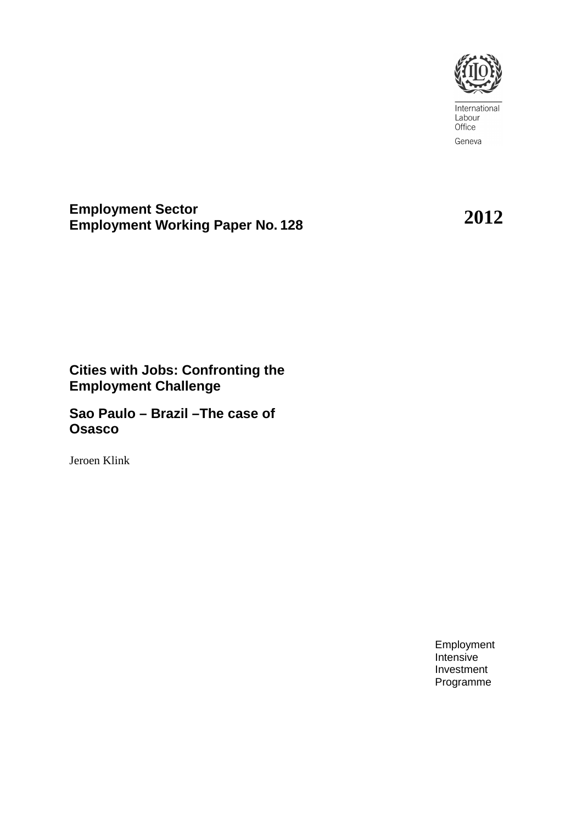

International Labour Office Geneva

**Employment Sector Employment Working Paper No. <sup>128</sup>2012**

# **Cities with Jobs: Confronting the Employment Challenge**

**Sao Paulo – Brazil –The case of Osasco** 

Jeroen Klink

Employment Intensive Investment Programme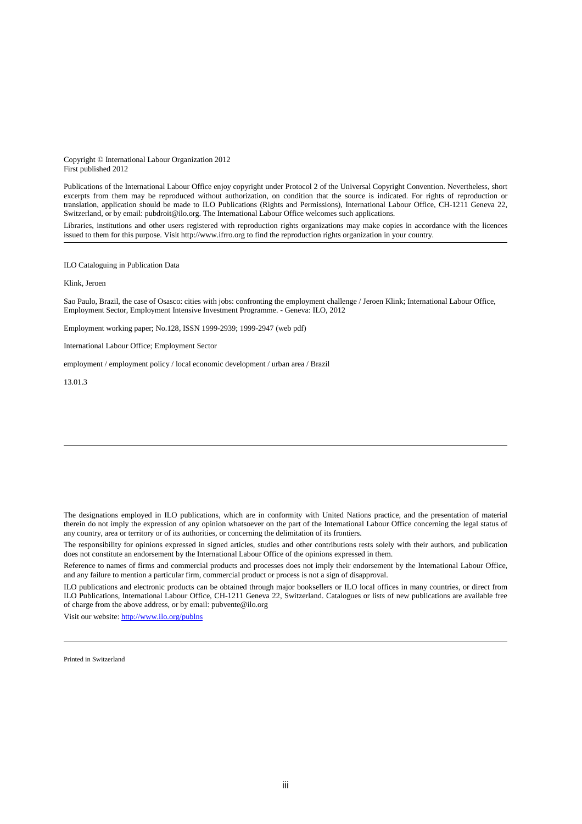Copyright © International Labour Organization 2012 First published 2012

Publications of the International Labour Office enjoy copyright under Protocol 2 of the Universal Copyright Convention. Nevertheless, short excerpts from them may be reproduced without authorization, on condition that the source is indicated. For rights of reproduction or translation, application should be made to ILO Publications (Rights and Permissions), International Labour Office, CH-1211 Geneva 22, Switzerland, or by email: pubdroit@ilo.org. The International Labour Office welcomes such applications.

Libraries, institutions and other users registered with reproduction rights organizations may make copies in accordance with the licences issued to them for this purpose. Visit http://www.ifrro.org to find the reproduction rights organization in your country.

ILO Cataloguing in Publication Data

#### Klink, Jeroen

Sao Paulo, Brazil, the case of Osasco: cities with jobs: confronting the employment challenge / Jeroen Klink; International Labour Office, Employment Sector, Employment Intensive Investment Programme. - Geneva: ILO, 2012

Employment working paper; No.128, ISSN 1999-2939; 1999-2947 (web pdf)

International Labour Office; Employment Sector

employment / employment policy / local economic development / urban area / Brazil

#### 13.01.3

The designations employed in ILO publications, which are in conformity with United Nations practice, and the presentation of material therein do not imply the expression of any opinion whatsoever on the part of the International Labour Office concerning the legal status of any country, area or territory or of its authorities, or concerning the delimitation of its frontiers.

The responsibility for opinions expressed in signed articles, studies and other contributions rests solely with their authors, and publication does not constitute an endorsement by the International Labour Office of the opinions expressed in them.

Reference to names of firms and commercial products and processes does not imply their endorsement by the International Labour Office, and any failure to mention a particular firm, commercial product or process is not a sign of disapproval.

ILO publications and electronic products can be obtained through major booksellers or ILO local offices in many countries, or direct from ILO Publications, International Labour Office, CH-1211 Geneva 22, Switzerland. Catalogues or lists of new publications are available free of charge from the above address, or by email: pubvente@ilo.org

Visit our website: http://www.ilo.org/publns

Printed in Switzerland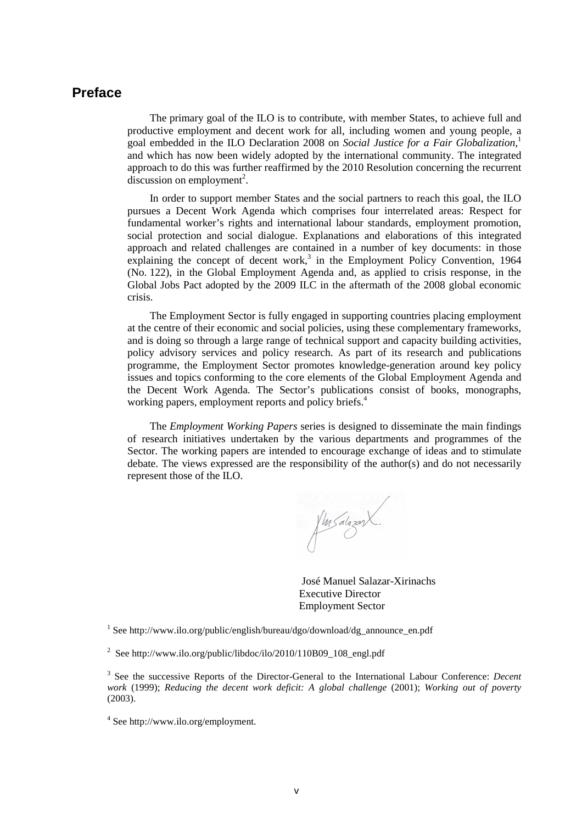### **Preface**

The primary goal of the ILO is to contribute, with member States, to achieve full and productive employment and decent work for all, including women and young people, a goal embedded in the ILO Declaration 2008 on *Social Justice for a Fair Globalization*, 1 and which has now been widely adopted by the international community. The integrated approach to do this was further reaffirmed by the 2010 Resolution concerning the recurrent  $discussion on employment<sup>2</sup>.$ 

In order to support member States and the social partners to reach this goal, the ILO pursues a Decent Work Agenda which comprises four interrelated areas: Respect for fundamental worker's rights and international labour standards, employment promotion, social protection and social dialogue. Explanations and elaborations of this integrated approach and related challenges are contained in a number of key documents: in those explaining the concept of decent work,<sup>3</sup> in the Employment Policy Convention, 1964 (No. 122), in the Global Employment Agenda and, as applied to crisis response, in the Global Jobs Pact adopted by the 2009 ILC in the aftermath of the 2008 global economic crisis.

The Employment Sector is fully engaged in supporting countries placing employment at the centre of their economic and social policies, using these complementary frameworks, and is doing so through a large range of technical support and capacity building activities, policy advisory services and policy research. As part of its research and publications programme, the Employment Sector promotes knowledge-generation around key policy issues and topics conforming to the core elements of the Global Employment Agenda and the Decent Work Agenda. The Sector's publications consist of books, monographs, working papers, employment reports and policy briefs.<sup>4</sup>

The *Employment Working Papers* series is designed to disseminate the main findings of research initiatives undertaken by the various departments and programmes of the Sector. The working papers are intended to encourage exchange of ideas and to stimulate debate. The views expressed are the responsibility of the author(s) and do not necessarily represent those of the ILO.

fler Salazar X.

 José Manuel Salazar-Xirinachs Executive Director Employment Sector

<sup>1</sup> See http://www.ilo.org/public/english/bureau/dgo/download/dg\_announce\_en.pdf

<sup>2</sup> See http://www.ilo.org/public/libdoc/ilo/2010/110B09\_108\_engl.pdf

3 See the successive Reports of the Director-General to the International Labour Conference: *Decent work* (1999); *Reducing the decent work deficit: A global challenge* (2001); *Working out of poverty*  (2003).

4 See http://www.ilo.org/employment.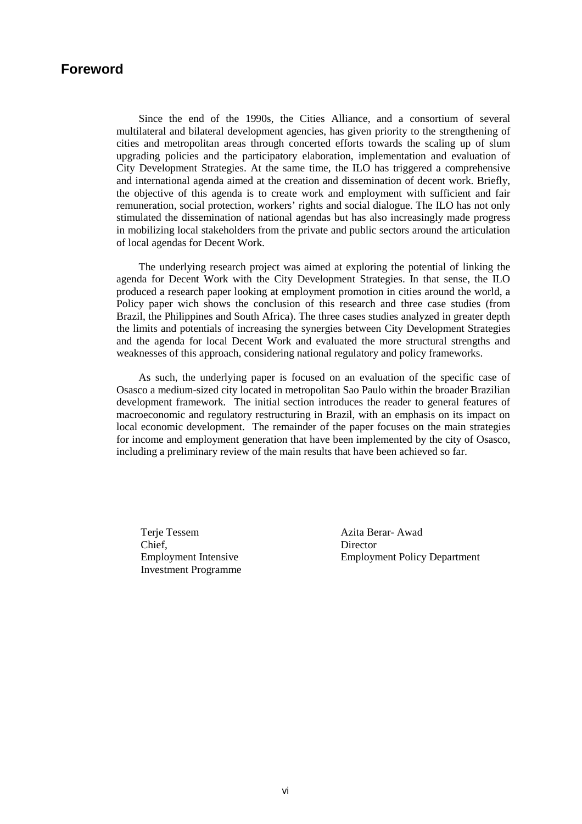### **Foreword**

Since the end of the 1990s, the Cities Alliance, and a consortium of several multilateral and bilateral development agencies, has given priority to the strengthening of cities and metropolitan areas through concerted efforts towards the scaling up of slum upgrading policies and the participatory elaboration, implementation and evaluation of City Development Strategies. At the same time, the ILO has triggered a comprehensive and international agenda aimed at the creation and dissemination of decent work. Briefly, the objective of this agenda is to create work and employment with sufficient and fair remuneration, social protection, workers' rights and social dialogue. The ILO has not only stimulated the dissemination of national agendas but has also increasingly made progress in mobilizing local stakeholders from the private and public sectors around the articulation of local agendas for Decent Work.

The underlying research project was aimed at exploring the potential of linking the agenda for Decent Work with the City Development Strategies. In that sense, the ILO produced a research paper looking at employment promotion in cities around the world, a Policy paper wich shows the conclusion of this research and three case studies (from Brazil, the Philippines and South Africa). The three cases studies analyzed in greater depth the limits and potentials of increasing the synergies between City Development Strategies and the agenda for local Decent Work and evaluated the more structural strengths and weaknesses of this approach, considering national regulatory and policy frameworks.

As such, the underlying paper is focused on an evaluation of the specific case of Osasco a medium-sized city located in metropolitan Sao Paulo within the broader Brazilian development framework. The initial section introduces the reader to general features of macroeconomic and regulatory restructuring in Brazil, with an emphasis on its impact on local economic development. The remainder of the paper focuses on the main strategies for income and employment generation that have been implemented by the city of Osasco, including a preliminary review of the main results that have been achieved so far.

Terie Tessem Chief, Employment Intensive Investment Programme Azita Berar- Awad Director Employment Policy Department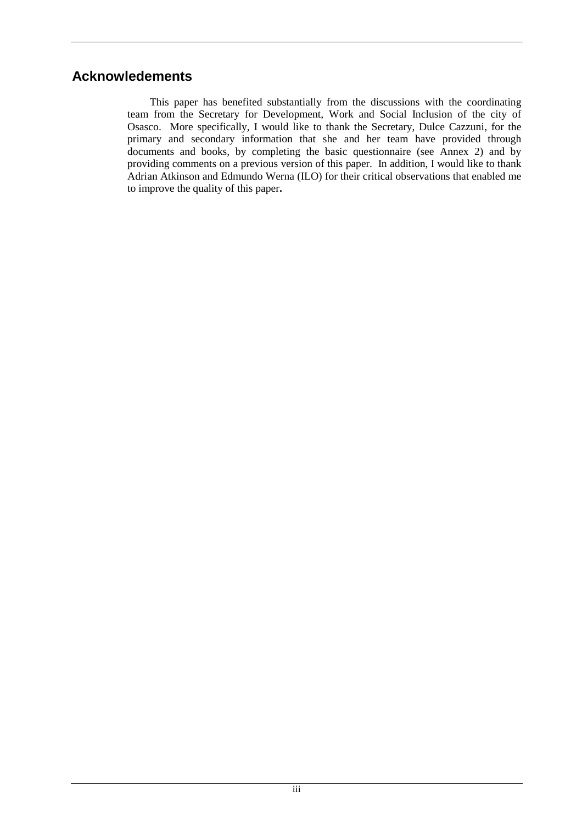## **Acknowledements**

This paper has benefited substantially from the discussions with the coordinating team from the Secretary for Development, Work and Social Inclusion of the city of Osasco. More specifically, I would like to thank the Secretary, Dulce Cazzuni, for the primary and secondary information that she and her team have provided through documents and books, by completing the basic questionnaire (see Annex 2) and by providing comments on a previous version of this paper. In addition, I would like to thank Adrian Atkinson and Edmundo Werna (ILO) for their critical observations that enabled me to improve the quality of this paper**.**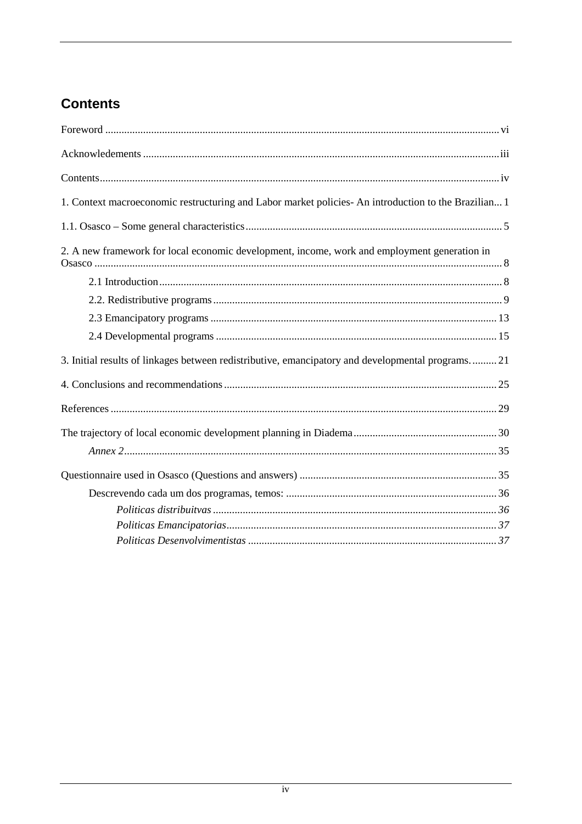# **Contents**

| 1. Context macroeconomic restructuring and Labor market policies- An introduction to the Brazilian 1 |
|------------------------------------------------------------------------------------------------------|
|                                                                                                      |
| 2. A new framework for local economic development, income, work and employment generation in         |
| 3. Initial results of linkages between redistributive, emancipatory and developmental programs 21    |
|                                                                                                      |
|                                                                                                      |
|                                                                                                      |
|                                                                                                      |
|                                                                                                      |
|                                                                                                      |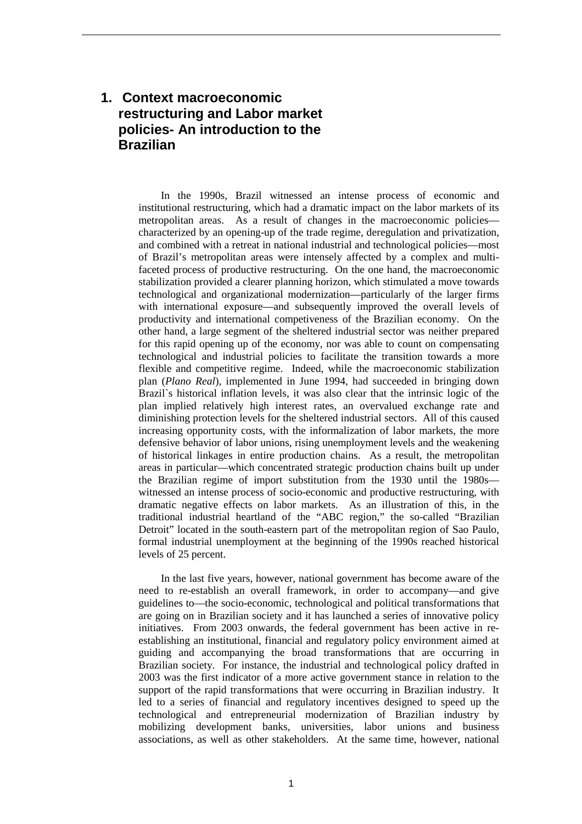### **1. Context macroeconomic restructuring and Labor market policies- An introduction to the Brazilian**

In the 1990s, Brazil witnessed an intense process of economic and institutional restructuring, which had a dramatic impact on the labor markets of its metropolitan areas. As a result of changes in the macroeconomic policies characterized by an opening-up of the trade regime, deregulation and privatization, and combined with a retreat in national industrial and technological policies—most of Brazil's metropolitan areas were intensely affected by a complex and multifaceted process of productive restructuring. On the one hand, the macroeconomic stabilization provided a clearer planning horizon, which stimulated a move towards technological and organizational modernization—particularly of the larger firms with international exposure—and subsequently improved the overall levels of productivity and international competiveness of the Brazilian economy. On the other hand, a large segment of the sheltered industrial sector was neither prepared for this rapid opening up of the economy, nor was able to count on compensating technological and industrial policies to facilitate the transition towards a more flexible and competitive regime. Indeed, while the macroeconomic stabilization plan (*Plano Real*), implemented in June 1994, had succeeded in bringing down Brazil`s historical inflation levels, it was also clear that the intrinsic logic of the plan implied relatively high interest rates, an overvalued exchange rate and diminishing protection levels for the sheltered industrial sectors. All of this caused increasing opportunity costs, with the informalization of labor markets, the more defensive behavior of labor unions, rising unemployment levels and the weakening of historical linkages in entire production chains. As a result, the metropolitan areas in particular—which concentrated strategic production chains built up under the Brazilian regime of import substitution from the 1930 until the 1980s witnessed an intense process of socio-economic and productive restructuring, with dramatic negative effects on labor markets. As an illustration of this, in the traditional industrial heartland of the "ABC region," the so-called "Brazilian Detroit" located in the south-eastern part of the metropolitan region of Sao Paulo, formal industrial unemployment at the beginning of the 1990s reached historical levels of 25 percent.

In the last five years, however, national government has become aware of the need to re-establish an overall framework, in order to accompany—and give guidelines to—the socio-economic, technological and political transformations that are going on in Brazilian society and it has launched a series of innovative policy initiatives. From 2003 onwards, the federal government has been active in reestablishing an institutional, financial and regulatory policy environment aimed at guiding and accompanying the broad transformations that are occurring in Brazilian society. For instance, the industrial and technological policy drafted in 2003 was the first indicator of a more active government stance in relation to the support of the rapid transformations that were occurring in Brazilian industry. It led to a series of financial and regulatory incentives designed to speed up the technological and entrepreneurial modernization of Brazilian industry by mobilizing development banks, universities, labor unions and business associations, as well as other stakeholders. At the same time, however, national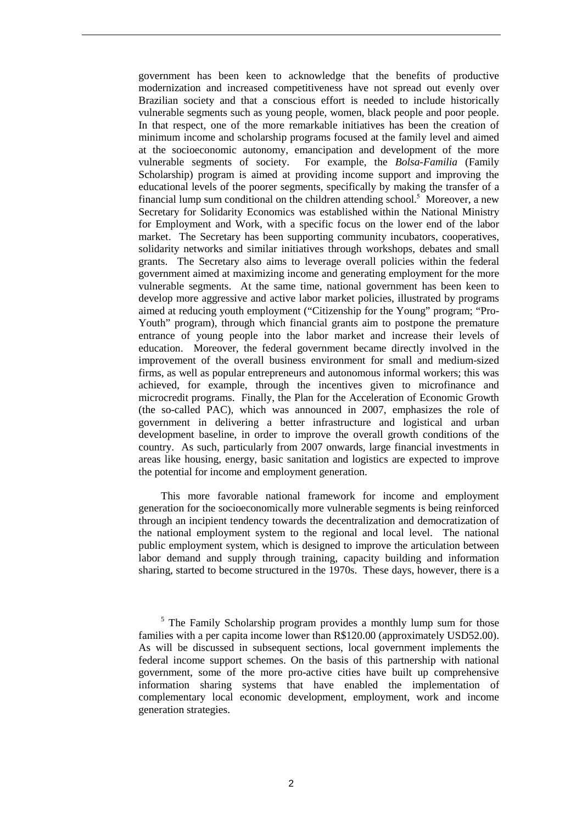government has been keen to acknowledge that the benefits of productive modernization and increased competitiveness have not spread out evenly over Brazilian society and that a conscious effort is needed to include historically vulnerable segments such as young people, women, black people and poor people. In that respect, one of the more remarkable initiatives has been the creation of minimum income and scholarship programs focused at the family level and aimed at the socioeconomic autonomy, emancipation and development of the more vulnerable segments of society. For example, the *Bolsa-Familia* (Family Scholarship) program is aimed at providing income support and improving the educational levels of the poorer segments, specifically by making the transfer of a financial lump sum conditional on the children attending school.<sup>5</sup> Moreover, a new Secretary for Solidarity Economics was established within the National Ministry for Employment and Work, with a specific focus on the lower end of the labor market. The Secretary has been supporting community incubators, cooperatives, solidarity networks and similar initiatives through workshops, debates and small grants. The Secretary also aims to leverage overall policies within the federal government aimed at maximizing income and generating employment for the more vulnerable segments. At the same time, national government has been keen to develop more aggressive and active labor market policies, illustrated by programs aimed at reducing youth employment ("Citizenship for the Young" program; "Pro-Youth" program), through which financial grants aim to postpone the premature entrance of young people into the labor market and increase their levels of education. Moreover, the federal government became directly involved in the improvement of the overall business environment for small and medium-sized firms, as well as popular entrepreneurs and autonomous informal workers; this was achieved, for example, through the incentives given to microfinance and microcredit programs. Finally, the Plan for the Acceleration of Economic Growth (the so-called PAC), which was announced in 2007, emphasizes the role of government in delivering a better infrastructure and logistical and urban development baseline, in order to improve the overall growth conditions of the country. As such, particularly from 2007 onwards, large financial investments in areas like housing, energy, basic sanitation and logistics are expected to improve the potential for income and employment generation.

This more favorable national framework for income and employment generation for the socioeconomically more vulnerable segments is being reinforced through an incipient tendency towards the decentralization and democratization of the national employment system to the regional and local level. The national public employment system, which is designed to improve the articulation between labor demand and supply through training, capacity building and information sharing, started to become structured in the 1970s. These days, however, there is a

<sup>&</sup>lt;sup>5</sup> The Family Scholarship program provides a monthly lump sum for those families with a per capita income lower than R\$120.00 (approximately USD52.00). As will be discussed in subsequent sections, local government implements the federal income support schemes. On the basis of this partnership with national government, some of the more pro-active cities have built up comprehensive information sharing systems that have enabled the implementation of complementary local economic development, employment, work and income generation strategies.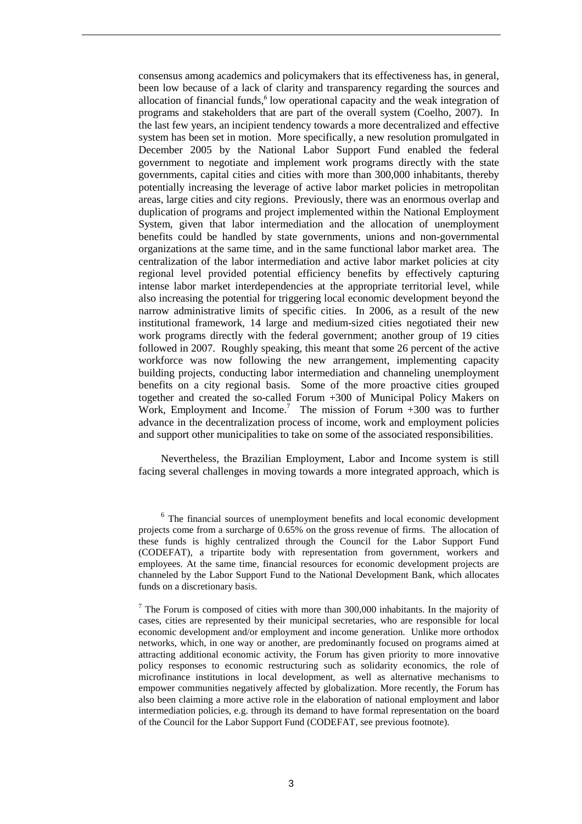consensus among academics and policymakers that its effectiveness has, in general, been low because of a lack of clarity and transparency regarding the sources and allocation of financial funds, $6$  low operational capacity and the weak integration of programs and stakeholders that are part of the overall system (Coelho, 2007). In the last few years, an incipient tendency towards a more decentralized and effective system has been set in motion. More specifically, a new resolution promulgated in December 2005 by the National Labor Support Fund enabled the federal government to negotiate and implement work programs directly with the state governments, capital cities and cities with more than 300,000 inhabitants, thereby potentially increasing the leverage of active labor market policies in metropolitan areas, large cities and city regions. Previously, there was an enormous overlap and duplication of programs and project implemented within the National Employment System, given that labor intermediation and the allocation of unemployment benefits could be handled by state governments, unions and non-governmental organizations at the same time, and in the same functional labor market area. The centralization of the labor intermediation and active labor market policies at city regional level provided potential efficiency benefits by effectively capturing intense labor market interdependencies at the appropriate territorial level, while also increasing the potential for triggering local economic development beyond the narrow administrative limits of specific cities. In 2006, as a result of the new institutional framework, 14 large and medium-sized cities negotiated their new work programs directly with the federal government; another group of 19 cities followed in 2007. Roughly speaking, this meant that some 26 percent of the active workforce was now following the new arrangement, implementing capacity building projects, conducting labor intermediation and channeling unemployment benefits on a city regional basis. Some of the more proactive cities grouped together and created the so-called Forum +300 of Municipal Policy Makers on Work, Employment and Income.<sup>7</sup> The mission of Forum  $+300$  was to further advance in the decentralization process of income, work and employment policies and support other municipalities to take on some of the associated responsibilities.

Nevertheless, the Brazilian Employment, Labor and Income system is still facing several challenges in moving towards a more integrated approach, which is

<sup>&</sup>lt;sup>6</sup> The financial sources of unemployment benefits and local economic development projects come from a surcharge of 0.65% on the gross revenue of firms. The allocation of these funds is highly centralized through the Council for the Labor Support Fund (CODEFAT), a tripartite body with representation from government, workers and employees. At the same time, financial resources for economic development projects are channeled by the Labor Support Fund to the National Development Bank, which allocates funds on a discretionary basis.

 $<sup>7</sup>$  The Forum is composed of cities with more than 300,000 inhabitants. In the majority of</sup> cases, cities are represented by their municipal secretaries, who are responsible for local economic development and/or employment and income generation. Unlike more orthodox networks, which, in one way or another, are predominantly focused on programs aimed at attracting additional economic activity, the Forum has given priority to more innovative policy responses to economic restructuring such as solidarity economics, the role of microfinance institutions in local development, as well as alternative mechanisms to empower communities negatively affected by globalization. More recently, the Forum has also been claiming a more active role in the elaboration of national employment and labor intermediation policies, e.g. through its demand to have formal representation on the board of the Council for the Labor Support Fund (CODEFAT, see previous footnote).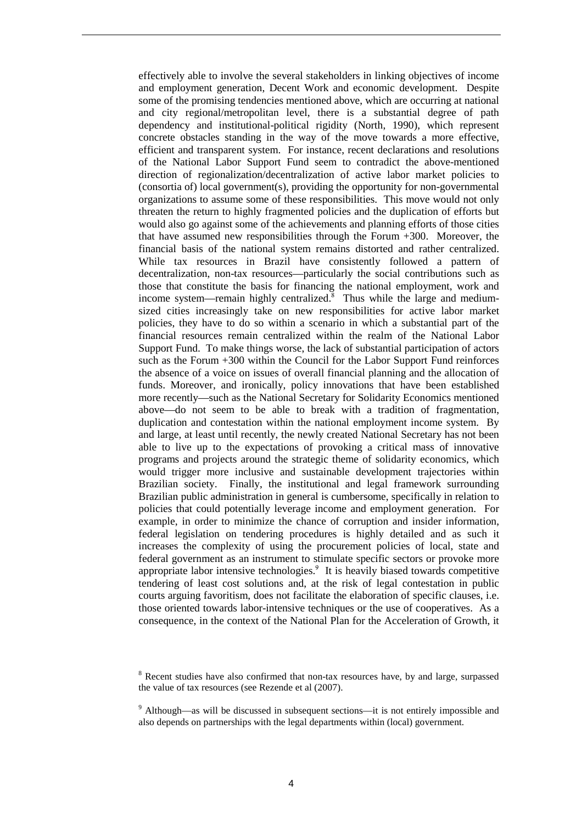effectively able to involve the several stakeholders in linking objectives of income and employment generation, Decent Work and economic development. Despite some of the promising tendencies mentioned above, which are occurring at national and city regional/metropolitan level, there is a substantial degree of path dependency and institutional-political rigidity (North, 1990), which represent concrete obstacles standing in the way of the move towards a more effective, efficient and transparent system. For instance, recent declarations and resolutions of the National Labor Support Fund seem to contradict the above-mentioned direction of regionalization/decentralization of active labor market policies to (consortia of) local government(s), providing the opportunity for non-governmental organizations to assume some of these responsibilities. This move would not only threaten the return to highly fragmented policies and the duplication of efforts but would also go against some of the achievements and planning efforts of those cities that have assumed new responsibilities through the Forum +300. Moreover, the financial basis of the national system remains distorted and rather centralized. While tax resources in Brazil have consistently followed a pattern of decentralization, non-tax resources—particularly the social contributions such as those that constitute the basis for financing the national employment, work and income system—remain highly centralized. $8$  Thus while the large and mediumsized cities increasingly take on new responsibilities for active labor market policies, they have to do so within a scenario in which a substantial part of the financial resources remain centralized within the realm of the National Labor Support Fund. To make things worse, the lack of substantial participation of actors such as the Forum +300 within the Council for the Labor Support Fund reinforces the absence of a voice on issues of overall financial planning and the allocation of funds. Moreover, and ironically, policy innovations that have been established more recently—such as the National Secretary for Solidarity Economics mentioned above—do not seem to be able to break with a tradition of fragmentation, duplication and contestation within the national employment income system. By and large, at least until recently, the newly created National Secretary has not been able to live up to the expectations of provoking a critical mass of innovative programs and projects around the strategic theme of solidarity economics, which would trigger more inclusive and sustainable development trajectories within Brazilian society. Finally, the institutional and legal framework surrounding Brazilian public administration in general is cumbersome, specifically in relation to policies that could potentially leverage income and employment generation. For example, in order to minimize the chance of corruption and insider information, federal legislation on tendering procedures is highly detailed and as such it increases the complexity of using the procurement policies of local, state and federal government as an instrument to stimulate specific sectors or provoke more appropriate labor intensive technologies.<sup>9</sup> It is heavily biased towards competitive tendering of least cost solutions and, at the risk of legal contestation in public courts arguing favoritism, does not facilitate the elaboration of specific clauses, i.e. those oriented towards labor-intensive techniques or the use of cooperatives. As a consequence, in the context of the National Plan for the Acceleration of Growth, it

<sup>&</sup>lt;sup>8</sup> Recent studies have also confirmed that non-tax resources have, by and large, surpassed the value of tax resources (see Rezende et al (2007).

<sup>&</sup>lt;sup>9</sup> Although—as will be discussed in subsequent sections—it is not entirely impossible and also depends on partnerships with the legal departments within (local) government.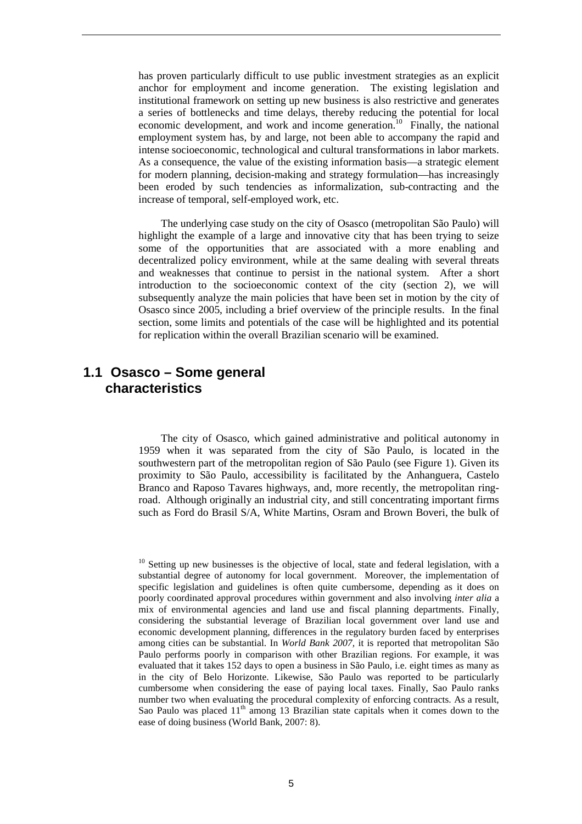has proven particularly difficult to use public investment strategies as an explicit anchor for employment and income generation. The existing legislation and institutional framework on setting up new business is also restrictive and generates a series of bottlenecks and time delays, thereby reducing the potential for local economic development, and work and income generation.<sup>10</sup> Finally, the national employment system has, by and large, not been able to accompany the rapid and intense socioeconomic, technological and cultural transformations in labor markets. As a consequence, the value of the existing information basis—a strategic element for modern planning, decision-making and strategy formulation—has increasingly been eroded by such tendencies as informalization, sub-contracting and the increase of temporal, self-employed work, etc.

The underlying case study on the city of Osasco (metropolitan São Paulo) will highlight the example of a large and innovative city that has been trying to seize some of the opportunities that are associated with a more enabling and decentralized policy environment, while at the same dealing with several threats and weaknesses that continue to persist in the national system. After a short introduction to the socioeconomic context of the city (section 2), we will subsequently analyze the main policies that have been set in motion by the city of Osasco since 2005, including a brief overview of the principle results. In the final section, some limits and potentials of the case will be highlighted and its potential for replication within the overall Brazilian scenario will be examined.

### **1.1 Osasco – Some general characteristics**

The city of Osasco, which gained administrative and political autonomy in 1959 when it was separated from the city of São Paulo, is located in the southwestern part of the metropolitan region of São Paulo (see Figure 1). Given its proximity to São Paulo, accessibility is facilitated by the Anhanguera, Castelo Branco and Raposo Tavares highways, and, more recently, the metropolitan ringroad. Although originally an industrial city, and still concentrating important firms such as Ford do Brasil S/A, White Martins, Osram and Brown Boveri, the bulk of

<sup>&</sup>lt;sup>10</sup> Setting up new businesses is the objective of local, state and federal legislation, with a substantial degree of autonomy for local government. Moreover, the implementation of specific legislation and guidelines is often quite cumbersome, depending as it does on poorly coordinated approval procedures within government and also involving *inter alia* a mix of environmental agencies and land use and fiscal planning departments. Finally, considering the substantial leverage of Brazilian local government over land use and economic development planning, differences in the regulatory burden faced by enterprises among cities can be substantial. In *World Bank 2007,* it is reported that metropolitan São Paulo performs poorly in comparison with other Brazilian regions. For example, it was evaluated that it takes 152 days to open a business in São Paulo, i.e. eight times as many as in the city of Belo Horizonte. Likewise, São Paulo was reported to be particularly cumbersome when considering the ease of paying local taxes. Finally, Sao Paulo ranks number two when evaluating the procedural complexity of enforcing contracts. As a result, Sao Paulo was placed  $11<sup>th</sup>$  among 13 Brazilian state capitals when it comes down to the ease of doing business (World Bank, 2007: 8).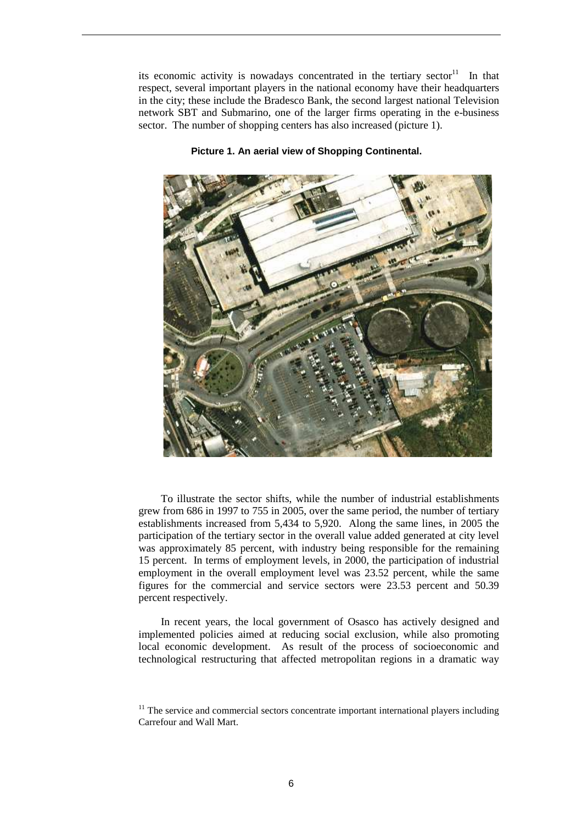its economic activity is nowadays concentrated in the tertiary sector<sup>11</sup> In that respect, several important players in the national economy have their headquarters in the city; these include the Bradesco Bank, the second largest national Television network SBT and Submarino, one of the larger firms operating in the e-business sector. The number of shopping centers has also increased (picture 1).



#### **Picture 1. An aerial view of Shopping Continental.**

To illustrate the sector shifts, while the number of industrial establishments grew from 686 in 1997 to 755 in 2005, over the same period, the number of tertiary establishments increased from 5,434 to 5,920. Along the same lines, in 2005 the participation of the tertiary sector in the overall value added generated at city level was approximately 85 percent, with industry being responsible for the remaining 15 percent. In terms of employment levels, in 2000, the participation of industrial employment in the overall employment level was 23.52 percent, while the same figures for the commercial and service sectors were 23.53 percent and 50.39 percent respectively.

In recent years, the local government of Osasco has actively designed and implemented policies aimed at reducing social exclusion, while also promoting local economic development. As result of the process of socioeconomic and technological restructuring that affected metropolitan regions in a dramatic way

 $11$  The service and commercial sectors concentrate important international players including Carrefour and Wall Mart.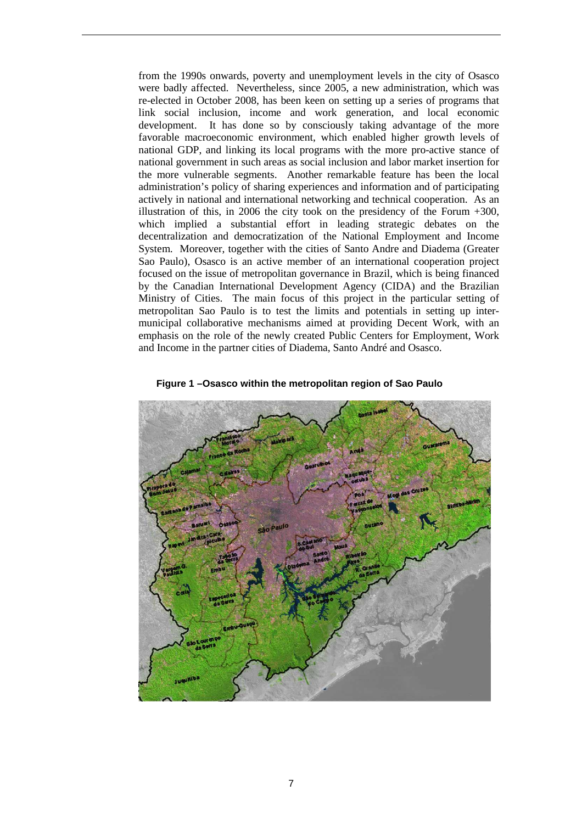from the 1990s onwards, poverty and unemployment levels in the city of Osasco were badly affected. Nevertheless, since 2005, a new administration, which was re-elected in October 2008, has been keen on setting up a series of programs that link social inclusion, income and work generation, and local economic development. It has done so by consciously taking advantage of the more favorable macroeconomic environment, which enabled higher growth levels of national GDP, and linking its local programs with the more pro-active stance of national government in such areas as social inclusion and labor market insertion for the more vulnerable segments. Another remarkable feature has been the local administration's policy of sharing experiences and information and of participating actively in national and international networking and technical cooperation. As an illustration of this, in 2006 the city took on the presidency of the Forum +300, which implied a substantial effort in leading strategic debates on the decentralization and democratization of the National Employment and Income System. Moreover, together with the cities of Santo Andre and Diadema (Greater Sao Paulo), Osasco is an active member of an international cooperation project focused on the issue of metropolitan governance in Brazil, which is being financed by the Canadian International Development Agency (CIDA) and the Brazilian Ministry of Cities. The main focus of this project in the particular setting of metropolitan Sao Paulo is to test the limits and potentials in setting up intermunicipal collaborative mechanisms aimed at providing Decent Work, with an emphasis on the role of the newly created Public Centers for Employment, Work and Income in the partner cities of Diadema, Santo André and Osasco.



**Figure 1 –Osasco within the metropolitan region of Sao Paulo**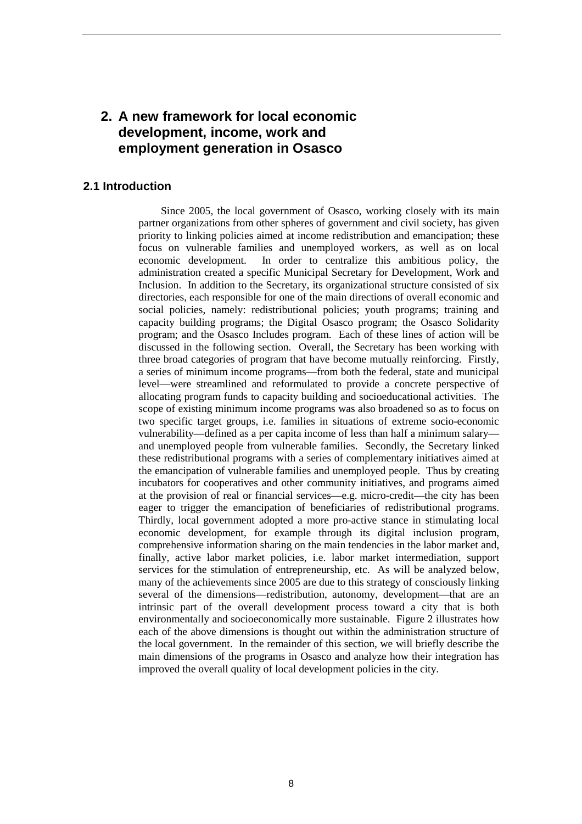### **2. A new framework for local economic development, income, work and employment generation in Osasco**

#### **2.1 Introduction**

Since 2005, the local government of Osasco, working closely with its main partner organizations from other spheres of government and civil society, has given priority to linking policies aimed at income redistribution and emancipation; these focus on vulnerable families and unemployed workers, as well as on local economic development. In order to centralize this ambitious policy, the administration created a specific Municipal Secretary for Development, Work and Inclusion. In addition to the Secretary, its organizational structure consisted of six directories, each responsible for one of the main directions of overall economic and social policies, namely: redistributional policies; youth programs; training and capacity building programs; the Digital Osasco program; the Osasco Solidarity program; and the Osasco Includes program. Each of these lines of action will be discussed in the following section. Overall, the Secretary has been working with three broad categories of program that have become mutually reinforcing. Firstly, a series of minimum income programs—from both the federal, state and municipal level—were streamlined and reformulated to provide a concrete perspective of allocating program funds to capacity building and socioeducational activities. The scope of existing minimum income programs was also broadened so as to focus on two specific target groups, i.e. families in situations of extreme socio-economic vulnerability—defined as a per capita income of less than half a minimum salary and unemployed people from vulnerable families. Secondly, the Secretary linked these redistributional programs with a series of complementary initiatives aimed at the emancipation of vulnerable families and unemployed people. Thus by creating incubators for cooperatives and other community initiatives, and programs aimed at the provision of real or financial services—e.g. micro-credit—the city has been eager to trigger the emancipation of beneficiaries of redistributional programs. Thirdly, local government adopted a more pro-active stance in stimulating local economic development, for example through its digital inclusion program, comprehensive information sharing on the main tendencies in the labor market and, finally, active labor market policies, i.e. labor market intermediation, support services for the stimulation of entrepreneurship, etc. As will be analyzed below, many of the achievements since 2005 are due to this strategy of consciously linking several of the dimensions—redistribution, autonomy, development—that are an intrinsic part of the overall development process toward a city that is both environmentally and socioeconomically more sustainable. Figure 2 illustrates how each of the above dimensions is thought out within the administration structure of the local government. In the remainder of this section, we will briefly describe the main dimensions of the programs in Osasco and analyze how their integration has improved the overall quality of local development policies in the city.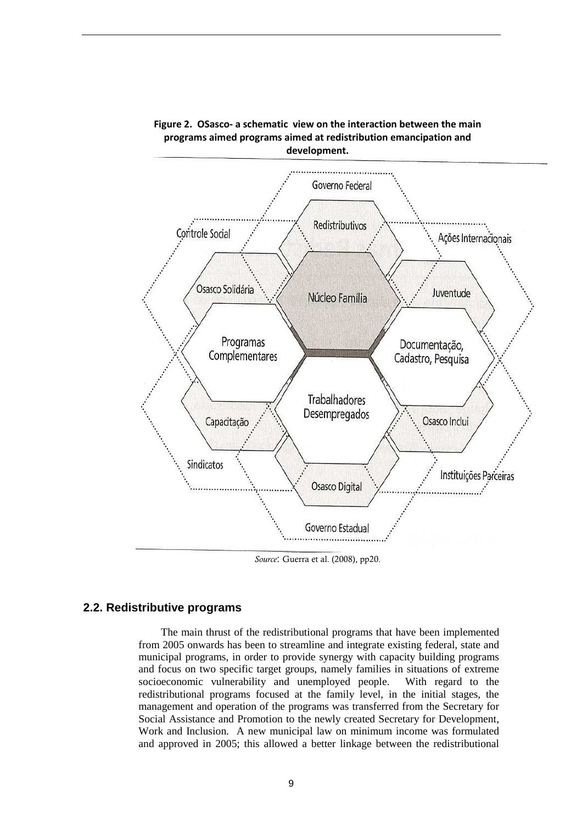



*Source*: Guerra et al. (2008), pp20.

#### **2.2. Redistributive programs**

The main thrust of the redistributional programs that have been implemented from 2005 onwards has been to streamline and integrate existing federal, state and municipal programs, in order to provide synergy with capacity building programs and focus on two specific target groups, namely families in situations of extreme socioeconomic vulnerability and unemployed people. With regard to the redistributional programs focused at the family level, in the initial stages, the management and operation of the programs was transferred from the Secretary for Social Assistance and Promotion to the newly created Secretary for Development, Work and Inclusion. A new municipal law on minimum income was formulated and approved in 2005; this allowed a better linkage between the redistributional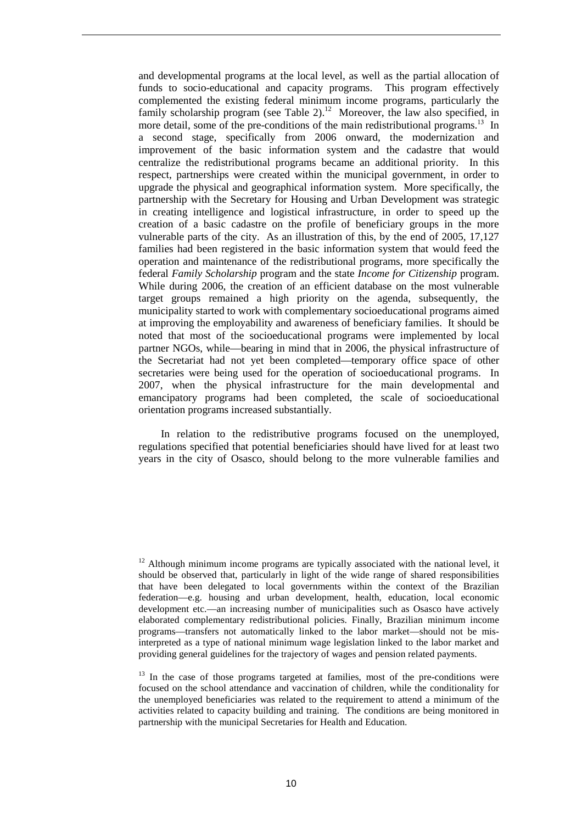and developmental programs at the local level, as well as the partial allocation of funds to socio-educational and capacity programs. This program effectively complemented the existing federal minimum income programs, particularly the family scholarship program (see Table 2).<sup>12</sup> Moreover, the law also specified, in more detail, some of the pre-conditions of the main redistributional programs.<sup>13</sup> In a second stage, specifically from 2006 onward, the modernization and improvement of the basic information system and the cadastre that would centralize the redistributional programs became an additional priority. In this respect, partnerships were created within the municipal government, in order to upgrade the physical and geographical information system. More specifically, the partnership with the Secretary for Housing and Urban Development was strategic in creating intelligence and logistical infrastructure, in order to speed up the creation of a basic cadastre on the profile of beneficiary groups in the more vulnerable parts of the city. As an illustration of this, by the end of 2005, 17,127 families had been registered in the basic information system that would feed the operation and maintenance of the redistributional programs, more specifically the federal *Family Scholarship* program and the state *Income for Citizenship* program. While during 2006, the creation of an efficient database on the most vulnerable target groups remained a high priority on the agenda, subsequently, the municipality started to work with complementary socioeducational programs aimed at improving the employability and awareness of beneficiary families. It should be noted that most of the socioeducational programs were implemented by local partner NGOs, while—bearing in mind that in 2006, the physical infrastructure of the Secretariat had not yet been completed—temporary office space of other secretaries were being used for the operation of socioeducational programs. In 2007, when the physical infrastructure for the main developmental and emancipatory programs had been completed, the scale of socioeducational orientation programs increased substantially.

In relation to the redistributive programs focused on the unemployed, regulations specified that potential beneficiaries should have lived for at least two years in the city of Osasco, should belong to the more vulnerable families and

 $12$  Although minimum income programs are typically associated with the national level, it should be observed that, particularly in light of the wide range of shared responsibilities that have been delegated to local governments within the context of the Brazilian federation—e.g. housing and urban development, health, education, local economic development etc.—an increasing number of municipalities such as Osasco have actively elaborated complementary redistributional policies. Finally, Brazilian minimum income programs—transfers not automatically linked to the labor market—should not be misinterpreted as a type of national minimum wage legislation linked to the labor market and providing general guidelines for the trajectory of wages and pension related payments.

 $13$  In the case of those programs targeted at families, most of the pre-conditions were focused on the school attendance and vaccination of children, while the conditionality for the unemployed beneficiaries was related to the requirement to attend a minimum of the activities related to capacity building and training. The conditions are being monitored in partnership with the municipal Secretaries for Health and Education.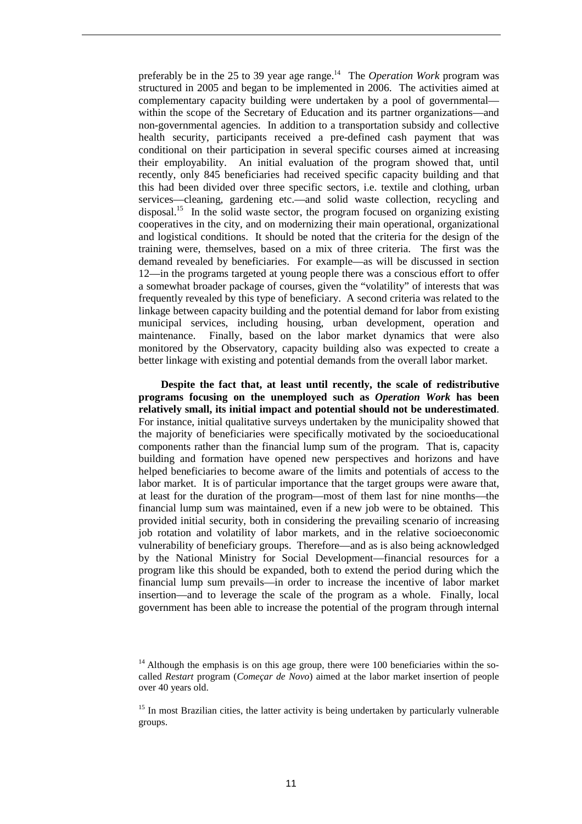preferably be in the 25 to 39 year age range.<sup>14</sup> The *Operation Work* program was structured in 2005 and began to be implemented in 2006. The activities aimed at complementary capacity building were undertaken by a pool of governmental within the scope of the Secretary of Education and its partner organizations—and non-governmental agencies. In addition to a transportation subsidy and collective health security, participants received a pre-defined cash payment that was conditional on their participation in several specific courses aimed at increasing their employability. An initial evaluation of the program showed that, until recently, only 845 beneficiaries had received specific capacity building and that this had been divided over three specific sectors, i.e. textile and clothing, urban services—cleaning, gardening etc.—and solid waste collection, recycling and disposal.<sup>15</sup> In the solid waste sector, the program focused on organizing existing cooperatives in the city, and on modernizing their main operational, organizational and logistical conditions. It should be noted that the criteria for the design of the training were, themselves, based on a mix of three criteria. The first was the demand revealed by beneficiaries. For example—as will be discussed in section 12—in the programs targeted at young people there was a conscious effort to offer a somewhat broader package of courses, given the "volatility" of interests that was frequently revealed by this type of beneficiary. A second criteria was related to the linkage between capacity building and the potential demand for labor from existing municipal services, including housing, urban development, operation and maintenance. Finally, based on the labor market dynamics that were also monitored by the Observatory, capacity building also was expected to create a better linkage with existing and potential demands from the overall labor market.

**Despite the fact that, at least until recently, the scale of redistributive programs focusing on the unemployed such as** *Operation Work* **has been relatively small, its initial impact and potential should not be underestimated**. For instance, initial qualitative surveys undertaken by the municipality showed that the majority of beneficiaries were specifically motivated by the socioeducational components rather than the financial lump sum of the program. That is, capacity building and formation have opened new perspectives and horizons and have helped beneficiaries to become aware of the limits and potentials of access to the labor market. It is of particular importance that the target groups were aware that, at least for the duration of the program—most of them last for nine months—the financial lump sum was maintained, even if a new job were to be obtained. This provided initial security, both in considering the prevailing scenario of increasing job rotation and volatility of labor markets, and in the relative socioeconomic vulnerability of beneficiary groups. Therefore—and as is also being acknowledged by the National Ministry for Social Development—financial resources for a program like this should be expanded, both to extend the period during which the financial lump sum prevails—in order to increase the incentive of labor market insertion—and to leverage the scale of the program as a whole. Finally, local government has been able to increase the potential of the program through internal

 $14$  Although the emphasis is on this age group, there were 100 beneficiaries within the socalled *Restart* program (*Começar de Novo*) aimed at the labor market insertion of people over 40 years old.

 $15$  In most Brazilian cities, the latter activity is being undertaken by particularly vulnerable groups.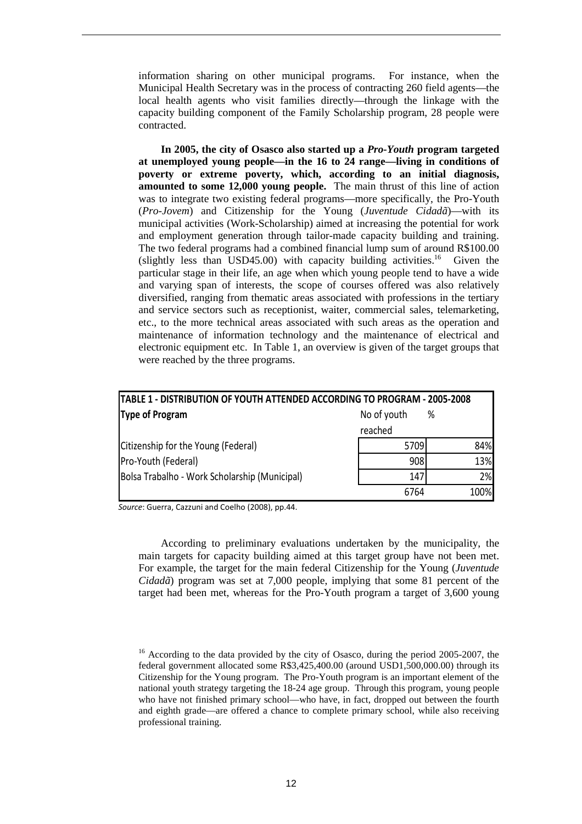information sharing on other municipal programs. For instance, when the Municipal Health Secretary was in the process of contracting 260 field agents—the local health agents who visit families directly—through the linkage with the capacity building component of the Family Scholarship program, 28 people were contracted.

**In 2005, the city of Osasco also started up a** *Pro-Youth* **program targeted at unemployed young people—in the 16 to 24 range—living in conditions of poverty or extreme poverty, which, according to an initial diagnosis, amounted to some 12,000 young people.** The main thrust of this line of action was to integrate two existing federal programs—more specifically, the Pro-Youth (*Pro-Jovem*) and Citizenship for the Young (*Juventude Cidadã*)—with its municipal activities (Work-Scholarship) aimed at increasing the potential for work and employment generation through tailor-made capacity building and training. The two federal programs had a combined financial lump sum of around R\$100.00 (slightly less than USD45.00) with capacity building activities.<sup>16</sup> Given the particular stage in their life, an age when which young people tend to have a wide and varying span of interests, the scope of courses offered was also relatively diversified, ranging from thematic areas associated with professions in the tertiary and service sectors such as receptionist, waiter, commercial sales, telemarketing, etc., to the more technical areas associated with such areas as the operation and maintenance of information technology and the maintenance of electrical and electronic equipment etc. In Table 1, an overview is given of the target groups that were reached by the three programs.

| <b>TABLE 1 - DISTRIBUTION OF YOUTH ATTENDED ACCORDING TO PROGRAM - 2005-2008</b> |             |      |  |  |
|----------------------------------------------------------------------------------|-------------|------|--|--|
| <b>Type of Program</b>                                                           | No of youth | %    |  |  |
|                                                                                  | reached     |      |  |  |
| Citizenship for the Young (Federal)                                              | 5709        | 84%  |  |  |
| Pro-Youth (Federal)                                                              | 908         | 13%  |  |  |
| Bolsa Trabalho - Work Scholarship (Municipal)                                    | <b>147</b>  | 2%   |  |  |
|                                                                                  | 6764        | 100% |  |  |

*Source*: Guerra, Cazzuni and Coelho (2008), pp.44.

According to preliminary evaluations undertaken by the municipality, the main targets for capacity building aimed at this target group have not been met. For example, the target for the main federal Citizenship for the Young (*Juventude Cidadã*) program was set at 7,000 people, implying that some 81 percent of the target had been met, whereas for the Pro-Youth program a target of 3,600 young

<sup>&</sup>lt;sup>16</sup> According to the data provided by the city of Osasco, during the period 2005-2007, the federal government allocated some R\$3,425,400.00 (around USD1,500,000.00) through its Citizenship for the Young program. The Pro-Youth program is an important element of the national youth strategy targeting the 18-24 age group. Through this program, young people who have not finished primary school—who have, in fact, dropped out between the fourth and eighth grade—are offered a chance to complete primary school, while also receiving professional training.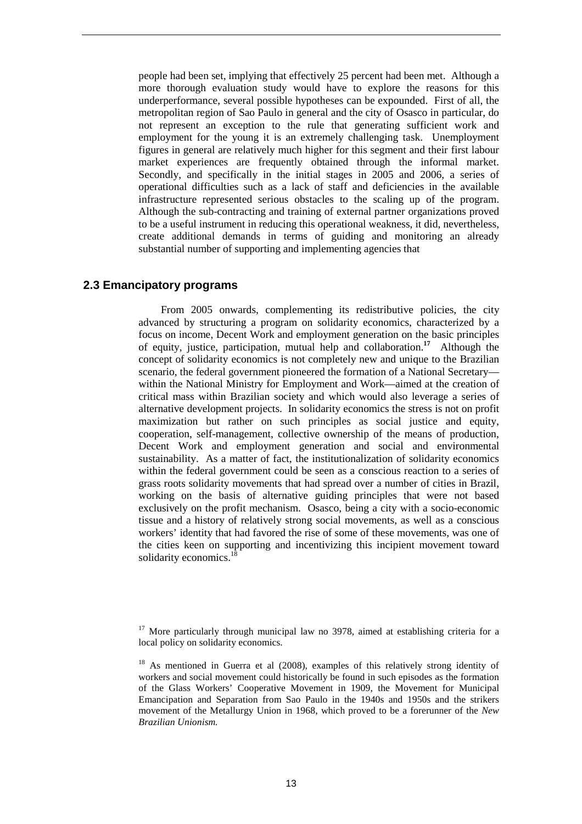people had been set, implying that effectively 25 percent had been met. Although a more thorough evaluation study would have to explore the reasons for this underperformance, several possible hypotheses can be expounded. First of all, the metropolitan region of Sao Paulo in general and the city of Osasco in particular, do not represent an exception to the rule that generating sufficient work and employment for the young it is an extremely challenging task. Unemployment figures in general are relatively much higher for this segment and their first labour market experiences are frequently obtained through the informal market. Secondly, and specifically in the initial stages in 2005 and 2006, a series of operational difficulties such as a lack of staff and deficiencies in the available infrastructure represented serious obstacles to the scaling up of the program. Although the sub-contracting and training of external partner organizations proved to be a useful instrument in reducing this operational weakness, it did, nevertheless, create additional demands in terms of guiding and monitoring an already substantial number of supporting and implementing agencies that

#### **2.3 Emancipatory programs**

From 2005 onwards, complementing its redistributive policies, the city advanced by structuring a program on solidarity economics, characterized by a focus on income, Decent Work and employment generation on the basic principles of equity, justice, participation, mutual help and collaboration.**<sup>17</sup>** Although the concept of solidarity economics is not completely new and unique to the Brazilian scenario, the federal government pioneered the formation of a National Secretary within the National Ministry for Employment and Work—aimed at the creation of critical mass within Brazilian society and which would also leverage a series of alternative development projects. In solidarity economics the stress is not on profit maximization but rather on such principles as social justice and equity, cooperation, self-management, collective ownership of the means of production, Decent Work and employment generation and social and environmental sustainability. As a matter of fact, the institutionalization of solidarity economics within the federal government could be seen as a conscious reaction to a series of grass roots solidarity movements that had spread over a number of cities in Brazil, working on the basis of alternative guiding principles that were not based exclusively on the profit mechanism. Osasco, being a city with a socio-economic tissue and a history of relatively strong social movements, as well as a conscious workers' identity that had favored the rise of some of these movements, was one of the cities keen on supporting and incentivizing this incipient movement toward solidarity economics.

 $17$  More particularly through municipal law no 3978, aimed at establishing criteria for a local policy on solidarity economics.

<sup>&</sup>lt;sup>18</sup> As mentioned in Guerra et al (2008), examples of this relatively strong identity of workers and social movement could historically be found in such episodes as the formation of the Glass Workers' Cooperative Movement in 1909, the Movement for Municipal Emancipation and Separation from Sao Paulo in the 1940s and 1950s and the strikers movement of the Metallurgy Union in 1968, which proved to be a forerunner of the *New Brazilian Unionism.*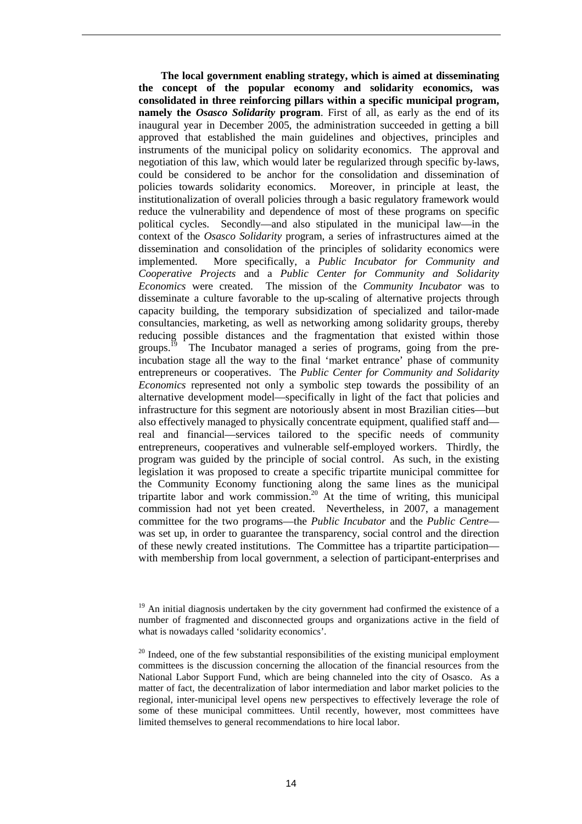**The local government enabling strategy, which is aimed at disseminating the concept of the popular economy and solidarity economics, was consolidated in three reinforcing pillars within a specific municipal program, namely the** *Osasco Solidarity* **program**. First of all, as early as the end of its inaugural year in December 2005, the administration succeeded in getting a bill approved that established the main guidelines and objectives, principles and instruments of the municipal policy on solidarity economics. The approval and negotiation of this law, which would later be regularized through specific by-laws, could be considered to be anchor for the consolidation and dissemination of policies towards solidarity economics. Moreover, in principle at least, the institutionalization of overall policies through a basic regulatory framework would reduce the vulnerability and dependence of most of these programs on specific political cycles. Secondly—and also stipulated in the municipal law—in the context of the *Osasco Solidarity* program, a series of infrastructures aimed at the dissemination and consolidation of the principles of solidarity economics were implemented. More specifically, a *Public Incubator for Community and Cooperative Projects* and a *Public Center for Community and Solidarity Economics* were created. The mission of the *Community Incubator* was to disseminate a culture favorable to the up-scaling of alternative projects through capacity building, the temporary subsidization of specialized and tailor-made consultancies, marketing, as well as networking among solidarity groups, thereby reducing possible distances and the fragmentation that existed within those groups.<sup>19</sup> The Incubator managed a series of programs, going from the preincubation stage all the way to the final 'market entrance' phase of community entrepreneurs or cooperatives. The *Public Center for Community and Solidarity Economics* represented not only a symbolic step towards the possibility of an alternative development model—specifically in light of the fact that policies and infrastructure for this segment are notoriously absent in most Brazilian cities—but also effectively managed to physically concentrate equipment, qualified staff and real and financial—services tailored to the specific needs of community entrepreneurs, cooperatives and vulnerable self-employed workers. Thirdly, the program was guided by the principle of social control. As such, in the existing legislation it was proposed to create a specific tripartite municipal committee for the Community Economy functioning along the same lines as the municipal tripartite labor and work commission.<sup>20</sup> At the time of writing, this municipal commission had not yet been created. Nevertheless, in 2007, a management committee for the two programs—the *Public Incubator* and the *Public Centre* was set up, in order to guarantee the transparency, social control and the direction of these newly created institutions. The Committee has a tripartite participation with membership from local government, a selection of participant-enterprises and

 $19$  An initial diagnosis undertaken by the city government had confirmed the existence of a number of fragmented and disconnected groups and organizations active in the field of what is nowadays called 'solidarity economics'.

 $^{20}$  Indeed, one of the few substantial responsibilities of the existing municipal employment committees is the discussion concerning the allocation of the financial resources from the National Labor Support Fund, which are being channeled into the city of Osasco. As a matter of fact, the decentralization of labor intermediation and labor market policies to the regional, inter-municipal level opens new perspectives to effectively leverage the role of some of these municipal committees. Until recently, however, most committees have limited themselves to general recommendations to hire local labor.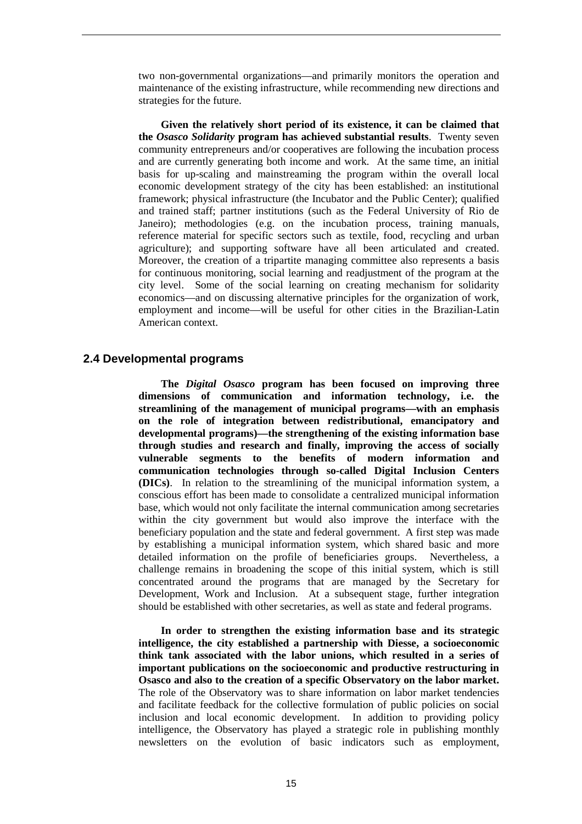two non-governmental organizations—and primarily monitors the operation and maintenance of the existing infrastructure, while recommending new directions and strategies for the future.

**Given the relatively short period of its existence, it can be claimed that the** *Osasco Solidarity* **program has achieved substantial results**. Twenty seven community entrepreneurs and/or cooperatives are following the incubation process and are currently generating both income and work. At the same time, an initial basis for up-scaling and mainstreaming the program within the overall local economic development strategy of the city has been established: an institutional framework; physical infrastructure (the Incubator and the Public Center); qualified and trained staff; partner institutions (such as the Federal University of Rio de Janeiro); methodologies (e.g. on the incubation process, training manuals, reference material for specific sectors such as textile, food, recycling and urban agriculture); and supporting software have all been articulated and created. Moreover, the creation of a tripartite managing committee also represents a basis for continuous monitoring, social learning and readjustment of the program at the city level. Some of the social learning on creating mechanism for solidarity economics—and on discussing alternative principles for the organization of work, employment and income—will be useful for other cities in the Brazilian-Latin American context.

#### **2.4 Developmental programs**

**The** *Digital Osasco* **program has been focused on improving three dimensions of communication and information technology, i.e. the streamlining of the management of municipal programs—with an emphasis on the role of integration between redistributional, emancipatory and developmental programs)—the strengthening of the existing information base through studies and research and finally, improving the access of socially vulnerable segments to the benefits of modern information and communication technologies through so-called Digital Inclusion Centers (DICs)**. In relation to the streamlining of the municipal information system, a conscious effort has been made to consolidate a centralized municipal information base, which would not only facilitate the internal communication among secretaries within the city government but would also improve the interface with the beneficiary population and the state and federal government. A first step was made by establishing a municipal information system, which shared basic and more detailed information on the profile of beneficiaries groups. Nevertheless, a challenge remains in broadening the scope of this initial system, which is still concentrated around the programs that are managed by the Secretary for Development, Work and Inclusion. At a subsequent stage, further integration should be established with other secretaries, as well as state and federal programs.

**In order to strengthen the existing information base and its strategic intelligence, the city established a partnership with Diesse, a socioeconomic think tank associated with the labor unions, which resulted in a series of important publications on the socioeconomic and productive restructuring in Osasco and also to the creation of a specific Observatory on the labor market.** The role of the Observatory was to share information on labor market tendencies and facilitate feedback for the collective formulation of public policies on social inclusion and local economic development. In addition to providing policy intelligence, the Observatory has played a strategic role in publishing monthly newsletters on the evolution of basic indicators such as employment,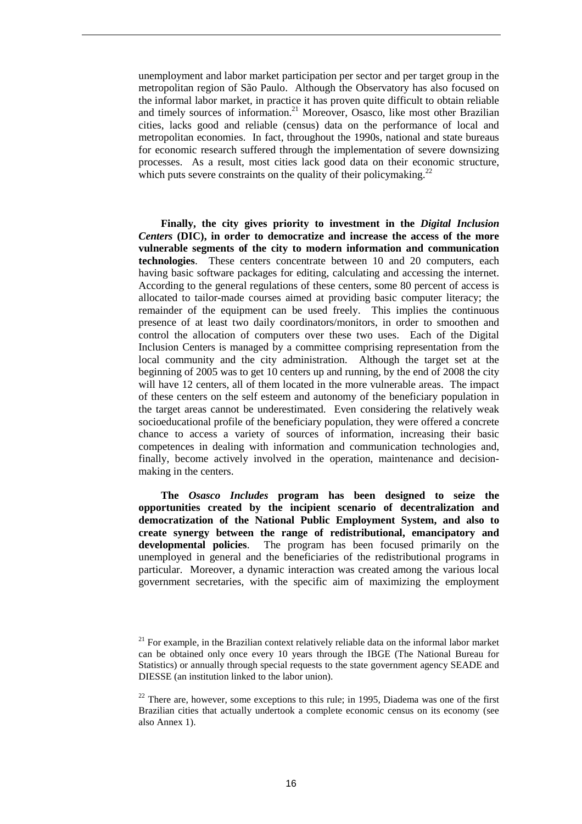unemployment and labor market participation per sector and per target group in the metropolitan region of São Paulo. Although the Observatory has also focused on the informal labor market, in practice it has proven quite difficult to obtain reliable and timely sources of information.<sup>21</sup> Moreover, Osasco, like most other Brazilian cities, lacks good and reliable (census) data on the performance of local and metropolitan economies. In fact, throughout the 1990s, national and state bureaus for economic research suffered through the implementation of severe downsizing processes. As a result, most cities lack good data on their economic structure, which puts severe constraints on the quality of their policymaking.<sup>22</sup>

**Finally, the city gives priority to investment in the** *Digital Inclusion Centers* **(DIC), in order to democratize and increase the access of the more vulnerable segments of the city to modern information and communication technologies**. These centers concentrate between 10 and 20 computers, each having basic software packages for editing, calculating and accessing the internet. According to the general regulations of these centers, some 80 percent of access is allocated to tailor-made courses aimed at providing basic computer literacy; the remainder of the equipment can be used freely. This implies the continuous presence of at least two daily coordinators/monitors, in order to smoothen and control the allocation of computers over these two uses. Each of the Digital Inclusion Centers is managed by a committee comprising representation from the local community and the city administration. Although the target set at the beginning of 2005 was to get 10 centers up and running, by the end of 2008 the city will have 12 centers, all of them located in the more vulnerable areas. The impact of these centers on the self esteem and autonomy of the beneficiary population in the target areas cannot be underestimated. Even considering the relatively weak socioeducational profile of the beneficiary population, they were offered a concrete chance to access a variety of sources of information, increasing their basic competences in dealing with information and communication technologies and, finally, become actively involved in the operation, maintenance and decisionmaking in the centers.

**The** *Osasco Includes* **program has been designed to seize the opportunities created by the incipient scenario of decentralization and democratization of the National Public Employment System, and also to create synergy between the range of redistributional, emancipatory and developmental policies**. The program has been focused primarily on the unemployed in general and the beneficiaries of the redistributional programs in particular. Moreover, a dynamic interaction was created among the various local government secretaries, with the specific aim of maximizing the employment

 $21$  For example, in the Brazilian context relatively reliable data on the informal labor market can be obtained only once every 10 years through the IBGE (The National Bureau for Statistics) or annually through special requests to the state government agency SEADE and DIESSE (an institution linked to the labor union).

 $22$  There are, however, some exceptions to this rule; in 1995, Diadema was one of the first Brazilian cities that actually undertook a complete economic census on its economy (see also Annex 1).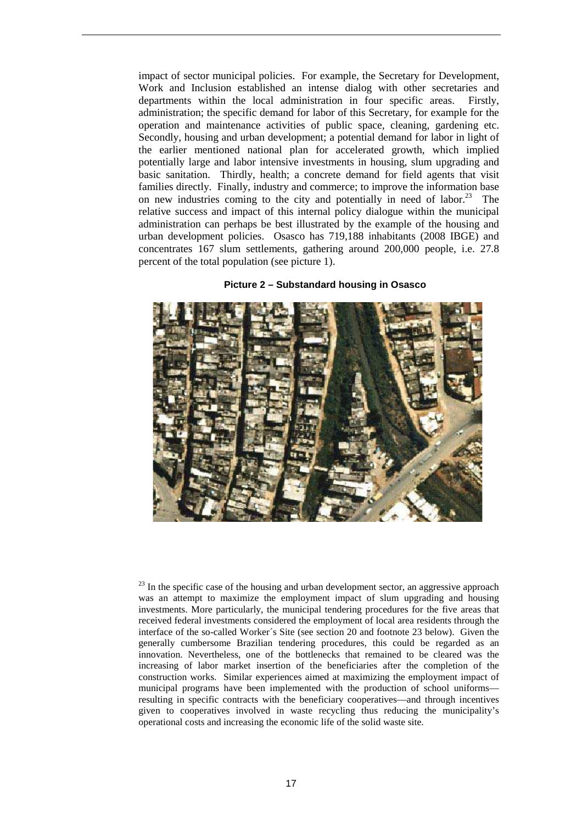impact of sector municipal policies. For example, the Secretary for Development, Work and Inclusion established an intense dialog with other secretaries and departments within the local administration in four specific areas. Firstly, administration; the specific demand for labor of this Secretary, for example for the operation and maintenance activities of public space, cleaning, gardening etc. Secondly, housing and urban development; a potential demand for labor in light of the earlier mentioned national plan for accelerated growth, which implied potentially large and labor intensive investments in housing, slum upgrading and basic sanitation. Thirdly, health; a concrete demand for field agents that visit families directly. Finally, industry and commerce; to improve the information base on new industries coming to the city and potentially in need of labor.<sup>23</sup> The relative success and impact of this internal policy dialogue within the municipal administration can perhaps be best illustrated by the example of the housing and urban development policies. Osasco has 719,188 inhabitants (2008 IBGE) and concentrates 167 slum settlements, gathering around 200,000 people, i.e. 27.8 percent of the total population (see picture 1).



**Picture 2 – Substandard housing in Osasco** 

 $^{23}$  In the specific case of the housing and urban development sector, an aggressive approach was an attempt to maximize the employment impact of slum upgrading and housing investments. More particularly, the municipal tendering procedures for the five areas that received federal investments considered the employment of local area residents through the interface of the so-called Worker´s Site (see section 20 and footnote 23 below). Given the generally cumbersome Brazilian tendering procedures, this could be regarded as an innovation. Nevertheless, one of the bottlenecks that remained to be cleared was the increasing of labor market insertion of the beneficiaries after the completion of the construction works. Similar experiences aimed at maximizing the employment impact of municipal programs have been implemented with the production of school uniforms resulting in specific contracts with the beneficiary cooperatives—and through incentives given to cooperatives involved in waste recycling thus reducing the municipality's operational costs and increasing the economic life of the solid waste site.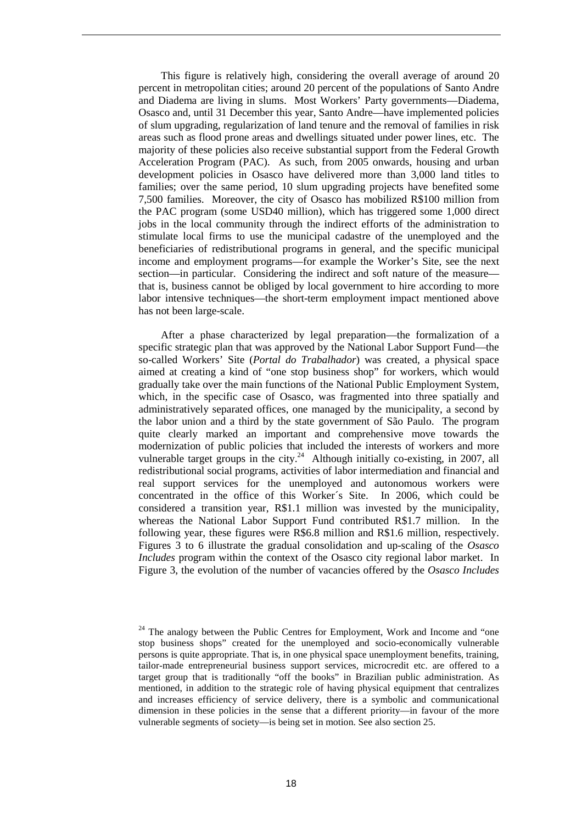This figure is relatively high, considering the overall average of around 20 percent in metropolitan cities; around 20 percent of the populations of Santo Andre and Diadema are living in slums. Most Workers' Party governments—Diadema, Osasco and, until 31 December this year, Santo Andre—have implemented policies of slum upgrading, regularization of land tenure and the removal of families in risk areas such as flood prone areas and dwellings situated under power lines, etc. The majority of these policies also receive substantial support from the Federal Growth Acceleration Program (PAC). As such, from 2005 onwards, housing and urban development policies in Osasco have delivered more than 3,000 land titles to families; over the same period, 10 slum upgrading projects have benefited some 7,500 families. Moreover, the city of Osasco has mobilized R\$100 million from the PAC program (some USD40 million), which has triggered some 1,000 direct jobs in the local community through the indirect efforts of the administration to stimulate local firms to use the municipal cadastre of the unemployed and the beneficiaries of redistributional programs in general, and the specific municipal income and employment programs—for example the Worker's Site, see the next section—in particular. Considering the indirect and soft nature of the measurethat is, business cannot be obliged by local government to hire according to more labor intensive techniques—the short-term employment impact mentioned above has not been large-scale.

After a phase characterized by legal preparation—the formalization of a specific strategic plan that was approved by the National Labor Support Fund—the so-called Workers' Site (*Portal do Trabalhador*) was created, a physical space aimed at creating a kind of "one stop business shop" for workers, which would gradually take over the main functions of the National Public Employment System, which, in the specific case of Osasco, was fragmented into three spatially and administratively separated offices, one managed by the municipality, a second by the labor union and a third by the state government of São Paulo. The program quite clearly marked an important and comprehensive move towards the modernization of public policies that included the interests of workers and more vulnerable target groups in the city.<sup>24</sup> Although initially co-existing, in 2007, all redistributional social programs, activities of labor intermediation and financial and real support services for the unemployed and autonomous workers were concentrated in the office of this Worker´s Site. In 2006, which could be considered a transition year, R\$1.1 million was invested by the municipality, whereas the National Labor Support Fund contributed R\$1.7 million. In the following year, these figures were R\$6.8 million and R\$1.6 million, respectively. Figures 3 to 6 illustrate the gradual consolidation and up-scaling of the *Osasco Includes* program within the context of the Osasco city regional labor market. In Figure 3, the evolution of the number of vacancies offered by the *Osasco Includes*

<sup>&</sup>lt;sup>24</sup> The analogy between the Public Centres for Employment, Work and Income and "one stop business shops" created for the unemployed and socio-economically vulnerable persons is quite appropriate. That is, in one physical space unemployment benefits, training, tailor-made entrepreneurial business support services, microcredit etc. are offered to a target group that is traditionally "off the books" in Brazilian public administration. As mentioned, in addition to the strategic role of having physical equipment that centralizes and increases efficiency of service delivery, there is a symbolic and communicational dimension in these policies in the sense that a different priority—in favour of the more vulnerable segments of society—is being set in motion. See also section 25.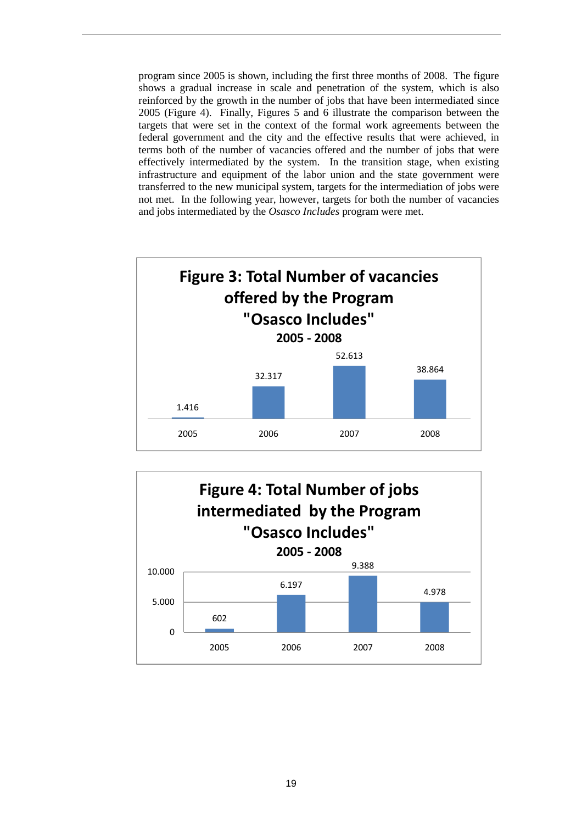program since 2005 is shown, including the first three months of 2008. The figure shows a gradual increase in scale and penetration of the system, which is also reinforced by the growth in the number of jobs that have been intermediated since 2005 (Figure 4). Finally, Figures 5 and 6 illustrate the comparison between the targets that were set in the context of the formal work agreements between the federal government and the city and the effective results that were achieved, in terms both of the number of vacancies offered and the number of jobs that were effectively intermediated by the system. In the transition stage, when existing infrastructure and equipment of the labor union and the state government were transferred to the new municipal system, targets for the intermediation of jobs were not met. In the following year, however, targets for both the number of vacancies and jobs intermediated by the *Osasco Includes* program were met.



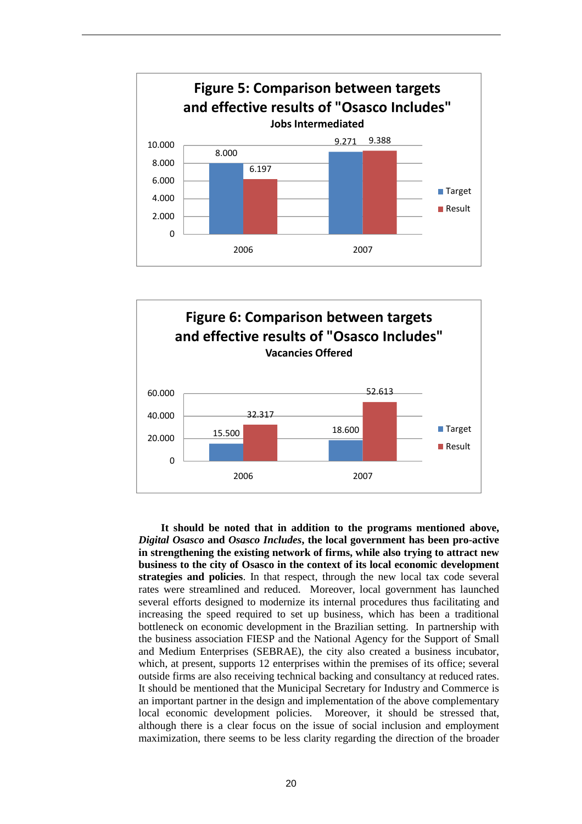



**It should be noted that in addition to the programs mentioned above,**  *Digital Osasco* **and** *Osasco Includes***, the local government has been pro-active in strengthening the existing network of firms, while also trying to attract new business to the city of Osasco in the context of its local economic development strategies and policies**. In that respect, through the new local tax code several rates were streamlined and reduced. Moreover, local government has launched several efforts designed to modernize its internal procedures thus facilitating and increasing the speed required to set up business, which has been a traditional bottleneck on economic development in the Brazilian setting. In partnership with the business association FIESP and the National Agency for the Support of Small and Medium Enterprises (SEBRAE), the city also created a business incubator, which, at present, supports 12 enterprises within the premises of its office; several outside firms are also receiving technical backing and consultancy at reduced rates. It should be mentioned that the Municipal Secretary for Industry and Commerce is an important partner in the design and implementation of the above complementary local economic development policies. Moreover, it should be stressed that, although there is a clear focus on the issue of social inclusion and employment maximization, there seems to be less clarity regarding the direction of the broader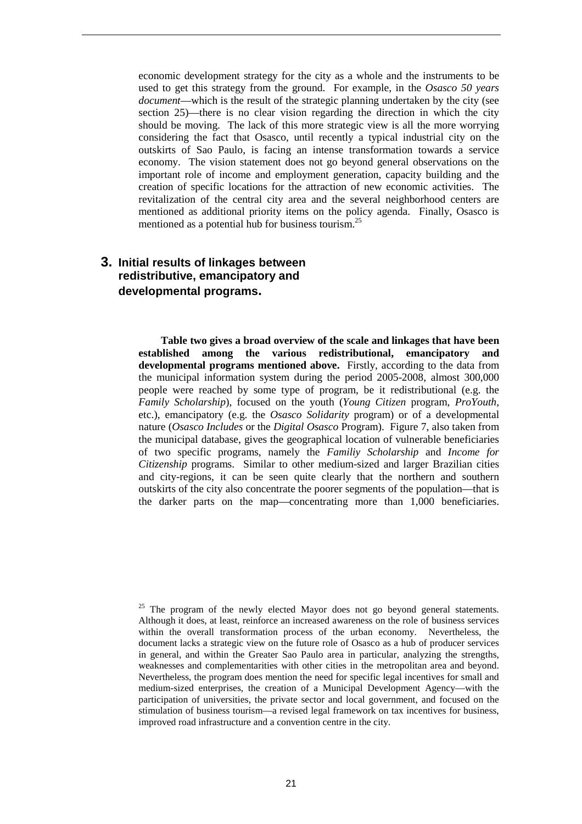economic development strategy for the city as a whole and the instruments to be used to get this strategy from the ground. For example, in the *Osasco 50 years document*—which is the result of the strategic planning undertaken by the city (see section 25)—there is no clear vision regarding the direction in which the city should be moving. The lack of this more strategic view is all the more worrying considering the fact that Osasco, until recently a typical industrial city on the outskirts of Sao Paulo, is facing an intense transformation towards a service economy. The vision statement does not go beyond general observations on the important role of income and employment generation, capacity building and the creation of specific locations for the attraction of new economic activities. The revitalization of the central city area and the several neighborhood centers are mentioned as additional priority items on the policy agenda. Finally, Osasco is mentioned as a potential hub for business tourism.<sup>25</sup>

### **3. Initial results of linkages between redistributive, emancipatory and developmental programs.**

**Table two gives a broad overview of the scale and linkages that have been established among the various redistributional, emancipatory and developmental programs mentioned above.** Firstly, according to the data from the municipal information system during the period 2005-2008, almost 300,000 people were reached by some type of program, be it redistributional (e.g. the *Family Scholarship*), focused on the youth (*Young Citizen* program, *ProYouth*, etc.), emancipatory (e.g. the *Osasco Solidarity* program) or of a developmental nature (*Osasco Includes* or the *Digital Osasco* Program). Figure 7, also taken from the municipal database, gives the geographical location of vulnerable beneficiaries of two specific programs, namely the *Familiy Scholarship* and *Income for Citizenship* programs. Similar to other medium-sized and larger Brazilian cities and city-regions, it can be seen quite clearly that the northern and southern outskirts of the city also concentrate the poorer segments of the population—that is the darker parts on the map—concentrating more than 1,000 beneficiaries.

 $25$  The program of the newly elected Mayor does not go beyond general statements. Although it does, at least, reinforce an increased awareness on the role of business services within the overall transformation process of the urban economy. Nevertheless, the document lacks a strategic view on the future role of Osasco as a hub of producer services in general, and within the Greater Sao Paulo area in particular, analyzing the strengths, weaknesses and complementarities with other cities in the metropolitan area and beyond. Nevertheless, the program does mention the need for specific legal incentives for small and medium-sized enterprises, the creation of a Municipal Development Agency—with the participation of universities, the private sector and local government, and focused on the stimulation of business tourism—a revised legal framework on tax incentives for business, improved road infrastructure and a convention centre in the city.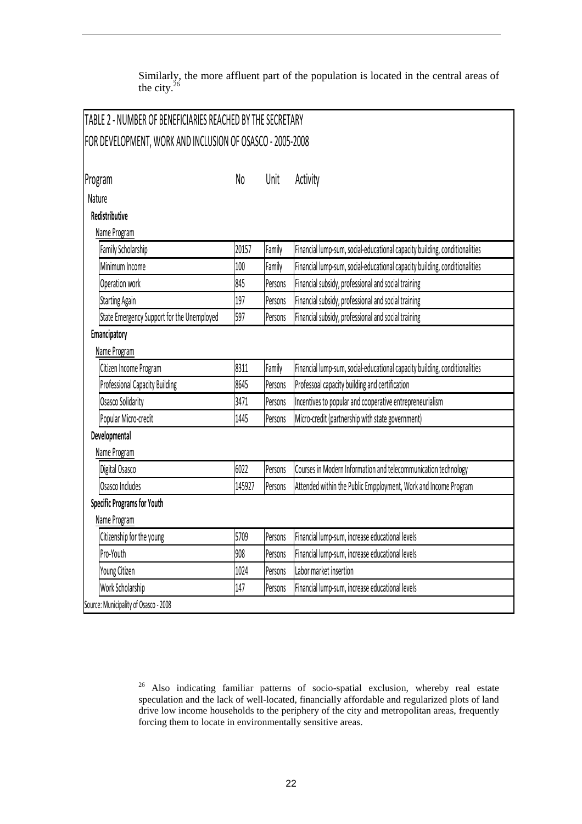Similarly, the more affluent part of the population is located in the central areas of the city. $26$ 

| <b>TABLE 2 - NUMBER OF BENEFICIARIES REACHED BY THE SECRETARY</b> |        |         |                                                                            |
|-------------------------------------------------------------------|--------|---------|----------------------------------------------------------------------------|
| FOR DEVELOPMENT, WORK AND INCLUSION OF OSASCO - 2005-2008         |        |         |                                                                            |
| Program                                                           | No     | Unit    | Activity                                                                   |
| Nature                                                            |        |         |                                                                            |
| Redistributive                                                    |        |         |                                                                            |
| Name Program                                                      |        |         |                                                                            |
| Family Scholarship                                                | 20157  | Family  | Financial lump-sum, social-educational capacity building, conditionalities |
| Minimum Income                                                    | 100    | Family  | Financial lump-sum, social-educational capacity building, conditionalities |
| Operation work                                                    | 845    | Persons | Financial subsidy, professional and social training                        |
| <b>Starting Again</b>                                             | 197    | Persons | Financial subsidy, professional and social training                        |
| State Emergency Support for the Unemployed                        | 597    | Persons | Financial subsidy, professional and social training                        |
| Emancipatory                                                      |        |         |                                                                            |
| Name Program                                                      |        |         |                                                                            |
| Citizen Income Program                                            | 8311   | Family  | Financial lump-sum, social-educational capacity building, conditionalities |
| <b>Professional Capacity Building</b>                             | 8645   | Persons | Professoal capacity building and certification                             |
| Osasco Solidarity                                                 | 3471   | Persons | Incentives to popular and cooperative entrepreneurialism                   |
| Popular Micro-credit                                              | 1445   | Persons | Micro-credit (partnership with state government)                           |
| Developmental                                                     |        |         |                                                                            |
| Name Program                                                      |        |         |                                                                            |
| Digital Osasco                                                    | 6022   | Persons | Courses in Modern Information and telecommunication technology             |
| Osasco Includes                                                   | 145927 | Persons | Attended within the Public Empployment, Work and Income Program            |
| <b>Specific Programs for Youth</b>                                |        |         |                                                                            |
| Name Program                                                      |        |         |                                                                            |
| Citizenship for the young                                         | 5709   | Persons | Financial lump-sum, increase educational levels                            |
| Pro-Youth                                                         | 908    | Persons | Financial lump-sum, increase educational levels                            |
| Young Citizen                                                     | 1024   | Persons | Labor market insertion                                                     |
| Work Scholarship                                                  | 147    | Persons | Financial lump-sum, increase educational levels                            |
| Source: Municipality of Osasco - 2008                             |        |         |                                                                            |

<sup>26</sup> Also indicating familiar patterns of socio-spatial exclusion, whereby real estate speculation and the lack of well-located, financially affordable and regularized plots of land drive low income households to the periphery of the city and metropolitan areas, frequently forcing them to locate in environmentally sensitive areas.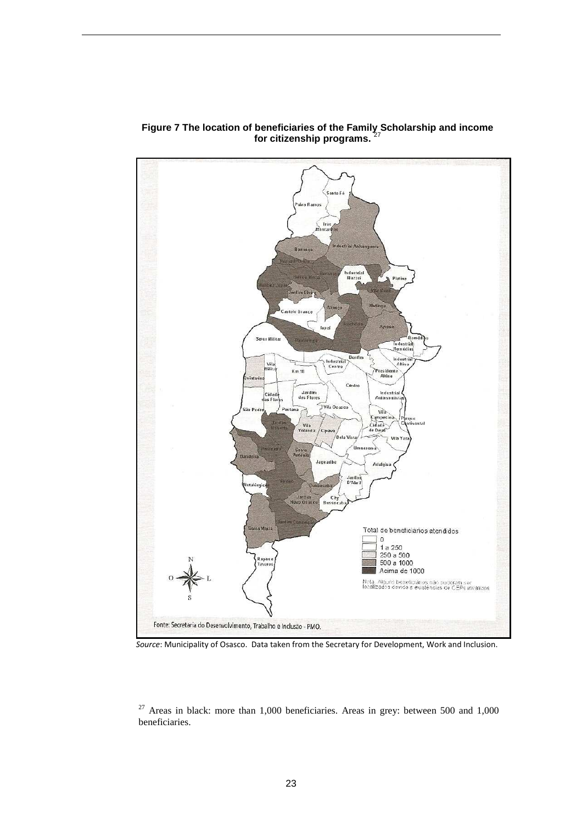

Figure 7 The location of beneficiaries of the Family<sub>z</sub>Scholarship and income **for citizenship programs.** <sup>27</sup>

*Source*: Municipality of Osasco. Data taken from the Secretary for Development, Work and Inclusion.

 $27$  Areas in black: more than 1,000 beneficiaries. Areas in grey: between 500 and 1,000 beneficiaries.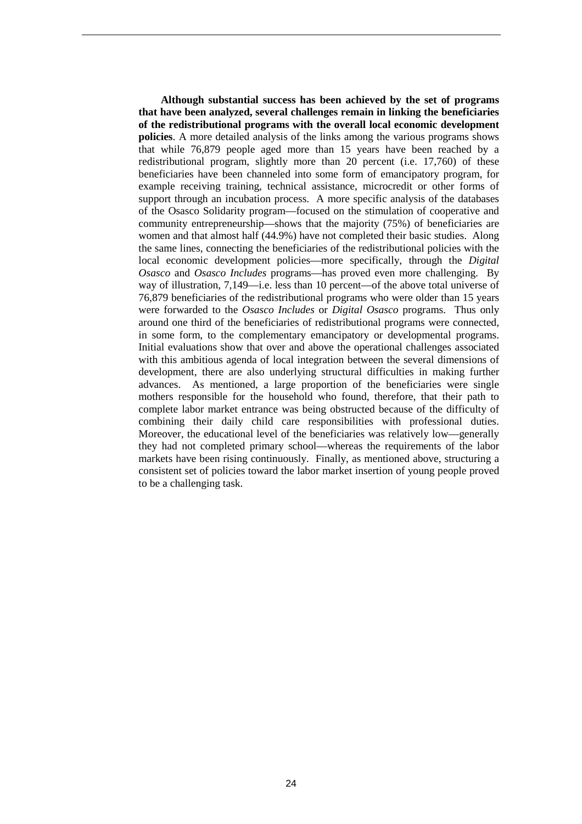**Although substantial success has been achieved by the set of programs that have been analyzed, several challenges remain in linking the beneficiaries of the redistributional programs with the overall local economic development policies**. A more detailed analysis of the links among the various programs shows that while 76,879 people aged more than 15 years have been reached by a redistributional program, slightly more than 20 percent (i.e. 17,760) of these beneficiaries have been channeled into some form of emancipatory program, for example receiving training, technical assistance, microcredit or other forms of support through an incubation process. A more specific analysis of the databases of the Osasco Solidarity program—focused on the stimulation of cooperative and community entrepreneurship—shows that the majority (75%) of beneficiaries are women and that almost half (44.9%) have not completed their basic studies. Along the same lines, connecting the beneficiaries of the redistributional policies with the local economic development policies—more specifically, through the *Digital Osasco* and *Osasco Includes* programs—has proved even more challenging. By way of illustration, 7,149—i.e. less than 10 percent—of the above total universe of 76,879 beneficiaries of the redistributional programs who were older than 15 years were forwarded to the *Osasco Includes* or *Digital Osasco* programs. Thus only around one third of the beneficiaries of redistributional programs were connected, in some form, to the complementary emancipatory or developmental programs. Initial evaluations show that over and above the operational challenges associated with this ambitious agenda of local integration between the several dimensions of development, there are also underlying structural difficulties in making further advances. As mentioned, a large proportion of the beneficiaries were single mothers responsible for the household who found, therefore, that their path to complete labor market entrance was being obstructed because of the difficulty of combining their daily child care responsibilities with professional duties. Moreover, the educational level of the beneficiaries was relatively low—generally they had not completed primary school—whereas the requirements of the labor markets have been rising continuously. Finally, as mentioned above, structuring a consistent set of policies toward the labor market insertion of young people proved to be a challenging task.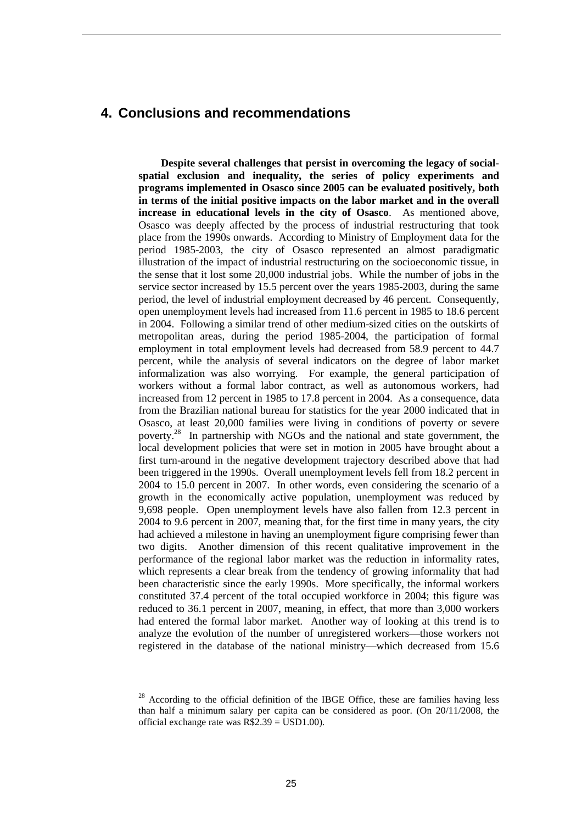### **4. Conclusions and recommendations**

**Despite several challenges that persist in overcoming the legacy of socialspatial exclusion and inequality, the series of policy experiments and programs implemented in Osasco since 2005 can be evaluated positively, both in terms of the initial positive impacts on the labor market and in the overall increase in educational levels in the city of Osasco**. As mentioned above, Osasco was deeply affected by the process of industrial restructuring that took place from the 1990s onwards. According to Ministry of Employment data for the period 1985-2003, the city of Osasco represented an almost paradigmatic illustration of the impact of industrial restructuring on the socioeconomic tissue, in the sense that it lost some 20,000 industrial jobs. While the number of jobs in the service sector increased by 15.5 percent over the years 1985-2003, during the same period, the level of industrial employment decreased by 46 percent. Consequently, open unemployment levels had increased from 11.6 percent in 1985 to 18.6 percent in 2004. Following a similar trend of other medium-sized cities on the outskirts of metropolitan areas, during the period 1985-2004, the participation of formal employment in total employment levels had decreased from 58.9 percent to 44.7 percent, while the analysis of several indicators on the degree of labor market informalization was also worrying. For example, the general participation of workers without a formal labor contract, as well as autonomous workers, had increased from 12 percent in 1985 to 17.8 percent in 2004. As a consequence, data from the Brazilian national bureau for statistics for the year 2000 indicated that in Osasco, at least 20,000 families were living in conditions of poverty or severe poverty.<sup>28</sup> In partnership with NGOs and the national and state government, the local development policies that were set in motion in 2005 have brought about a first turn-around in the negative development trajectory described above that had been triggered in the 1990s. Overall unemployment levels fell from 18.2 percent in 2004 to 15.0 percent in 2007. In other words, even considering the scenario of a growth in the economically active population, unemployment was reduced by 9,698 people. Open unemployment levels have also fallen from 12.3 percent in 2004 to 9.6 percent in 2007, meaning that, for the first time in many years, the city had achieved a milestone in having an unemployment figure comprising fewer than two digits. Another dimension of this recent qualitative improvement in the performance of the regional labor market was the reduction in informality rates, which represents a clear break from the tendency of growing informality that had been characteristic since the early 1990s. More specifically, the informal workers constituted 37.4 percent of the total occupied workforce in 2004; this figure was reduced to 36.1 percent in 2007, meaning, in effect, that more than 3,000 workers had entered the formal labor market. Another way of looking at this trend is to analyze the evolution of the number of unregistered workers—those workers not registered in the database of the national ministry—which decreased from 15.6

<sup>&</sup>lt;sup>28</sup> According to the official definition of the IBGE Office, these are families having less than half a minimum salary per capita can be considered as poor. (On 20/11/2008, the official exchange rate was R\$2.39 = USD1.00).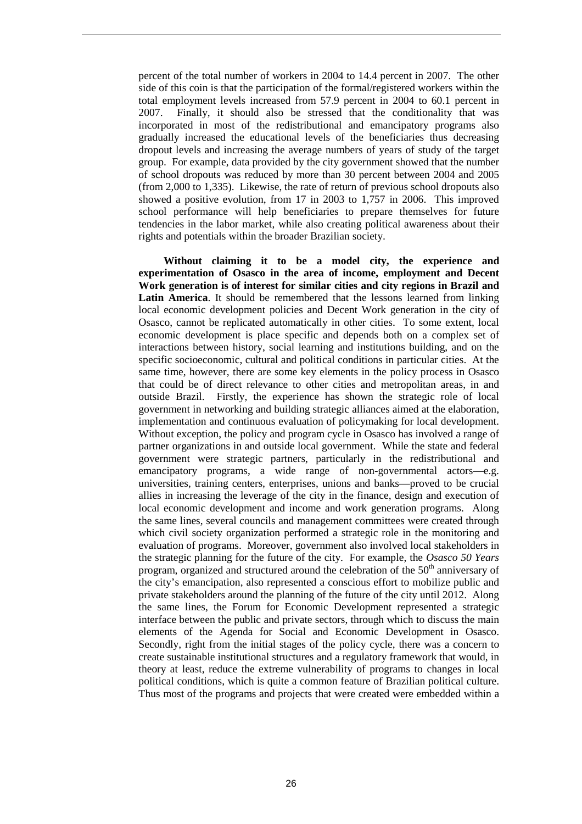percent of the total number of workers in 2004 to 14.4 percent in 2007. The other side of this coin is that the participation of the formal/registered workers within the total employment levels increased from 57.9 percent in 2004 to 60.1 percent in 2007. Finally, it should also be stressed that the conditionality that was incorporated in most of the redistributional and emancipatory programs also gradually increased the educational levels of the beneficiaries thus decreasing dropout levels and increasing the average numbers of years of study of the target group. For example, data provided by the city government showed that the number of school dropouts was reduced by more than 30 percent between 2004 and 2005 (from 2,000 to 1,335). Likewise, the rate of return of previous school dropouts also showed a positive evolution, from 17 in 2003 to 1,757 in 2006. This improved school performance will help beneficiaries to prepare themselves for future tendencies in the labor market, while also creating political awareness about their rights and potentials within the broader Brazilian society.

 **Without claiming it to be a model city, the experience and experimentation of Osasco in the area of income, employment and Decent Work generation is of interest for similar cities and city regions in Brazil and Latin America**. It should be remembered that the lessons learned from linking local economic development policies and Decent Work generation in the city of Osasco, cannot be replicated automatically in other cities. To some extent, local economic development is place specific and depends both on a complex set of interactions between history, social learning and institutions building, and on the specific socioeconomic, cultural and political conditions in particular cities. At the same time, however, there are some key elements in the policy process in Osasco that could be of direct relevance to other cities and metropolitan areas, in and outside Brazil. Firstly, the experience has shown the strategic role of local government in networking and building strategic alliances aimed at the elaboration, implementation and continuous evaluation of policymaking for local development. Without exception, the policy and program cycle in Osasco has involved a range of partner organizations in and outside local government. While the state and federal government were strategic partners, particularly in the redistributional and emancipatory programs, a wide range of non-governmental actors—e.g. universities, training centers, enterprises, unions and banks—proved to be crucial allies in increasing the leverage of the city in the finance, design and execution of local economic development and income and work generation programs. Along the same lines, several councils and management committees were created through which civil society organization performed a strategic role in the monitoring and evaluation of programs. Moreover, government also involved local stakeholders in the strategic planning for the future of the city. For example, the *Osasco 50 Years* program, organized and structured around the celebration of the  $50<sup>th</sup>$  anniversary of the city's emancipation, also represented a conscious effort to mobilize public and private stakeholders around the planning of the future of the city until 2012. Along the same lines, the Forum for Economic Development represented a strategic interface between the public and private sectors, through which to discuss the main elements of the Agenda for Social and Economic Development in Osasco. Secondly, right from the initial stages of the policy cycle, there was a concern to create sustainable institutional structures and a regulatory framework that would, in theory at least, reduce the extreme vulnerability of programs to changes in local political conditions, which is quite a common feature of Brazilian political culture. Thus most of the programs and projects that were created were embedded within a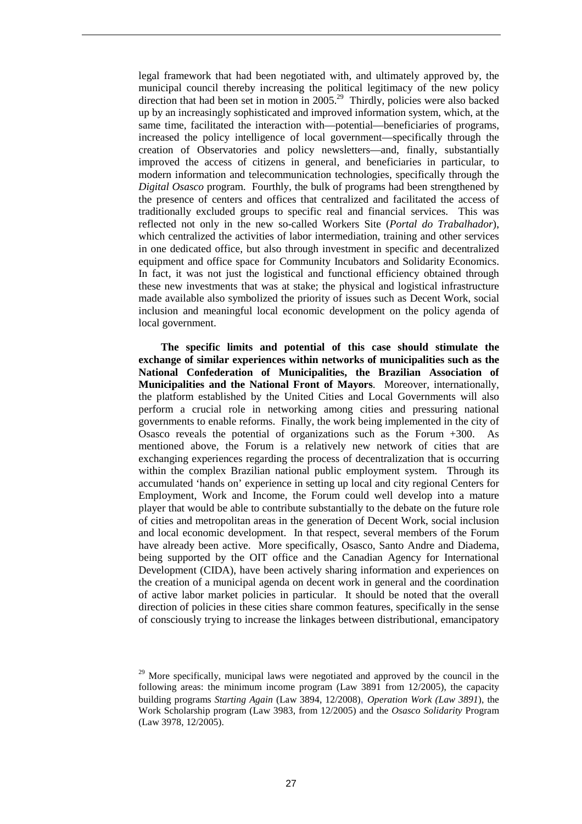legal framework that had been negotiated with, and ultimately approved by, the municipal council thereby increasing the political legitimacy of the new policy direction that had been set in motion in 2005.<sup>29</sup> Thirdly, policies were also backed up by an increasingly sophisticated and improved information system, which, at the same time, facilitated the interaction with—potential—beneficiaries of programs, increased the policy intelligence of local government—specifically through the creation of Observatories and policy newsletters—and, finally, substantially improved the access of citizens in general, and beneficiaries in particular, to modern information and telecommunication technologies, specifically through the *Digital Osasco* program. Fourthly, the bulk of programs had been strengthened by the presence of centers and offices that centralized and facilitated the access of traditionally excluded groups to specific real and financial services. This was reflected not only in the new so-called Workers Site (*Portal do Trabalhador*), which centralized the activities of labor intermediation, training and other services in one dedicated office, but also through investment in specific and decentralized equipment and office space for Community Incubators and Solidarity Economics. In fact, it was not just the logistical and functional efficiency obtained through these new investments that was at stake; the physical and logistical infrastructure made available also symbolized the priority of issues such as Decent Work, social inclusion and meaningful local economic development on the policy agenda of local government.

**The specific limits and potential of this case should stimulate the exchange of similar experiences within networks of municipalities such as the National Confederation of Municipalities, the Brazilian Association of Municipalities and the National Front of Mayors**. Moreover, internationally, the platform established by the United Cities and Local Governments will also perform a crucial role in networking among cities and pressuring national governments to enable reforms. Finally, the work being implemented in the city of Osasco reveals the potential of organizations such as the Forum +300. As mentioned above, the Forum is a relatively new network of cities that are exchanging experiences regarding the process of decentralization that is occurring within the complex Brazilian national public employment system. Through its accumulated 'hands on' experience in setting up local and city regional Centers for Employment, Work and Income, the Forum could well develop into a mature player that would be able to contribute substantially to the debate on the future role of cities and metropolitan areas in the generation of Decent Work, social inclusion and local economic development. In that respect, several members of the Forum have already been active. More specifically, Osasco, Santo Andre and Diadema, being supported by the OIT office and the Canadian Agency for International Development (CIDA), have been actively sharing information and experiences on the creation of a municipal agenda on decent work in general and the coordination of active labor market policies in particular. It should be noted that the overall direction of policies in these cities share common features, specifically in the sense of consciously trying to increase the linkages between distributional, emancipatory

 $29$  More specifically, municipal laws were negotiated and approved by the council in the following areas: the minimum income program (Law 3891 from 12/2005), the capacity building programs *Starting Again* (Law 3894, 12/2008), *Operation Work (Law 3891*), the Work Scholarship program (Law 3983, from 12/2005) and the *Osasco Solidarity* Program (Law 3978, 12/2005).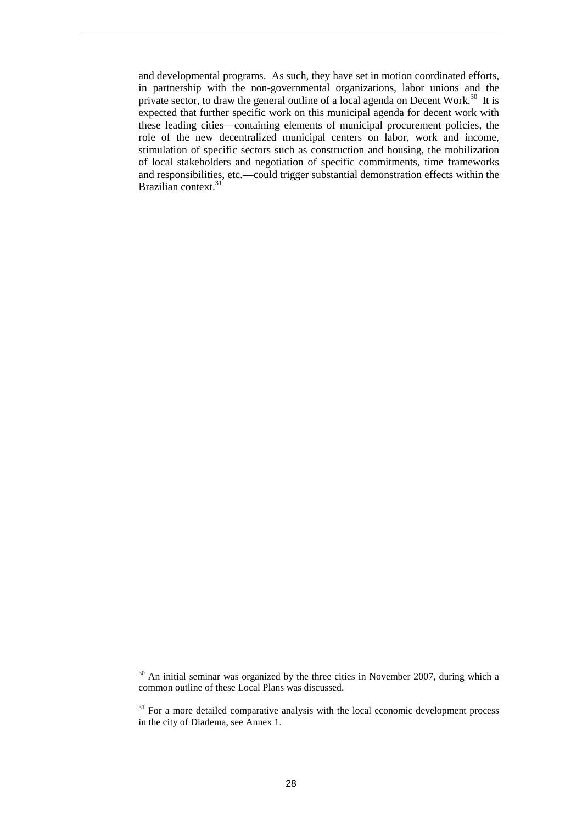and developmental programs. As such, they have set in motion coordinated efforts, in partnership with the non-governmental organizations, labor unions and the private sector, to draw the general outline of a local agenda on Decent Work.<sup>30</sup> It is expected that further specific work on this municipal agenda for decent work with these leading cities—containing elements of municipal procurement policies, the role of the new decentralized municipal centers on labor, work and income, stimulation of specific sectors such as construction and housing, the mobilization of local stakeholders and negotiation of specific commitments, time frameworks and responsibilities, etc.—could trigger substantial demonstration effects within the Brazilian context.<sup>31</sup>

<sup>&</sup>lt;sup>30</sup> An initial seminar was organized by the three cities in November 2007, during which a common outline of these Local Plans was discussed.

 $31$  For a more detailed comparative analysis with the local economic development process in the city of Diadema, see Annex 1.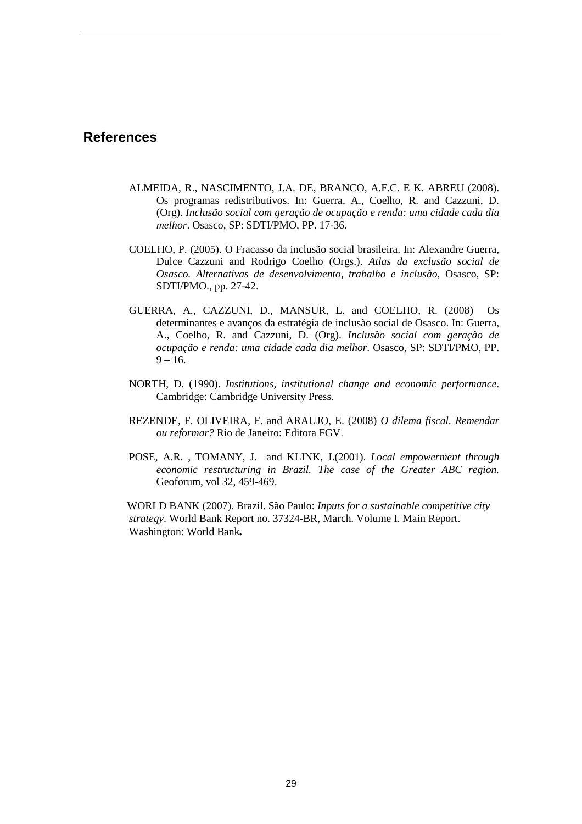### **References**

- ALMEIDA, R., NASCIMENTO, J.A. DE, BRANCO, A.F.C. E K. ABREU (2008). Os programas redistributivos. In: Guerra, A., Coelho, R. and Cazzuni, D. (Org). *Inclusão social com geração de ocupação e renda: uma cidade cada dia melhor*. Osasco, SP: SDTI/PMO, PP. 17-36.
- COELHO, P. (2005). O Fracasso da inclusão social brasileira. In: Alexandre Guerra, Dulce Cazzuni and Rodrigo Coelho (Orgs.). *Atlas da exclusão social de Osasco. Alternativas de desenvolvimento, trabalho e inclusão*, Osasco, SP: SDTI/PMO., pp. 27-42.
- GUERRA, A., CAZZUNI, D., MANSUR, L. and COELHO, R. (2008) Os determinantes e avanços da estratégia de inclusão social de Osasco. In: Guerra, A., Coelho, R. and Cazzuni, D. (Org). *Inclusão social com geração de ocupação e renda: uma cidade cada dia melhor*. Osasco, SP: SDTI/PMO, PP.  $9 - 16.$
- NORTH, D. (1990). *Institutions, institutional change and economic performance*. Cambridge: Cambridge University Press.
- REZENDE, F. OLIVEIRA, F. and ARAUJO, E. (2008) *O dilema fiscal. Remendar ou reformar?* Rio de Janeiro: Editora FGV.
- POSE, A.R. , TOMANY, J. and KLINK, J.(2001). *Local empowerment through economic restructuring in Brazil. The case of the Greater ABC region.* Geoforum, vol 32, 459-469.

 WORLD BANK (2007). Brazil. São Paulo: *Inputs for a sustainable competitive city strategy*. World Bank Report no. 37324-BR, March. Volume I. Main Report. Washington: World Bank*.*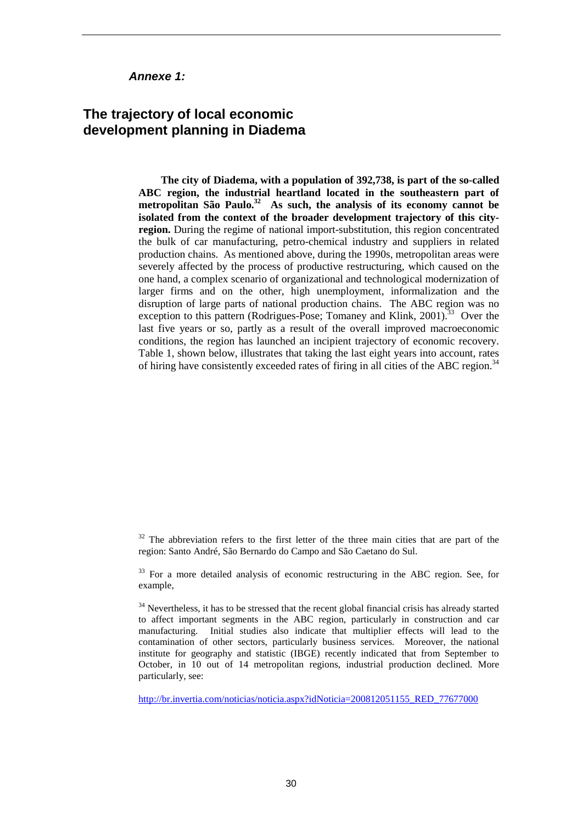#### **Annexe 1:**

### **The trajectory of local economic development planning in Diadema**

**The city of Diadema, with a population of 392,738, is part of the so-called ABC region, the industrial heartland located in the southeastern part of metropolitan São Paulo.<sup>32</sup> As such, the analysis of its economy cannot be isolated from the context of the broader development trajectory of this cityregion.** During the regime of national import-substitution, this region concentrated the bulk of car manufacturing, petro-chemical industry and suppliers in related production chains. As mentioned above, during the 1990s, metropolitan areas were severely affected by the process of productive restructuring, which caused on the one hand, a complex scenario of organizational and technological modernization of larger firms and on the other, high unemployment, informalization and the disruption of large parts of national production chains. The ABC region was no exception to this pattern (Rodrigues-Pose; Tomaney and Klink,  $2001$ ).<sup>33</sup> Over the last five years or so, partly as a result of the overall improved macroeconomic conditions, the region has launched an incipient trajectory of economic recovery. Table 1, shown below, illustrates that taking the last eight years into account, rates of hiring have consistently exceeded rates of firing in all cities of the ABC region.<sup>34</sup>

 $32$  The abbreviation refers to the first letter of the three main cities that are part of the region: Santo André, São Bernardo do Campo and São Caetano do Sul.

<sup>33</sup> For a more detailed analysis of economic restructuring in the ABC region. See, for example,

<sup>34</sup> Nevertheless, it has to be stressed that the recent global financial crisis has already started to affect important segments in the ABC region, particularly in construction and car manufacturing. Initial studies also indicate that multiplier effects will lead to the contamination of other sectors, particularly business services. Moreover, the national institute for geography and statistic (IBGE) recently indicated that from September to October, in 10 out of 14 metropolitan regions, industrial production declined. More particularly, see:

http://br.invertia.com/noticias/noticia.aspx?idNoticia=200812051155\_RED\_77677000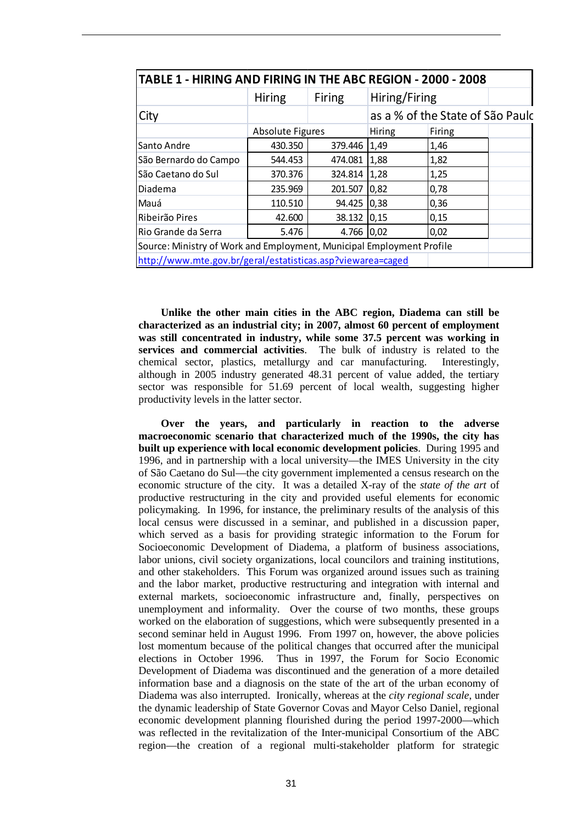| TABLE 1 - HIRING AND FIRING IN THE ABC REGION - 2000 - 2008           |                                |            |                                  |        |  |
|-----------------------------------------------------------------------|--------------------------------|------------|----------------------------------|--------|--|
|                                                                       | <b>Firing</b><br><b>Hiring</b> |            | Hiring/Firing                    |        |  |
| City                                                                  |                                |            | as a % of the State of São Paulc |        |  |
|                                                                       | <b>Absolute Figures</b>        |            | Hiring                           | Firing |  |
| Santo Andre                                                           | 430.350                        | 379.446    | 1,49                             | 1,46   |  |
| São Bernardo do Campo                                                 | 544.453                        | 474.081    | 1,88                             | 1,82   |  |
| São Caetano do Sul                                                    | 370.376                        | 324.814    | 1,28                             | 1,25   |  |
| Diadema                                                               | 235.969                        | 201.507    | 0,82                             | 0,78   |  |
| Mauá                                                                  | 110.510                        | 94.425     | 0,38                             | 0,36   |  |
| Ribeirão Pires                                                        | 42.600                         | 38.132     | 0,15                             | 0,15   |  |
| Rio Grande da Serra                                                   | 5.476                          | 4.766 0,02 |                                  | 0,02   |  |
| Source: Ministry of Work and Employment, Municipal Employment Profile |                                |            |                                  |        |  |
| http://www.mte.gov.br/geral/estatisticas.asp?viewarea=caged           |                                |            |                                  |        |  |

**Unlike the other main cities in the ABC region, Diadema can still be characterized as an industrial city; in 2007, almost 60 percent of employment was still concentrated in industry, while some 37.5 percent was working in services and commercial activities**. The bulk of industry is related to the chemical sector, plastics, metallurgy and car manufacturing. Interestingly, although in 2005 industry generated 48.31 percent of value added, the tertiary sector was responsible for 51.69 percent of local wealth, suggesting higher productivity levels in the latter sector.

**Over the years, and particularly in reaction to the adverse macroeconomic scenario that characterized much of the 1990s, the city has built up experience with local economic development policies**. During 1995 and 1996, and in partnership with a local university—the IMES University in the city of São Caetano do Sul—the city government implemented a census research on the economic structure of the city. It was a detailed X-ray of the *state of the art* of productive restructuring in the city and provided useful elements for economic policymaking. In 1996, for instance, the preliminary results of the analysis of this local census were discussed in a seminar, and published in a discussion paper, which served as a basis for providing strategic information to the Forum for Socioeconomic Development of Diadema, a platform of business associations, labor unions, civil society organizations, local councilors and training institutions, and other stakeholders. This Forum was organized around issues such as training and the labor market, productive restructuring and integration with internal and external markets, socioeconomic infrastructure and, finally, perspectives on unemployment and informality. Over the course of two months, these groups worked on the elaboration of suggestions, which were subsequently presented in a second seminar held in August 1996. From 1997 on, however, the above policies lost momentum because of the political changes that occurred after the municipal elections in October 1996. Thus in 1997, the Forum for Socio Economic Development of Diadema was discontinued and the generation of a more detailed information base and a diagnosis on the state of the art of the urban economy of Diadema was also interrupted. Ironically, whereas at the *city regional scale*, under the dynamic leadership of State Governor Covas and Mayor Celso Daniel, regional economic development planning flourished during the period 1997-2000—which was reflected in the revitalization of the Inter-municipal Consortium of the ABC region—the creation of a regional multi-stakeholder platform for strategic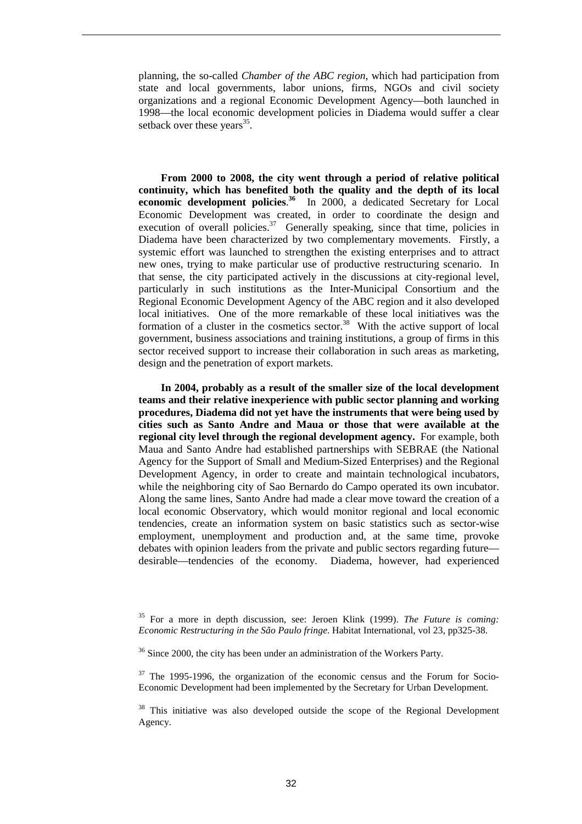planning, the so-called *Chamber of the ABC region*, which had participation from state and local governments, labor unions, firms, NGOs and civil society organizations and a regional Economic Development Agency—both launched in 1998—the local economic development policies in Diadema would suffer a clear setback over these years<sup>35</sup>.

**From 2000 to 2008, the city went through a period of relative political continuity, which has benefited both the quality and the depth of its local economic development policies**. **<sup>36</sup>** In 2000, a dedicated Secretary for Local Economic Development was created, in order to coordinate the design and execution of overall policies.<sup>37</sup> Generally speaking, since that time, policies in Diadema have been characterized by two complementary movements. Firstly, a systemic effort was launched to strengthen the existing enterprises and to attract new ones, trying to make particular use of productive restructuring scenario. In that sense, the city participated actively in the discussions at city-regional level, particularly in such institutions as the Inter-Municipal Consortium and the Regional Economic Development Agency of the ABC region and it also developed local initiatives. One of the more remarkable of these local initiatives was the formation of a cluster in the cosmetics sector.<sup>38</sup> With the active support of local government, business associations and training institutions, a group of firms in this sector received support to increase their collaboration in such areas as marketing, design and the penetration of export markets.

**In 2004, probably as a result of the smaller size of the local development teams and their relative inexperience with public sector planning and working procedures, Diadema did not yet have the instruments that were being used by cities such as Santo Andre and Maua or those that were available at the regional city level through the regional development agency.** For example, both Maua and Santo Andre had established partnerships with SEBRAE (the National Agency for the Support of Small and Medium-Sized Enterprises) and the Regional Development Agency, in order to create and maintain technological incubators, while the neighboring city of Sao Bernardo do Campo operated its own incubator. Along the same lines, Santo Andre had made a clear move toward the creation of a local economic Observatory, which would monitor regional and local economic tendencies, create an information system on basic statistics such as sector-wise employment, unemployment and production and, at the same time, provoke debates with opinion leaders from the private and public sectors regarding future desirable—tendencies of the economy. Diadema, however, had experienced

<sup>35</sup> For a more in depth discussion, see: Jeroen Klink (1999). *The Future is coming: Economic Restructuring in the São Paulo fringe*. Habitat International, vol 23, pp325-38.

 $36$  Since 2000, the city has been under an administration of the Workers Party.

 $37$  The 1995-1996, the organization of the economic census and the Forum for Socio-Economic Development had been implemented by the Secretary for Urban Development.

<sup>&</sup>lt;sup>38</sup> This initiative was also developed outside the scope of the Regional Development Agency.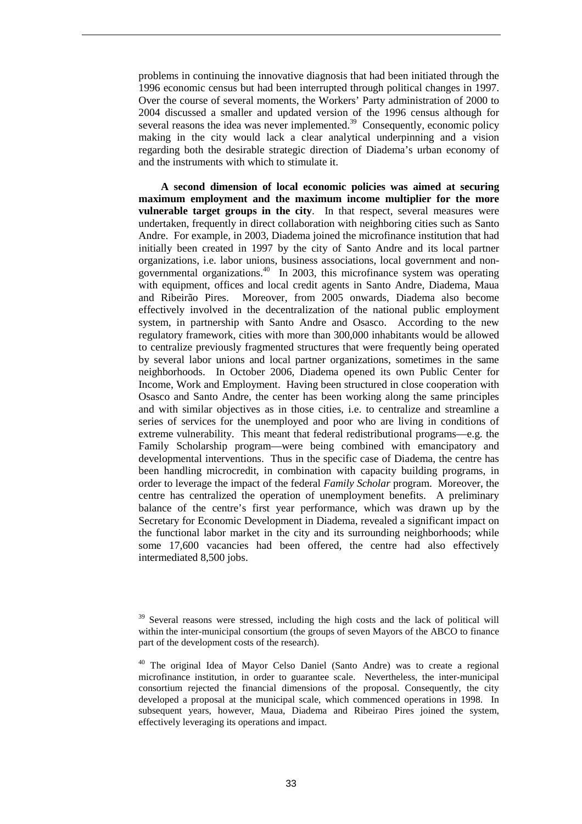problems in continuing the innovative diagnosis that had been initiated through the 1996 economic census but had been interrupted through political changes in 1997. Over the course of several moments, the Workers' Party administration of 2000 to 2004 discussed a smaller and updated version of the 1996 census although for several reasons the idea was never implemented.<sup>39</sup> Consequently, economic policy making in the city would lack a clear analytical underpinning and a vision regarding both the desirable strategic direction of Diadema's urban economy of and the instruments with which to stimulate it.

**A second dimension of local economic policies was aimed at securing maximum employment and the maximum income multiplier for the more vulnerable target groups in the city**. In that respect, several measures were undertaken, frequently in direct collaboration with neighboring cities such as Santo Andre. For example, in 2003, Diadema joined the microfinance institution that had initially been created in 1997 by the city of Santo Andre and its local partner organizations, i.e. labor unions, business associations, local government and nongovernmental organizations.<sup>40</sup> In 2003, this microfinance system was operating with equipment, offices and local credit agents in Santo Andre, Diadema, Maua and Ribeirão Pires. Moreover, from 2005 onwards, Diadema also become effectively involved in the decentralization of the national public employment system, in partnership with Santo Andre and Osasco. According to the new regulatory framework, cities with more than 300,000 inhabitants would be allowed to centralize previously fragmented structures that were frequently being operated by several labor unions and local partner organizations, sometimes in the same neighborhoods. In October 2006, Diadema opened its own Public Center for Income, Work and Employment. Having been structured in close cooperation with Osasco and Santo Andre, the center has been working along the same principles and with similar objectives as in those cities, i.e. to centralize and streamline a series of services for the unemployed and poor who are living in conditions of extreme vulnerability. This meant that federal redistributional programs—e.g. the Family Scholarship program—were being combined with emancipatory and developmental interventions. Thus in the specific case of Diadema, the centre has been handling microcredit, in combination with capacity building programs, in order to leverage the impact of the federal *Family Scholar* program. Moreover, the centre has centralized the operation of unemployment benefits. A preliminary balance of the centre's first year performance, which was drawn up by the Secretary for Economic Development in Diadema, revealed a significant impact on the functional labor market in the city and its surrounding neighborhoods; while some 17,600 vacancies had been offered, the centre had also effectively intermediated 8,500 jobs.

<sup>&</sup>lt;sup>39</sup> Several reasons were stressed, including the high costs and the lack of political will within the inter-municipal consortium (the groups of seven Mayors of the ABCO to finance part of the development costs of the research).

<sup>&</sup>lt;sup>40</sup> The original Idea of Mayor Celso Daniel (Santo Andre) was to create a regional microfinance institution, in order to guarantee scale. Nevertheless, the inter-municipal consortium rejected the financial dimensions of the proposal. Consequently, the city developed a proposal at the municipal scale, which commenced operations in 1998. In subsequent years, however, Maua, Diadema and Ribeirao Pires joined the system, effectively leveraging its operations and impact.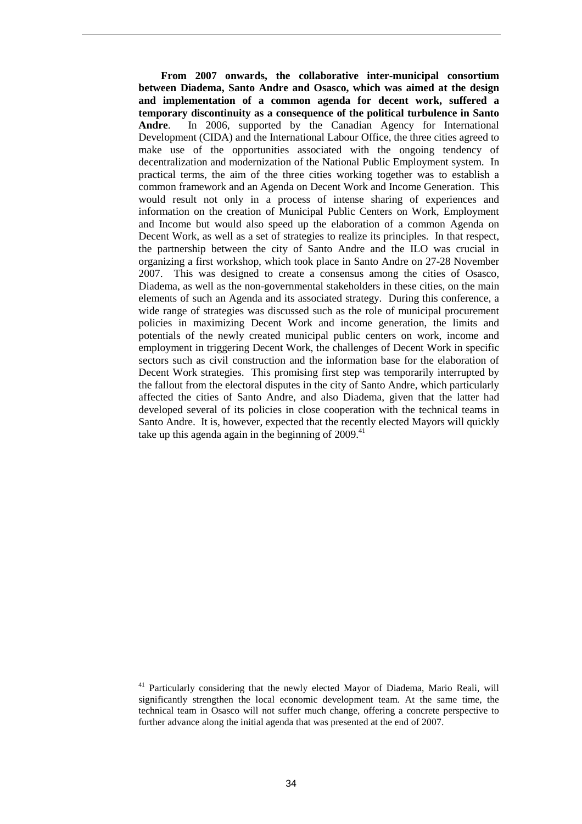**From 2007 onwards, the collaborative inter-municipal consortium between Diadema, Santo Andre and Osasco, which was aimed at the design and implementation of a common agenda for decent work, suffered a temporary discontinuity as a consequence of the political turbulence in Santo Andre**. In 2006, supported by the Canadian Agency for International Development (CIDA) and the International Labour Office, the three cities agreed to make use of the opportunities associated with the ongoing tendency of decentralization and modernization of the National Public Employment system. In practical terms, the aim of the three cities working together was to establish a common framework and an Agenda on Decent Work and Income Generation. This would result not only in a process of intense sharing of experiences and information on the creation of Municipal Public Centers on Work, Employment and Income but would also speed up the elaboration of a common Agenda on Decent Work, as well as a set of strategies to realize its principles. In that respect, the partnership between the city of Santo Andre and the ILO was crucial in organizing a first workshop, which took place in Santo Andre on 27-28 November 2007. This was designed to create a consensus among the cities of Osasco, Diadema, as well as the non-governmental stakeholders in these cities, on the main elements of such an Agenda and its associated strategy. During this conference, a wide range of strategies was discussed such as the role of municipal procurement policies in maximizing Decent Work and income generation, the limits and potentials of the newly created municipal public centers on work, income and employment in triggering Decent Work, the challenges of Decent Work in specific sectors such as civil construction and the information base for the elaboration of Decent Work strategies. This promising first step was temporarily interrupted by the fallout from the electoral disputes in the city of Santo Andre, which particularly affected the cities of Santo Andre, and also Diadema, given that the latter had developed several of its policies in close cooperation with the technical teams in Santo Andre. It is, however, expected that the recently elected Mayors will quickly take up this agenda again in the beginning of  $2009<sup>41</sup>$ 

<sup>&</sup>lt;sup>41</sup> Particularly considering that the newly elected Mayor of Diadema, Mario Reali, will significantly strengthen the local economic development team. At the same time, the technical team in Osasco will not suffer much change, offering a concrete perspective to further advance along the initial agenda that was presented at the end of 2007.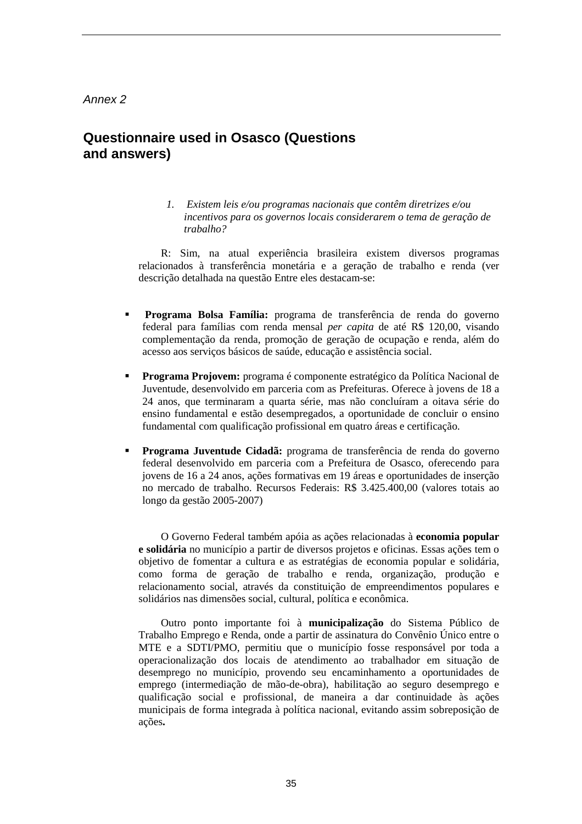#### Annex 2

### **Questionnaire used in Osasco (Questions and answers)**

*1. Existem leis e/ou programas nacionais que contêm diretrizes e/ou incentivos para os governos locais considerarem o tema de geração de trabalho?* 

R: Sim, na atual experiência brasileira existem diversos programas relacionados à transferência monetária e a geração de trabalho e renda (ver descrição detalhada na questão Entre eles destacam-se:

- **Programa Bolsa Família:** programa de transferência de renda do governo federal para famílias com renda mensal *per capita* de até R\$ 120,00, visando complementação da renda, promoção de geração de ocupação e renda, além do acesso aos serviços básicos de saúde, educação e assistência social.
- **Programa Projovem:** programa é componente estratégico da Política Nacional de Juventude, desenvolvido em parceria com as Prefeituras. Oferece à jovens de 18 a 24 anos, que terminaram a quarta série, mas não concluíram a oitava série do ensino fundamental e estão desempregados, a oportunidade de concluir o ensino fundamental com qualificação profissional em quatro áreas e certificação.
- **Programa Juventude Cidadã:** programa de transferência de renda do governo federal desenvolvido em parceria com a Prefeitura de Osasco, oferecendo para jovens de 16 a 24 anos, ações formativas em 19 áreas e oportunidades de inserção no mercado de trabalho. Recursos Federais: R\$ 3.425.400,00 (valores totais ao longo da gestão 2005-2007)

O Governo Federal também apóia as ações relacionadas à **economia popular e solidária** no município a partir de diversos projetos e oficinas. Essas ações tem o objetivo de fomentar a cultura e as estratégias de economia popular e solidária, como forma de geração de trabalho e renda, organização, produção e relacionamento social, através da constituição de empreendimentos populares e solidários nas dimensões social, cultural, política e econômica.

Outro ponto importante foi à **municipalização** do Sistema Público de Trabalho Emprego e Renda, onde a partir de assinatura do Convênio Único entre o MTE e a SDTI/PMO, permitiu que o município fosse responsável por toda a operacionalização dos locais de atendimento ao trabalhador em situação de desemprego no município, provendo seu encaminhamento a oportunidades de emprego (intermediação de mão-de-obra), habilitação ao seguro desemprego e qualificação social e profissional, de maneira a dar continuidade às ações municipais de forma integrada à política nacional, evitando assim sobreposição de ações**.**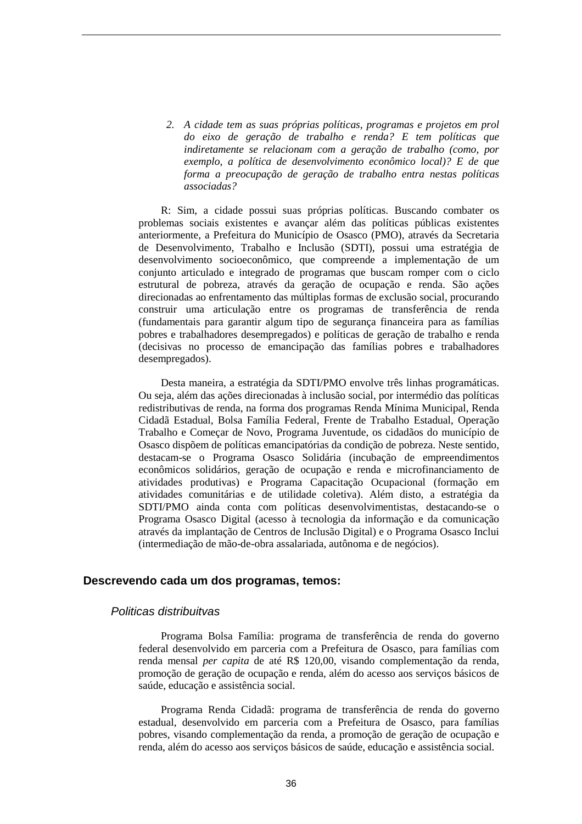*2. A cidade tem as suas próprias políticas, programas e projetos em prol do eixo de geração de trabalho e renda? E tem políticas que indiretamente se relacionam com a geração de trabalho (como, por exemplo, a política de desenvolvimento econômico local)? E de que forma a preocupação de geração de trabalho entra nestas políticas associadas?* 

R: Sim, a cidade possui suas próprias políticas. Buscando combater os problemas sociais existentes e avançar além das políticas públicas existentes anteriormente, a Prefeitura do Município de Osasco (PMO), através da Secretaria de Desenvolvimento, Trabalho e Inclusão (SDTI), possui uma estratégia de desenvolvimento socioeconômico, que compreende a implementação de um conjunto articulado e integrado de programas que buscam romper com o ciclo estrutural de pobreza, através da geração de ocupação e renda. São ações direcionadas ao enfrentamento das múltiplas formas de exclusão social, procurando construir uma articulação entre os programas de transferência de renda (fundamentais para garantir algum tipo de segurança financeira para as famílias pobres e trabalhadores desempregados) e políticas de geração de trabalho e renda (decisivas no processo de emancipação das famílias pobres e trabalhadores desempregados).

Desta maneira, a estratégia da SDTI/PMO envolve três linhas programáticas. Ou seja, além das ações direcionadas à inclusão social, por intermédio das políticas redistributivas de renda, na forma dos programas Renda Mínima Municipal, Renda Cidadã Estadual, Bolsa Família Federal, Frente de Trabalho Estadual, Operação Trabalho e Começar de Novo, Programa Juventude, os cidadãos do município de Osasco dispõem de políticas emancipatórias da condição de pobreza. Neste sentido, destacam-se o Programa Osasco Solidária (incubação de empreendimentos econômicos solidários, geração de ocupação e renda e microfinanciamento de atividades produtivas) e Programa Capacitação Ocupacional (formação em atividades comunitárias e de utilidade coletiva). Além disto, a estratégia da SDTI/PMO ainda conta com políticas desenvolvimentistas, destacando-se o Programa Osasco Digital (acesso à tecnologia da informação e da comunicação através da implantação de Centros de Inclusão Digital) e o Programa Osasco Inclui (intermediação de mão-de-obra assalariada, autônoma e de negócios).

#### **Descrevendo cada um dos programas, temos:**

#### Politicas distribuitvas

Programa Bolsa Família: programa de transferência de renda do governo federal desenvolvido em parceria com a Prefeitura de Osasco, para famílias com renda mensal *per capita* de até R\$ 120,00, visando complementação da renda, promoção de geração de ocupação e renda, além do acesso aos serviços básicos de saúde, educação e assistência social.

Programa Renda Cidadã: programa de transferência de renda do governo estadual, desenvolvido em parceria com a Prefeitura de Osasco, para famílias pobres, visando complementação da renda, a promoção de geração de ocupação e renda, além do acesso aos serviços básicos de saúde, educação e assistência social.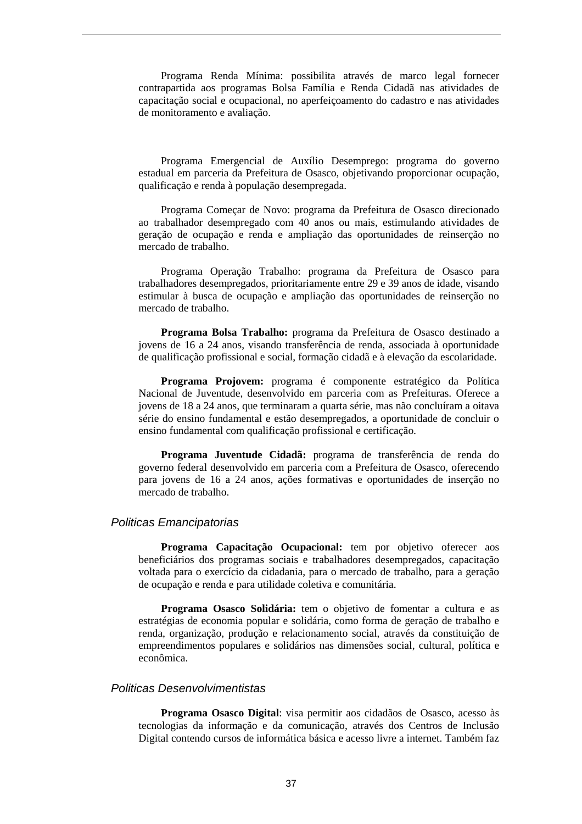Programa Renda Mínima: possibilita através de marco legal fornecer contrapartida aos programas Bolsa Família e Renda Cidadã nas atividades de capacitação social e ocupacional, no aperfeiçoamento do cadastro e nas atividades de monitoramento e avaliação.

Programa Emergencial de Auxílio Desemprego: programa do governo estadual em parceria da Prefeitura de Osasco, objetivando proporcionar ocupação, qualificação e renda à população desempregada.

Programa Começar de Novo: programa da Prefeitura de Osasco direcionado ao trabalhador desempregado com 40 anos ou mais, estimulando atividades de geração de ocupação e renda e ampliação das oportunidades de reinserção no mercado de trabalho.

Programa Operação Trabalho: programa da Prefeitura de Osasco para trabalhadores desempregados, prioritariamente entre 29 e 39 anos de idade, visando estimular à busca de ocupação e ampliação das oportunidades de reinserção no mercado de trabalho.

**Programa Bolsa Trabalho:** programa da Prefeitura de Osasco destinado a jovens de 16 a 24 anos, visando transferência de renda, associada à oportunidade de qualificação profissional e social, formação cidadã e à elevação da escolaridade.

**Programa Projovem:** programa é componente estratégico da Política Nacional de Juventude, desenvolvido em parceria com as Prefeituras. Oferece a jovens de 18 a 24 anos, que terminaram a quarta série, mas não concluíram a oitava série do ensino fundamental e estão desempregados, a oportunidade de concluir o ensino fundamental com qualificação profissional e certificação.

**Programa Juventude Cidadã:** programa de transferência de renda do governo federal desenvolvido em parceria com a Prefeitura de Osasco, oferecendo para jovens de 16 a 24 anos, ações formativas e oportunidades de inserção no mercado de trabalho.

#### Politicas Emancipatorias

**Programa Capacitação Ocupacional:** tem por objetivo oferecer aos beneficiários dos programas sociais e trabalhadores desempregados, capacitação voltada para o exercício da cidadania, para o mercado de trabalho, para a geração de ocupação e renda e para utilidade coletiva e comunitária.

**Programa Osasco Solidária:** tem o objetivo de fomentar a cultura e as estratégias de economia popular e solidária, como forma de geração de trabalho e renda, organização, produção e relacionamento social, através da constituição de empreendimentos populares e solidários nas dimensões social, cultural, política e econômica.

#### Politicas Desenvolvimentistas

**Programa Osasco Digital**: visa permitir aos cidadãos de Osasco, acesso às tecnologias da informação e da comunicação, através dos Centros de Inclusão Digital contendo cursos de informática básica e acesso livre a internet. Também faz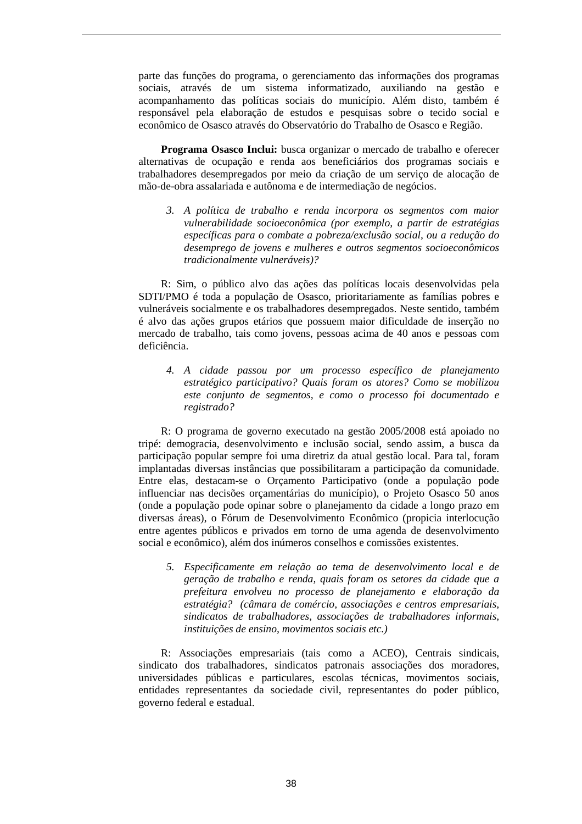parte das funções do programa, o gerenciamento das informações dos programas sociais, através de um sistema informatizado, auxiliando na gestão e acompanhamento das políticas sociais do município. Além disto, também é responsável pela elaboração de estudos e pesquisas sobre o tecido social e econômico de Osasco através do Observatório do Trabalho de Osasco e Região.

**Programa Osasco Inclui:** busca organizar o mercado de trabalho e oferecer alternativas de ocupação e renda aos beneficiários dos programas sociais e trabalhadores desempregados por meio da criação de um serviço de alocação de mão-de-obra assalariada e autônoma e de intermediação de negócios.

*3. A política de trabalho e renda incorpora os segmentos com maior vulnerabilidade socioeconômica (por exemplo, a partir de estratégias específicas para o combate a pobreza/exclusão social, ou a redução do desemprego de jovens e mulheres e outros segmentos socioeconômicos tradicionalmente vulneráveis)?* 

R: Sim, o público alvo das ações das políticas locais desenvolvidas pela SDTI/PMO é toda a população de Osasco, prioritariamente as famílias pobres e vulneráveis socialmente e os trabalhadores desempregados. Neste sentido, também é alvo das ações grupos etários que possuem maior dificuldade de inserção no mercado de trabalho, tais como jovens, pessoas acima de 40 anos e pessoas com deficiência.

*4. A cidade passou por um processo específico de planejamento estratégico participativo? Quais foram os atores? Como se mobilizou este conjunto de segmentos, e como o processo foi documentado e registrado?* 

R: O programa de governo executado na gestão 2005/2008 está apoiado no tripé: demogracia, desenvolvimento e inclusão social, sendo assim, a busca da participação popular sempre foi uma diretriz da atual gestão local. Para tal, foram implantadas diversas instâncias que possibilitaram a participação da comunidade. Entre elas, destacam-se o Orçamento Participativo (onde a população pode influenciar nas decisões orçamentárias do município), o Projeto Osasco 50 anos (onde a população pode opinar sobre o planejamento da cidade a longo prazo em diversas áreas), o Fórum de Desenvolvimento Econômico (propicia interlocução entre agentes públicos e privados em torno de uma agenda de desenvolvimento social e econômico), além dos inúmeros conselhos e comissões existentes.

*5. Especificamente em relação ao tema de desenvolvimento local e de geração de trabalho e renda, quais foram os setores da cidade que a prefeitura envolveu no processo de planejamento e elaboração da estratégia? (câmara de comércio, associações e centros empresariais, sindicatos de trabalhadores, associações de trabalhadores informais, instituições de ensino, movimentos sociais etc.)* 

R: Associações empresariais (tais como a ACEO), Centrais sindicais, sindicato dos trabalhadores, sindicatos patronais associações dos moradores, universidades públicas e particulares, escolas técnicas, movimentos sociais, entidades representantes da sociedade civil, representantes do poder público, governo federal e estadual.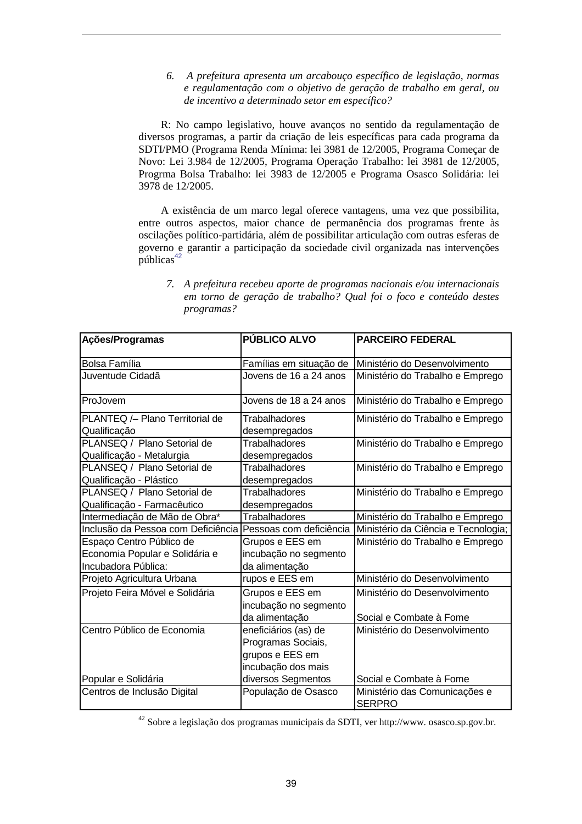#### *6. A prefeitura apresenta um arcabouço específico de legislação, normas e regulamentação com o objetivo de geração de trabalho em geral, ou de incentivo a determinado setor em específico?*

R: No campo legislativo, houve avanços no sentido da regulamentação de diversos programas, a partir da criação de leis específicas para cada programa da SDTI/PMO (Programa Renda Mínima: lei 3981 de 12/2005, Programa Começar de Novo: Lei 3.984 de 12/2005, Programa Operação Trabalho: lei 3981 de 12/2005, Progrma Bolsa Trabalho: lei 3983 de 12/2005 e Programa Osasco Solidária: lei 3978 de 12/2005.

A existência de um marco legal oferece vantagens, uma vez que possibilita, entre outros aspectos, maior chance de permanência dos programas frente às oscilações político-partidária, além de possibilitar articulação com outras esferas de governo e garantir a participação da sociedade civil organizada nas intervenções públicas<sup>42</sup>

| Ações/Programas                    | PÚBLICO ALVO            | <b>PARCEIRO FEDERAL</b>                                       |
|------------------------------------|-------------------------|---------------------------------------------------------------|
|                                    |                         |                                                               |
| <b>Bolsa Família</b>               | Famílias em situação de | Ministério do Desenvolvimento                                 |
| Juventude Cidadã                   | Jovens de 16 a 24 anos  | Ministério do Trabalho e Emprego                              |
| ProJovem                           | Jovens de 18 a 24 anos  | Ministério do Trabalho e Emprego                              |
| PLANTEQ /- Plano Territorial de    | Trabalhadores           | Ministério do Trabalho e Emprego                              |
| Qualificação                       | desempregados           |                                                               |
| PLANSEQ / Plano Setorial de        | <b>Trabalhadores</b>    | Ministério do Trabalho e Emprego                              |
| Qualificação - Metalurgia          | desempregados           |                                                               |
| PLANSEQ / Plano Setorial de        | Trabalhadores           | Ministério do Trabalho e Emprego                              |
| Qualificação - Plástico            | desempregados           |                                                               |
| PLANSEQ / Plano Setorial de        | <b>Trabalhadores</b>    | Ministério do Trabalho e Emprego                              |
| Qualificação - Farmacêutico        | desempregados           |                                                               |
| Intermediação de Mão de Obra*      | <b>Trabalhadores</b>    | Ministério do Trabalho e Emprego                              |
| Inclusão da Pessoa com Deficiência |                         | Pessoas com deficiência   Ministério da Ciência e Tecnologia; |
| Espaço Centro Público de           | Grupos e EES em         | Ministério do Trabalho e Emprego                              |
| Economia Popular e Solidária e     | incubação no segmento   |                                                               |
| Incubadora Pública:                | da alimentação          |                                                               |
| Projeto Agricultura Urbana         | rupos e EES em          | Ministério do Desenvolvimento                                 |
| Projeto Feira Móvel e Solidária    | Grupos e EES em         | Ministério do Desenvolvimento                                 |
|                                    | incubação no segmento   |                                                               |
|                                    | da alimentação          | Social e Combate à Fome                                       |
| Centro Público de Economia         | eneficiários (as) de    | Ministério do Desenvolvimento                                 |
|                                    | Programas Sociais,      |                                                               |
|                                    | grupos e EES em         |                                                               |
|                                    | incubação dos mais      |                                                               |
| Popular e Solidária                | diversos Segmentos      | Social e Combate à Fome                                       |
| Centros de Inclusão Digital        | População de Osasco     | Ministério das Comunicações e                                 |
|                                    |                         | <b>SERPRO</b>                                                 |

*7. A prefeitura recebeu aporte de programas nacionais e/ou internacionais em torno de geração de trabalho? Qual foi o foco e conteúdo destes programas?* 

<sup>42</sup> Sobre a legislação dos programas municipais da SDTI, ver http://www. osasco.sp.gov.br.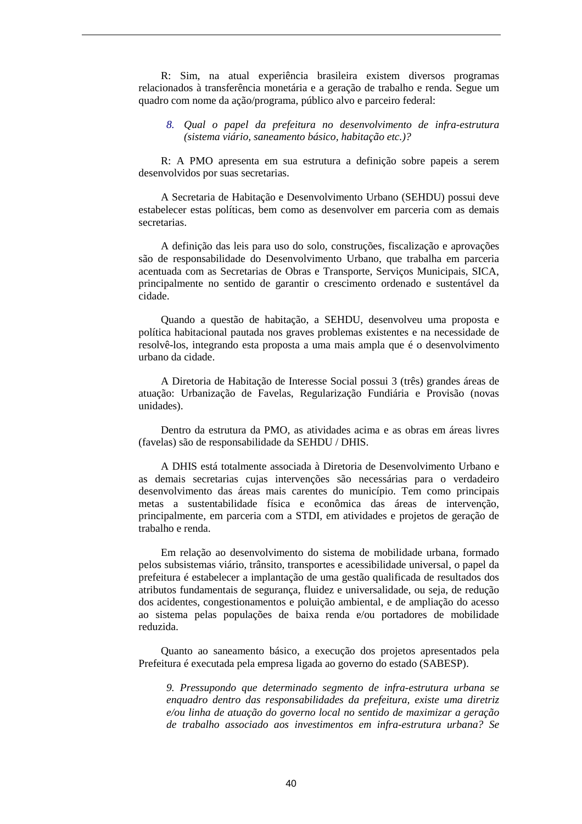R: Sim, na atual experiência brasileira existem diversos programas relacionados à transferência monetária e a geração de trabalho e renda. Segue um quadro com nome da ação/programa, público alvo e parceiro federal:

#### *8. Qual o papel da prefeitura no desenvolvimento de infra-estrutura (sistema viário, saneamento básico, habitação etc.)?*

R: A PMO apresenta em sua estrutura a definição sobre papeis a serem desenvolvidos por suas secretarias.

A Secretaria de Habitação e Desenvolvimento Urbano (SEHDU) possui deve estabelecer estas políticas, bem como as desenvolver em parceria com as demais secretarias.

A definição das leis para uso do solo, construções, fiscalização e aprovações são de responsabilidade do Desenvolvimento Urbano, que trabalha em parceria acentuada com as Secretarias de Obras e Transporte, Serviços Municipais, SICA, principalmente no sentido de garantir o crescimento ordenado e sustentável da cidade.

Quando a questão de habitação, a SEHDU, desenvolveu uma proposta e política habitacional pautada nos graves problemas existentes e na necessidade de resolvê-los, integrando esta proposta a uma mais ampla que é o desenvolvimento urbano da cidade.

A Diretoria de Habitação de Interesse Social possui 3 (três) grandes áreas de atuação: Urbanização de Favelas, Regularização Fundiária e Provisão (novas unidades).

Dentro da estrutura da PMO, as atividades acima e as obras em áreas livres (favelas) são de responsabilidade da SEHDU / DHIS.

A DHIS está totalmente associada à Diretoria de Desenvolvimento Urbano e as demais secretarias cujas intervenções são necessárias para o verdadeiro desenvolvimento das áreas mais carentes do município. Tem como principais metas a sustentabilidade física e econômica das áreas de intervenção, principalmente, em parceria com a STDI, em atividades e projetos de geração de trabalho e renda.

Em relação ao desenvolvimento do sistema de mobilidade urbana, formado pelos subsistemas viário, trânsito, transportes e acessibilidade universal, o papel da prefeitura é estabelecer a implantação de uma gestão qualificada de resultados dos atributos fundamentais de segurança, fluidez e universalidade, ou seja, de redução dos acidentes, congestionamentos e poluição ambiental, e de ampliação do acesso ao sistema pelas populações de baixa renda e/ou portadores de mobilidade reduzida.

Quanto ao saneamento básico, a execução dos projetos apresentados pela Prefeitura é executada pela empresa ligada ao governo do estado (SABESP).

*9. Pressupondo que determinado segmento de infra-estrutura urbana se enquadro dentro das responsabilidades da prefeitura, existe uma diretriz e/ou linha de atuação do governo local no sentido de maximizar a geração de trabalho associado aos investimentos em infra-estrutura urbana? Se*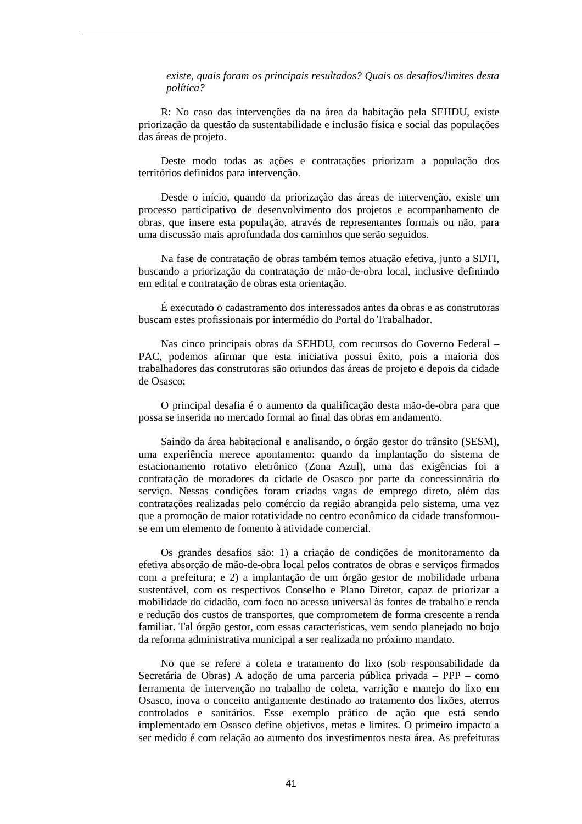*existe, quais foram os principais resultados? Quais os desafios/limites desta política?* 

R: No caso das intervenções da na área da habitação pela SEHDU, existe priorização da questão da sustentabilidade e inclusão física e social das populações das áreas de projeto.

Deste modo todas as ações e contratações priorizam a população dos territórios definidos para intervenção.

Desde o início, quando da priorização das áreas de intervenção, existe um processo participativo de desenvolvimento dos projetos e acompanhamento de obras, que insere esta população, através de representantes formais ou não, para uma discussão mais aprofundada dos caminhos que serão seguidos.

Na fase de contratação de obras também temos atuação efetiva, junto a SDTI, buscando a priorização da contratação de mão-de-obra local, inclusive definindo em edital e contratação de obras esta orientação.

É executado o cadastramento dos interessados antes da obras e as construtoras buscam estes profissionais por intermédio do Portal do Trabalhador.

Nas cinco principais obras da SEHDU, com recursos do Governo Federal – PAC, podemos afirmar que esta iniciativa possui êxito, pois a maioria dos trabalhadores das construtoras são oriundos das áreas de projeto e depois da cidade de Osasco;

O principal desafia é o aumento da qualificação desta mão-de-obra para que possa se inserida no mercado formal ao final das obras em andamento.

Saindo da área habitacional e analisando, o órgão gestor do trânsito (SESM), uma experiência merece apontamento: quando da implantação do sistema de estacionamento rotativo eletrônico (Zona Azul), uma das exigências foi a contratação de moradores da cidade de Osasco por parte da concessionária do serviço. Nessas condições foram criadas vagas de emprego direto, além das contratações realizadas pelo comércio da região abrangida pelo sistema, uma vez que a promoção de maior rotatividade no centro econômico da cidade transformouse em um elemento de fomento à atividade comercial.

Os grandes desafios são: 1) a criação de condições de monitoramento da efetiva absorção de mão-de-obra local pelos contratos de obras e serviços firmados com a prefeitura; e 2) a implantação de um órgão gestor de mobilidade urbana sustentável, com os respectivos Conselho e Plano Diretor, capaz de priorizar a mobilidade do cidadão, com foco no acesso universal às fontes de trabalho e renda e redução dos custos de transportes, que comprometem de forma crescente a renda familiar. Tal órgão gestor, com essas características, vem sendo planejado no bojo da reforma administrativa municipal a ser realizada no próximo mandato.

No que se refere a coleta e tratamento do lixo (sob responsabilidade da Secretária de Obras) A adoção de uma parceria pública privada – PPP – como ferramenta de intervenção no trabalho de coleta, varrição e manejo do lixo em Osasco, inova o conceito antigamente destinado ao tratamento dos lixões, aterros controlados e sanitários. Esse exemplo prático de ação que está sendo implementado em Osasco define objetivos, metas e limites. O primeiro impacto a ser medido é com relação ao aumento dos investimentos nesta área. As prefeituras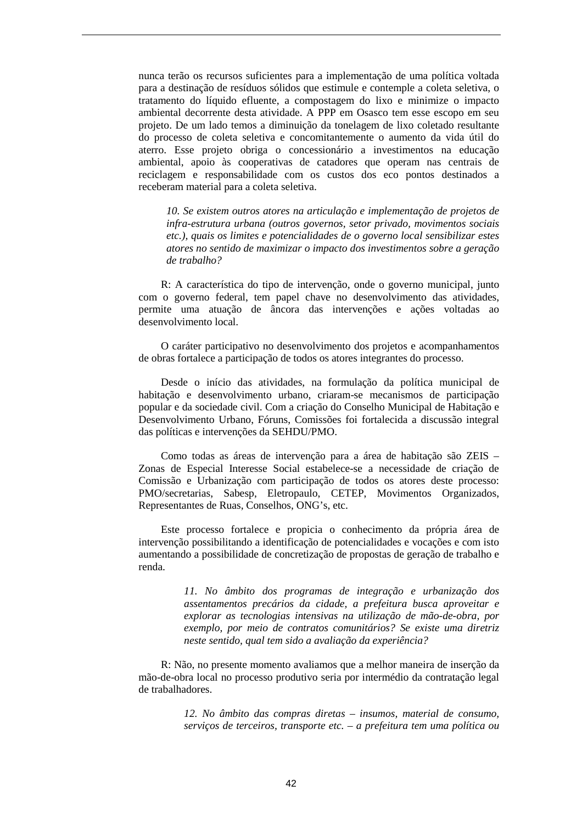nunca terão os recursos suficientes para a implementação de uma política voltada para a destinação de resíduos sólidos que estimule e contemple a coleta seletiva, o tratamento do líquido efluente, a compostagem do lixo e minimize o impacto ambiental decorrente desta atividade. A PPP em Osasco tem esse escopo em seu projeto. De um lado temos a diminuição da tonelagem de lixo coletado resultante do processo de coleta seletiva e concomitantemente o aumento da vida útil do aterro. Esse projeto obriga o concessionário a investimentos na educação ambiental, apoio às cooperativas de catadores que operam nas centrais de reciclagem e responsabilidade com os custos dos eco pontos destinados a receberam material para a coleta seletiva.

*10. Se existem outros atores na articulação e implementação de projetos de infra-estrutura urbana (outros governos, setor privado, movimentos sociais etc.), quais os limites e potencialidades de o governo local sensibilizar estes atores no sentido de maximizar o impacto dos investimentos sobre a geração de trabalho?* 

R: A característica do tipo de intervenção, onde o governo municipal, junto com o governo federal, tem papel chave no desenvolvimento das atividades, permite uma atuação de âncora das intervenções e ações voltadas ao desenvolvimento local.

O caráter participativo no desenvolvimento dos projetos e acompanhamentos de obras fortalece a participação de todos os atores integrantes do processo.

Desde o início das atividades, na formulação da política municipal de habitação e desenvolvimento urbano, criaram-se mecanismos de participação popular e da sociedade civil. Com a criação do Conselho Municipal de Habitação e Desenvolvimento Urbano, Fóruns, Comissões foi fortalecida a discussão integral das políticas e intervenções da SEHDU/PMO.

Como todas as áreas de intervenção para a área de habitação são ZEIS – Zonas de Especial Interesse Social estabelece-se a necessidade de criação de Comissão e Urbanização com participação de todos os atores deste processo: PMO/secretarias, Sabesp, Eletropaulo, CETEP, Movimentos Organizados, Representantes de Ruas, Conselhos, ONG's, etc.

Este processo fortalece e propicia o conhecimento da própria área de intervenção possibilitando a identificação de potencialidades e vocações e com isto aumentando a possibilidade de concretização de propostas de geração de trabalho e renda.

> *11. No âmbito dos programas de integração e urbanização dos assentamentos precários da cidade, a prefeitura busca aproveitar e explorar as tecnologias intensivas na utilização de mão-de-obra, por exemplo, por meio de contratos comunitários? Se existe uma diretriz neste sentido, qual tem sido a avaliação da experiência?*

R: Não, no presente momento avaliamos que a melhor maneira de inserção da mão-de-obra local no processo produtivo seria por intermédio da contratação legal de trabalhadores.

> *12. No âmbito das compras diretas – insumos, material de consumo, serviços de terceiros, transporte etc. – a prefeitura tem uma política ou*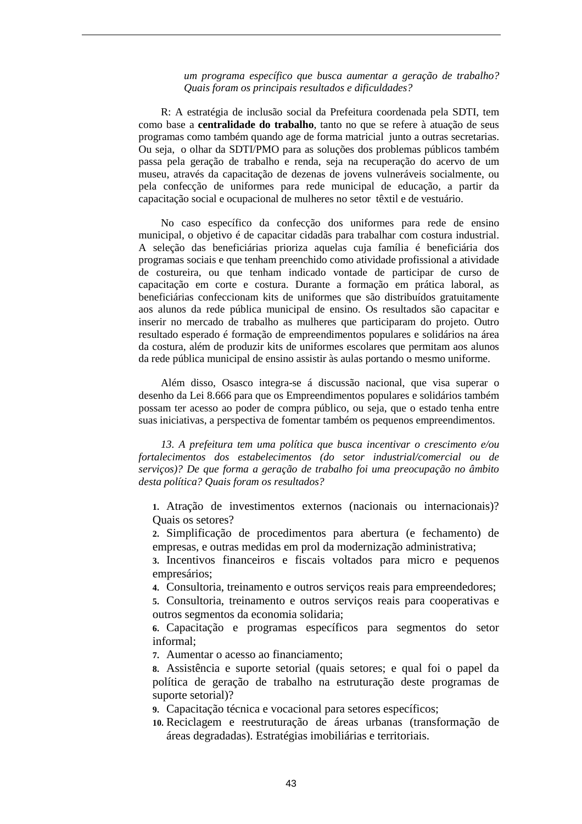*um programa específico que busca aumentar a geração de trabalho? Quais foram os principais resultados e dificuldades?* 

R: A estratégia de inclusão social da Prefeitura coordenada pela SDTI, tem como base a **centralidade do trabalho**, tanto no que se refere à atuação de seus programas como também quando age de forma matricial junto a outras secretarias. Ou seja, o olhar da SDTI/PMO para as soluções dos problemas públicos também passa pela geração de trabalho e renda, seja na recuperação do acervo de um museu, através da capacitação de dezenas de jovens vulneráveis socialmente, ou pela confecção de uniformes para rede municipal de educação, a partir da capacitação social e ocupacional de mulheres no setor têxtil e de vestuário.

No caso específico da confecção dos uniformes para rede de ensino municipal, o objetivo é de capacitar cidadãs para trabalhar com costura industrial. A seleção das beneficiárias prioriza aquelas cuja família é beneficiária dos programas sociais e que tenham preenchido como atividade profissional a atividade de costureira, ou que tenham indicado vontade de participar de curso de capacitação em corte e costura. Durante a formação em prática laboral, as beneficiárias confeccionam kits de uniformes que são distribuídos gratuitamente aos alunos da rede pública municipal de ensino. Os resultados são capacitar e inserir no mercado de trabalho as mulheres que participaram do projeto. Outro resultado esperado é formação de empreendimentos populares e solidários na área da costura, além de produzir kits de uniformes escolares que permitam aos alunos da rede pública municipal de ensino assistir às aulas portando o mesmo uniforme.

Além disso, Osasco integra-se á discussão nacional, que visa superar o desenho da Lei 8.666 para que os Empreendimentos populares e solidários também possam ter acesso ao poder de compra público, ou seja, que o estado tenha entre suas iniciativas, a perspectiva de fomentar também os pequenos empreendimentos.

*13. A prefeitura tem uma política que busca incentivar o crescimento e/ou fortalecimentos dos estabelecimentos (do setor industrial/comercial ou de serviços)? De que forma a geração de trabalho foi uma preocupação no âmbito desta política? Quais foram os resultados?* 

**1.** Atração de investimentos externos (nacionais ou internacionais)? Quais os setores?

**2.** Simplificação de procedimentos para abertura (e fechamento) de empresas, e outras medidas em prol da modernização administrativa;

**3.** Incentivos financeiros e fiscais voltados para micro e pequenos empresários;

**4.** Consultoria, treinamento e outros serviços reais para empreendedores;

**5.** Consultoria, treinamento e outros serviços reais para cooperativas e outros segmentos da economia solidaria;

**6.** Capacitação e programas específicos para segmentos do setor informal;

**7.** Aumentar o acesso ao financiamento;

**8.** Assistência e suporte setorial (quais setores; e qual foi o papel da política de geração de trabalho na estruturação deste programas de suporte setorial)?

**9.** Capacitação técnica e vocacional para setores específicos;

**10.** Reciclagem e reestruturação de áreas urbanas (transformação de áreas degradadas). Estratégias imobiliárias e territoriais.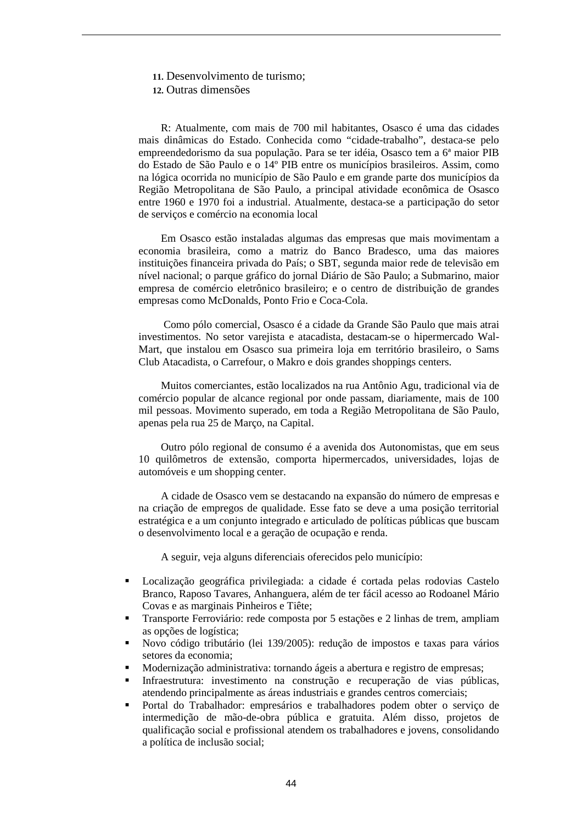#### **11.** Desenvolvimento de turismo;

**12.** Outras dimensões

R: Atualmente, com mais de 700 mil habitantes, Osasco é uma das cidades mais dinâmicas do Estado. Conhecida como "cidade-trabalho", destaca-se pelo empreendedorismo da sua população. Para se ter idéia, Osasco tem a 6ª maior PIB do Estado de São Paulo e o 14º PIB entre os municípios brasileiros. Assim, como na lógica ocorrida no município de São Paulo e em grande parte dos municípios da Região Metropolitana de São Paulo, a principal atividade econômica de Osasco entre 1960 e 1970 foi a industrial. Atualmente, destaca-se a participação do setor de serviços e comércio na economia local

Em Osasco estão instaladas algumas das empresas que mais movimentam a economia brasileira, como a matriz do Banco Bradesco, uma das maiores instituições financeira privada do País; o SBT, segunda maior rede de televisão em nível nacional; o parque gráfico do jornal Diário de São Paulo; a Submarino, maior empresa de comércio eletrônico brasileiro; e o centro de distribuição de grandes empresas como McDonalds, Ponto Frio e Coca-Cola.

 Como pólo comercial, Osasco é a cidade da Grande São Paulo que mais atrai investimentos. No setor varejista e atacadista, destacam-se o hipermercado Wal-Mart, que instalou em Osasco sua primeira loja em território brasileiro, o Sams Club Atacadista, o Carrefour, o Makro e dois grandes shoppings centers.

Muitos comerciantes, estão localizados na rua Antônio Agu, tradicional via de comércio popular de alcance regional por onde passam, diariamente, mais de 100 mil pessoas. Movimento superado, em toda a Região Metropolitana de São Paulo, apenas pela rua 25 de Março, na Capital.

Outro pólo regional de consumo é a avenida dos Autonomistas, que em seus 10 quilômetros de extensão, comporta hipermercados, universidades, lojas de automóveis e um shopping center.

A cidade de Osasco vem se destacando na expansão do número de empresas e na criação de empregos de qualidade. Esse fato se deve a uma posição territorial estratégica e a um conjunto integrado e articulado de políticas públicas que buscam o desenvolvimento local e a geração de ocupação e renda.

A seguir, veja alguns diferenciais oferecidos pelo município:

- Localização geográfica privilegiada: a cidade é cortada pelas rodovias Castelo Branco, Raposo Tavares, Anhanguera, além de ter fácil acesso ao Rodoanel Mário Covas e as marginais Pinheiros e Tiête;
- Transporte Ferroviário: rede composta por 5 estações e 2 linhas de trem, ampliam as opções de logística;
- Novo código tributário (lei 139/2005): redução de impostos e taxas para vários setores da economia;
- Modernização administrativa: tornando ágeis a abertura e registro de empresas;
- Infraestrutura: investimento na construção e recuperação de vias públicas, atendendo principalmente as áreas industriais e grandes centros comerciais;
- Portal do Trabalhador: empresários e trabalhadores podem obter o serviço de intermedição de mão-de-obra pública e gratuita. Além disso, projetos de qualificação social e profissional atendem os trabalhadores e jovens, consolidando a política de inclusão social;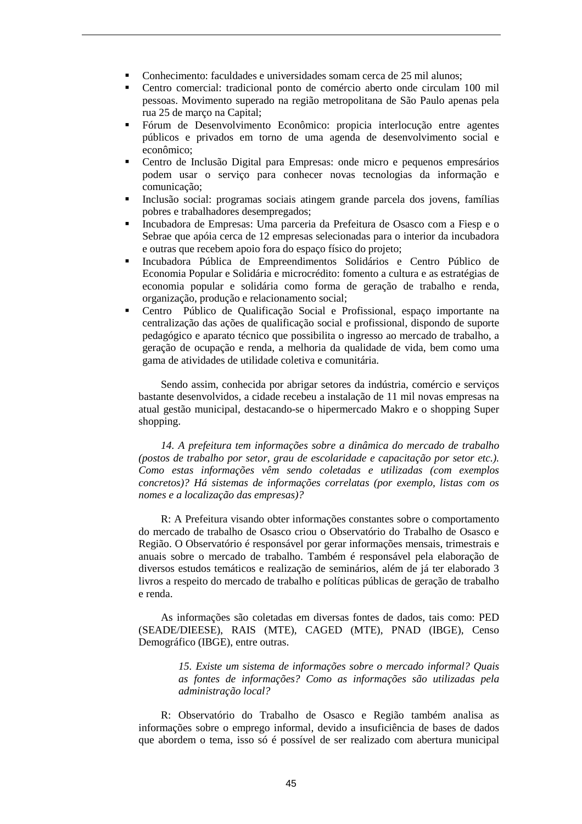- Conhecimento: faculdades e universidades somam cerca de 25 mil alunos;
- Centro comercial: tradicional ponto de comércio aberto onde circulam 100 mil pessoas. Movimento superado na região metropolitana de São Paulo apenas pela rua 25 de março na Capital;
- Fórum de Desenvolvimento Econômico: propicia interlocução entre agentes públicos e privados em torno de uma agenda de desenvolvimento social e econômico;
- Centro de Inclusão Digital para Empresas: onde micro e pequenos empresários podem usar o serviço para conhecer novas tecnologias da informação e comunicação;
- Inclusão social: programas sociais atingem grande parcela dos jovens, famílias pobres e trabalhadores desempregados;
- Incubadora de Empresas: Uma parceria da Prefeitura de Osasco com a Fiesp e o Sebrae que apóia cerca de 12 empresas selecionadas para o interior da incubadora e outras que recebem apoio fora do espaço físico do projeto;
- Incubadora Pública de Empreendimentos Solidários e Centro Público de Economia Popular e Solidária e microcrédito: fomento a cultura e as estratégias de economia popular e solidária como forma de geração de trabalho e renda, organização, produção e relacionamento social;
- Centro Público de Qualificação Social e Profissional, espaço importante na centralização das ações de qualificação social e profissional, dispondo de suporte pedagógico e aparato técnico que possibilita o ingresso ao mercado de trabalho, a geração de ocupação e renda, a melhoria da qualidade de vida, bem como uma gama de atividades de utilidade coletiva e comunitária.

Sendo assim, conhecida por abrigar setores da indústria, comércio e serviços bastante desenvolvidos, a cidade recebeu a instalação de 11 mil novas empresas na atual gestão municipal, destacando-se o hipermercado Makro e o shopping Super shopping.

*14. A prefeitura tem informações sobre a dinâmica do mercado de trabalho (postos de trabalho por setor, grau de escolaridade e capacitação por setor etc.). Como estas informações vêm sendo coletadas e utilizadas (com exemplos concretos)? Há sistemas de informações correlatas (por exemplo, listas com os nomes e a localização das empresas)?* 

R: A Prefeitura visando obter informações constantes sobre o comportamento do mercado de trabalho de Osasco criou o Observatório do Trabalho de Osasco e Região. O Observatório é responsável por gerar informações mensais, trimestrais e anuais sobre o mercado de trabalho. Também é responsável pela elaboração de diversos estudos temáticos e realização de seminários, além de já ter elaborado 3 livros a respeito do mercado de trabalho e políticas públicas de geração de trabalho e renda.

As informações são coletadas em diversas fontes de dados, tais como: PED (SEADE/DIEESE), RAIS (MTE), CAGED (MTE), PNAD (IBGE), Censo Demográfico (IBGE), entre outras.

> *15. Existe um sistema de informações sobre o mercado informal? Quais as fontes de informações? Como as informações são utilizadas pela administração local?*

R: Observatório do Trabalho de Osasco e Região também analisa as informações sobre o emprego informal, devido a insuficiência de bases de dados que abordem o tema, isso só é possível de ser realizado com abertura municipal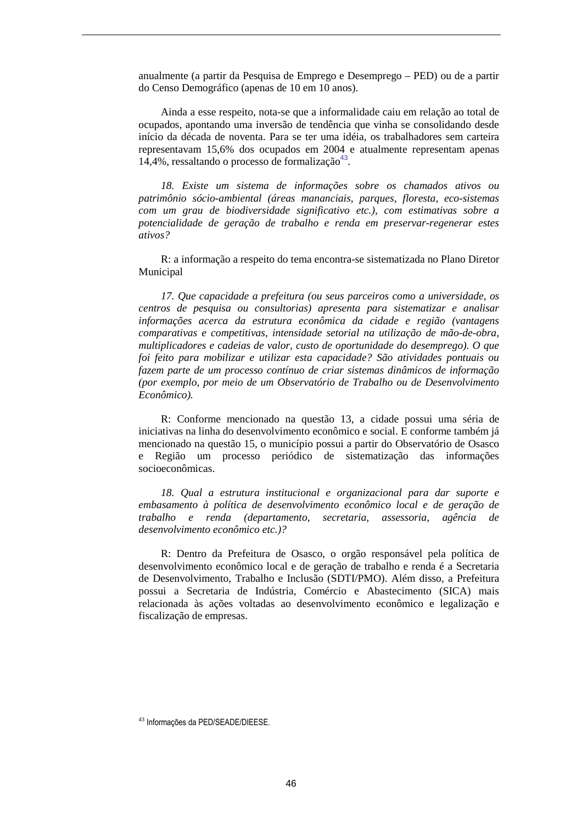anualmente (a partir da Pesquisa de Emprego e Desemprego – PED) ou de a partir do Censo Demográfico (apenas de 10 em 10 anos).

Ainda a esse respeito, nota-se que a informalidade caiu em relação ao total de ocupados, apontando uma inversão de tendência que vinha se consolidando desde início da década de noventa. Para se ter uma idéia, os trabalhadores sem carteira representavam 15,6% dos ocupados em 2004 e atualmente representam apenas 14,4%, ressaltando o processo de formalização<sup>43</sup>.

*18. Existe um sistema de informações sobre os chamados ativos ou patrimônio sócio-ambiental (áreas mananciais, parques, floresta, eco-sistemas com um grau de biodiversidade significativo etc.), com estimativas sobre a potencialidade de geração de trabalho e renda em preservar-regenerar estes ativos?* 

R: a informação a respeito do tema encontra-se sistematizada no Plano Diretor Municipal

*17. Que capacidade a prefeitura (ou seus parceiros como a universidade, os centros de pesquisa ou consultorias) apresenta para sistematizar e analisar informações acerca da estrutura econômica da cidade e região (vantagens comparativas e competitivas, intensidade setorial na utilização de mão-de-obra, multiplicadores e cadeias de valor, custo de oportunidade do desemprego). O que foi feito para mobilizar e utilizar esta capacidade? São atividades pontuais ou fazem parte de um processo contínuo de criar sistemas dinâmicos de informação (por exemplo, por meio de um Observatório de Trabalho ou de Desenvolvimento Econômico).* 

R: Conforme mencionado na questão 13, a cidade possui uma séria de iniciativas na linha do desenvolvimento econômico e social. E conforme também já mencionado na questão 15, o município possui a partir do Observatório de Osasco e Região um processo periódico de sistematização das informações socioeconômicas.

*18. Qual a estrutura institucional e organizacional para dar suporte e embasamento à política de desenvolvimento econômico local e de geração de trabalho e renda (departamento, secretaria, assessoria, agência de desenvolvimento econômico etc.)?* 

R: Dentro da Prefeitura de Osasco, o orgão responsável pela política de desenvolvimento econômico local e de geração de trabalho e renda é a Secretaria de Desenvolvimento, Trabalho e Inclusão (SDTI/PMO). Além disso, a Prefeitura possui a Secretaria de Indústria, Comércio e Abastecimento (SICA) mais relacionada às ações voltadas ao desenvolvimento econômico e legalização e fiscalização de empresas.

<sup>43</sup> Informações da PED/SEADE/DIEESE.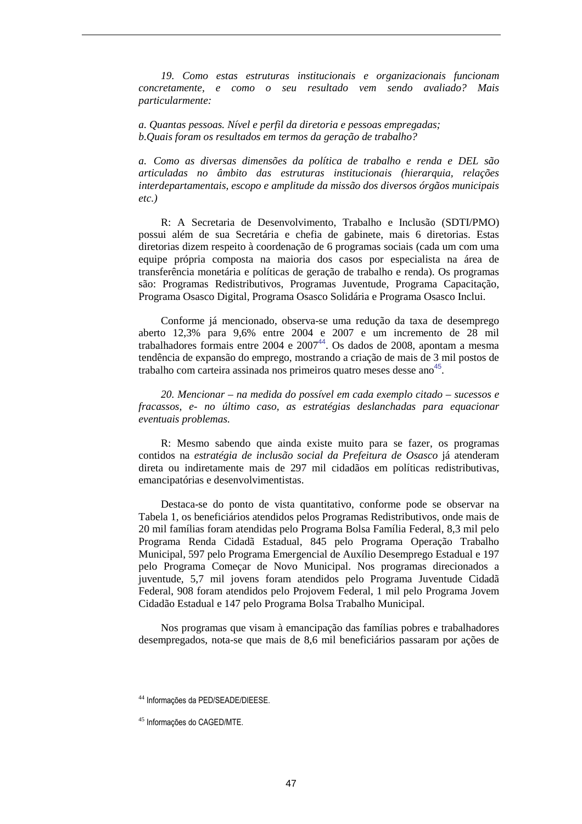*19. Como estas estruturas institucionais e organizacionais funcionam concretamente, e como o seu resultado vem sendo avaliado? Mais particularmente:* 

*a. Quantas pessoas. Nível e perfil da diretoria e pessoas empregadas; b.Quais foram os resultados em termos da geração de trabalho?* 

*a. Como as diversas dimensões da política de trabalho e renda e DEL são articuladas no âmbito das estruturas institucionais (hierarquia, relações interdepartamentais, escopo e amplitude da missão dos diversos órgãos municipais etc.)* 

R: A Secretaria de Desenvolvimento, Trabalho e Inclusão (SDTI/PMO) possui além de sua Secretária e chefia de gabinete, mais 6 diretorias. Estas diretorias dizem respeito à coordenação de 6 programas sociais (cada um com uma equipe própria composta na maioria dos casos por especialista na área de transferência monetária e políticas de geração de trabalho e renda). Os programas são: Programas Redistributivos, Programas Juventude, Programa Capacitação, Programa Osasco Digital, Programa Osasco Solidária e Programa Osasco Inclui.

Conforme já mencionado, observa-se uma redução da taxa de desemprego aberto 12,3% para 9,6% entre 2004 e 2007 e um incremento de 28 mil trabalhadores formais entre 2004 e 2007<sup>44</sup>. Os dados de 2008, apontam a mesma tendência de expansão do emprego, mostrando a criação de mais de 3 mil postos de trabalho com carteira assinada nos primeiros quatro meses desse ano<sup>45</sup>.

*20. Mencionar – na medida do possível em cada exemplo citado – sucessos e fracassos, e- no último caso, as estratégias deslanchadas para equacionar eventuais problemas.* 

R: Mesmo sabendo que ainda existe muito para se fazer, os programas contidos na *estratégia de inclusão social da Prefeitura de Osasco* já atenderam direta ou indiretamente mais de 297 mil cidadãos em políticas redistributivas, emancipatórias e desenvolvimentistas.

Destaca-se do ponto de vista quantitativo, conforme pode se observar na Tabela 1, os beneficiários atendidos pelos Programas Redistributivos, onde mais de 20 mil famílias foram atendidas pelo Programa Bolsa Família Federal, 8,3 mil pelo Programa Renda Cidadã Estadual, 845 pelo Programa Operação Trabalho Municipal, 597 pelo Programa Emergencial de Auxílio Desemprego Estadual e 197 pelo Programa Começar de Novo Municipal. Nos programas direcionados a juventude, 5,7 mil jovens foram atendidos pelo Programa Juventude Cidadã Federal, 908 foram atendidos pelo Projovem Federal, 1 mil pelo Programa Jovem Cidadão Estadual e 147 pelo Programa Bolsa Trabalho Municipal.

Nos programas que visam à emancipação das famílias pobres e trabalhadores desempregados, nota-se que mais de 8,6 mil beneficiários passaram por ações de

<sup>44</sup> Informações da PED/SEADE/DIEESE.

<sup>45</sup> Informações do CAGED/MTE.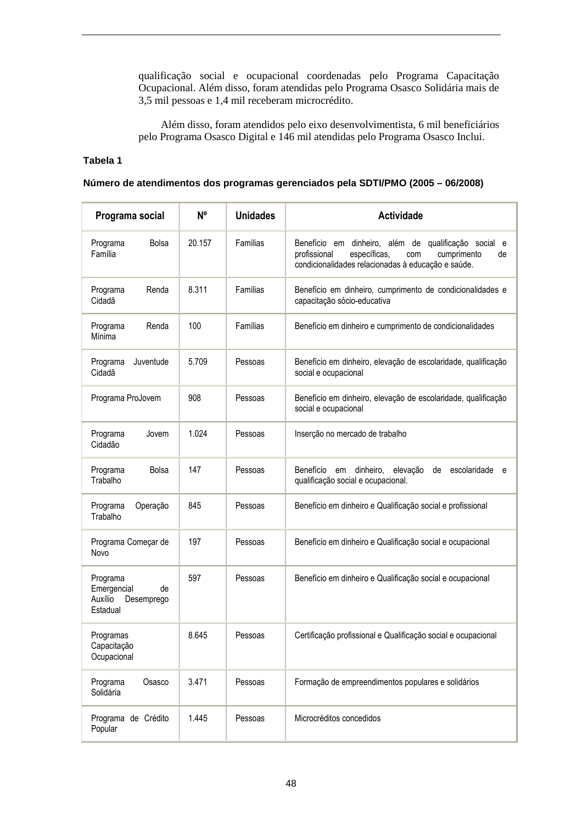qualificação social e ocupacional coordenadas pelo Programa Capacitação Ocupacional. Além disso, foram atendidas pelo Programa Osasco Solidária mais de 3,5 mil pessoas e 1,4 mil receberam microcrédito.

Além disso, foram atendidos pelo eixo desenvolvimentista, 6 mil beneficiários pelo Programa Osasco Digital e 146 mil atendidas pelo Programa Osasco Inclui.

#### **Tabela 1**

#### **Número de atendimentos dos programas gerenciados pela SDTI/PMO (2005 – 06/2008)**

| Programa social                                                    | N <sup>o</sup> | <b>Unidades</b> | <b>Actividade</b>                                                                                                                                                      |
|--------------------------------------------------------------------|----------------|-----------------|------------------------------------------------------------------------------------------------------------------------------------------------------------------------|
| <b>Bolsa</b><br>Programa<br>Família                                | 20.157         | Famílias        | Benefício em dinheiro, além de qualificação social e<br>profissional<br>específicas,<br>cumprimento<br>com<br>de<br>condicionalidades relacionadas à educação e saúde. |
| Programa<br>Renda<br>Cidadã                                        | 8.311          | Famílias        | Benefício em dinheiro, cumprimento de condicionalidades e<br>capacitação sócio-educativa                                                                               |
| Renda<br>Programa<br>Mínima                                        | 100            | Famílias        | Benefício em dinheiro e cumprimento de condicionalidades                                                                                                               |
| Juventude<br>Programa<br>Cidadã                                    | 5.709          | Pessoas         | Benefício em dinheiro, elevação de escolaridade, qualificação<br>social e ocupacional                                                                                  |
| Programa ProJovem                                                  | 908            | Pessoas         | Benefício em dinheiro, elevação de escolaridade, qualificação<br>social e ocupacional                                                                                  |
| Programa<br>Jovem<br>Cidadão                                       | 1.024          | Pessoas         | Inserção no mercado de trabalho                                                                                                                                        |
| Programa<br><b>Bolsa</b><br>Trabalho                               | 147            | Pessoas         | Benefício em<br>dinheiro,<br>escolaridade<br>elevação<br>de<br>e e<br>qualificação social e ocupacional.                                                               |
| Programa<br>Operação<br>Trabalho                                   | 845            | Pessoas         | Benefício em dinheiro e Qualificação social e profissional                                                                                                             |
| Programa Começar de<br>Novo                                        | 197            | Pessoas         | Benefício em dinheiro e Qualificação social e ocupacional                                                                                                              |
| Programa<br>Emergencial<br>de<br>Auxílio<br>Desemprego<br>Estadual | 597            | Pessoas         | Benefício em dinheiro e Qualificação social e ocupacional                                                                                                              |
| Programas<br>Capacitação<br>Ocupacional                            | 8.645          | Pessoas         | Certificação profissional e Qualificação social e ocupacional                                                                                                          |
| Programa<br>Osasco<br>Solidária                                    | 3.471          | Pessoas         | Formação de empreendimentos populares e solidários                                                                                                                     |
| Programa de Crédito<br>Popular                                     | 1.445          | Pessoas         | Microcréditos concedidos                                                                                                                                               |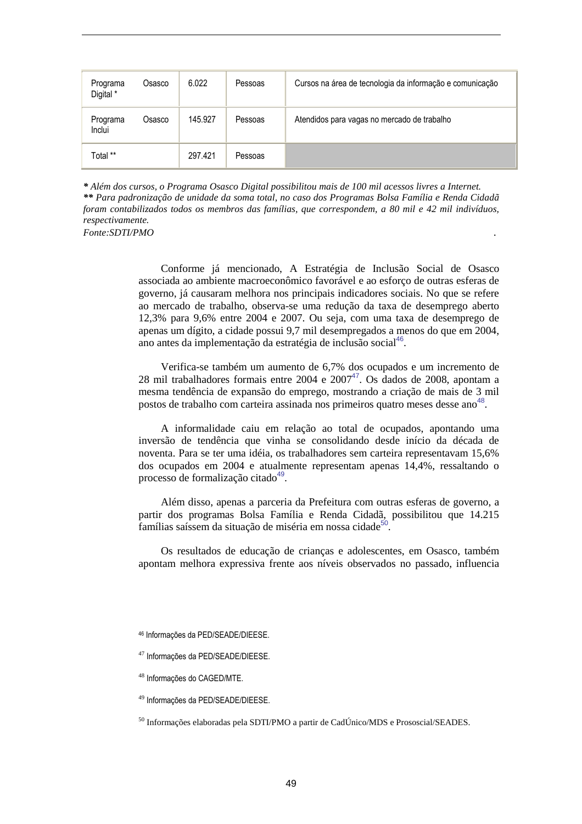| Programa<br>Digital *     | Osasco | 6.022   | Pessoas | Cursos na área de tecnologia da informação e comunicação |
|---------------------------|--------|---------|---------|----------------------------------------------------------|
| Programa<br><b>Inclui</b> | Osasco | 145.927 | Pessoas | Atendidos para vagas no mercado de trabalho              |
| Total **                  |        | 297.421 | Pessoas |                                                          |

*\* Além dos cursos, o Programa Osasco Digital possibilitou mais de 100 mil acessos livres a Internet. \*\* Para padronização de unidade da soma total, no caso dos Programas Bolsa Família e Renda Cidadã foram contabilizados todos os membros das famílias, que correspondem, a 80 mil e 42 mil indivíduos, respectivamente.* 

*Fonte:SDTI/PMO .* 

Conforme já mencionado, A Estratégia de Inclusão Social de Osasco associada ao ambiente macroeconômico favorável e ao esforço de outras esferas de governo, já causaram melhora nos principais indicadores sociais. No que se refere ao mercado de trabalho, observa-se uma redução da taxa de desemprego aberto 12,3% para 9,6% entre 2004 e 2007. Ou seja, com uma taxa de desemprego de apenas um dígito, a cidade possui 9,7 mil desempregados a menos do que em 2004, ano antes da implementação da estratégia de inclusão social<sup>46</sup>.

Verifica-se também um aumento de 6,7% dos ocupados e um incremento de 28 mil trabalhadores formais entre 2004 e  $2007^{47}$ . Os dados de 2008, apontam a mesma tendência de expansão do emprego, mostrando a criação de mais de 3 mil postos de trabalho com carteira assinada nos primeiros quatro meses desse ano<sup>48</sup>.

A informalidade caiu em relação ao total de ocupados, apontando uma inversão de tendência que vinha se consolidando desde início da década de noventa. Para se ter uma idéia, os trabalhadores sem carteira representavam 15,6% dos ocupados em 2004 e atualmente representam apenas 14,4%, ressaltando o processo de formalização citado<sup>49</sup>.

Além disso, apenas a parceria da Prefeitura com outras esferas de governo, a partir dos programas Bolsa Família e Renda Cidadã, possibilitou que 14.215 famílias saíssem da situação de miséria em nossa cidade<sup>50</sup> .

Os resultados de educação de crianças e adolescentes, em Osasco, também apontam melhora expressiva frente aos níveis observados no passado, influencia

<sup>49</sup> Informações da PED/SEADE/DIEESE.

<sup>46</sup> Informações da PED/SEADE/DIEESE.

<sup>47</sup> Informações da PED/SEADE/DIEESE.

<sup>48</sup> Informações do CAGED/MTE.

<sup>50</sup> Informações elaboradas pela SDTI/PMO a partir de CadÚnico/MDS e Prososcial/SEADES.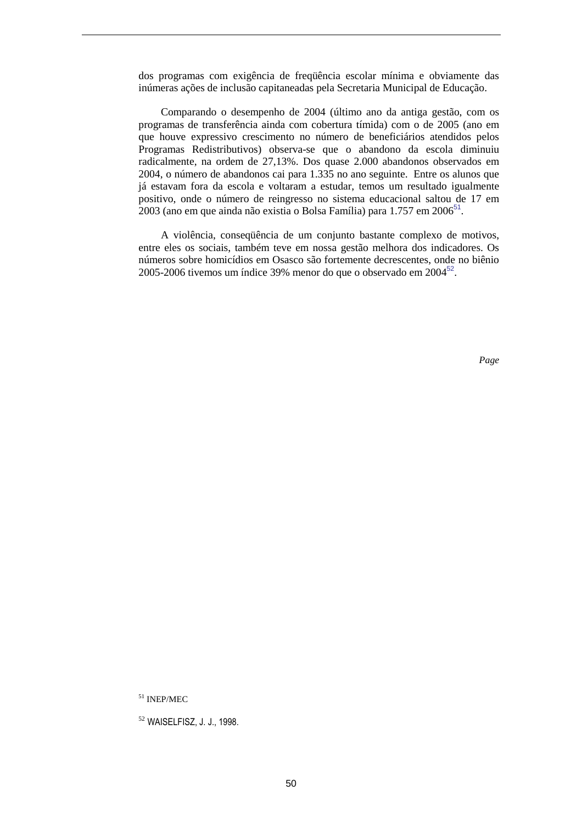dos programas com exigência de freqüência escolar mínima e obviamente das inúmeras ações de inclusão capitaneadas pela Secretaria Municipal de Educação.

Comparando o desempenho de 2004 (último ano da antiga gestão, com os programas de transferência ainda com cobertura tímida) com o de 2005 (ano em que houve expressivo crescimento no número de beneficiários atendidos pelos Programas Redistributivos) observa-se que o abandono da escola diminuiu radicalmente, na ordem de 27,13%. Dos quase 2.000 abandonos observados em 2004, o número de abandonos cai para 1.335 no ano seguinte. Entre os alunos que já estavam fora da escola e voltaram a estudar, temos um resultado igualmente positivo, onde o número de reingresso no sistema educacional saltou de 17 em  $2003$  (ano em que ainda não existia o Bolsa Família) para 1.757 em 2006 $^{51}$ .

A violência, conseqüência de um conjunto bastante complexo de motivos, entre eles os sociais, também teve em nossa gestão melhora dos indicadores. Os números sobre homicídios em Osasco são fortemente decrescentes, onde no biênio 2005-2006 tivemos um índice 39% menor do que o observado em  $2004^{52}$ .

*Page* 

<sup>51</sup> INEP/MEC

<sup>52</sup> WAISELFISZ, J. J., 1998.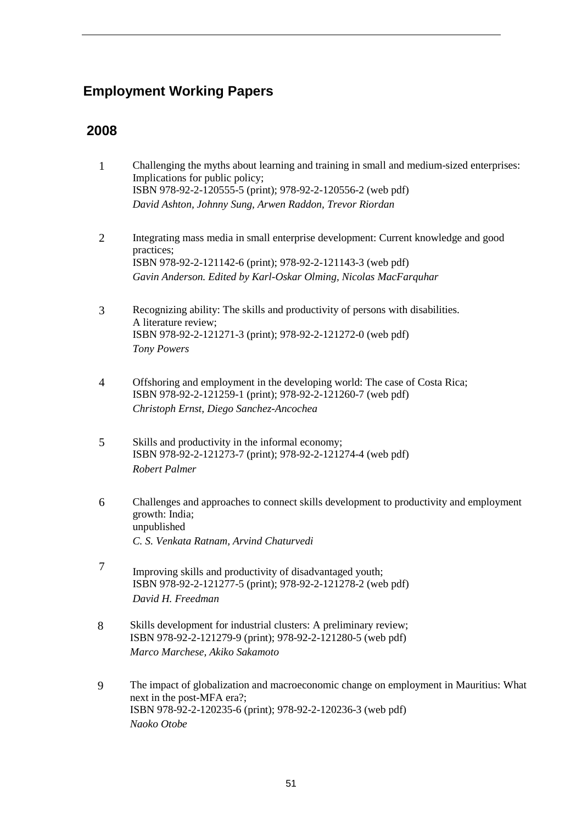# **Employment Working Papers**

### **2008**

- 1 Challenging the myths about learning and training in small and medium-sized enterprises: Implications for public policy; ISBN 978-92-2-120555-5 (print); 978-92-2-120556-2 (web pdf) *David Ashton, Johnny Sung, Arwen Raddon, Trevor Riordan*
- 2 Integrating mass media in small enterprise development: Current knowledge and good practices; ISBN 978-92-2-121142-6 (print); 978-92-2-121143-3 (web pdf) *Gavin Anderson. Edited by Karl-Oskar Olming, Nicolas MacFarquhar*
- 3 Recognizing ability: The skills and productivity of persons with disabilities. A literature review; ISBN 978-92-2-121271-3 (print); 978-92-2-121272-0 (web pdf) *Tony Powers*
- 4 Offshoring and employment in the developing world: The case of Costa Rica; ISBN 978-92-2-121259-1 (print); 978-92-2-121260-7 (web pdf) *Christoph Ernst, Diego Sanchez-Ancochea*
- 5 Skills and productivity in the informal economy; ISBN 978-92-2-121273-7 (print); 978-92-2-121274-4 (web pdf) *Robert Palmer*
- 6 Challenges and approaches to connect skills development to productivity and employment growth: India; unpublished *C. S. Venkata Ratnam, Arvind Chaturvedi*
- 7 Improving skills and productivity of disadvantaged youth; ISBN 978-92-2-121277-5 (print); 978-92-2-121278-2 (web pdf) *David H. Freedman*
- 8 Skills development for industrial clusters: A preliminary review; ISBN 978-92-2-121279-9 (print); 978-92-2-121280-5 (web pdf) *Marco Marchese, Akiko Sakamoto*
- 9 The impact of globalization and macroeconomic change on employment in Mauritius: What next in the post-MFA era?; ISBN 978-92-2-120235-6 (print); 978-92-2-120236-3 (web pdf) *Naoko Otobe*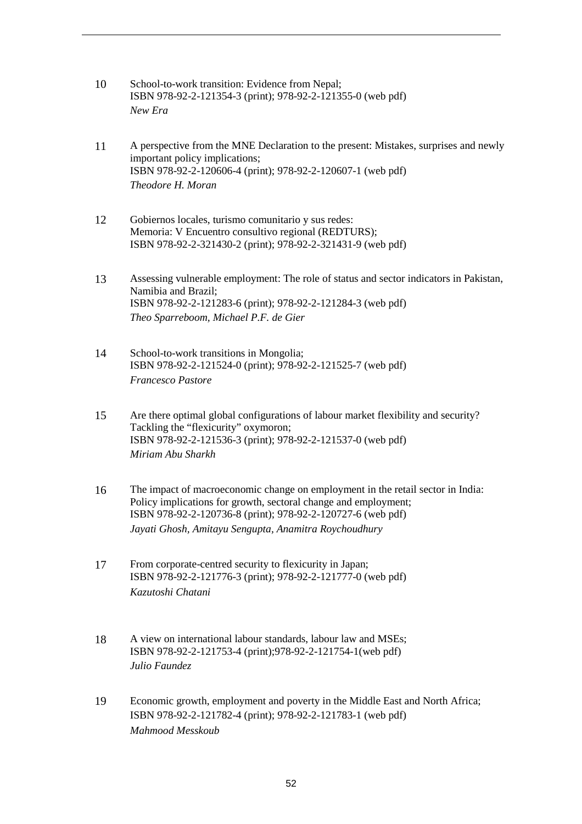- 10 School-to-work transition: Evidence from Nepal; ISBN 978-92-2-121354-3 (print); 978-92-2-121355-0 (web pdf) *New Era*
- 11 A perspective from the MNE Declaration to the present: Mistakes, surprises and newly important policy implications; ISBN 978-92-2-120606-4 (print); 978-92-2-120607-1 (web pdf) *Theodore H. Moran*
- 12 Gobiernos locales, turismo comunitario y sus redes: Memoria: V Encuentro consultivo regional (REDTURS); ISBN 978-92-2-321430-2 (print); 978-92-2-321431-9 (web pdf)
- 13 Assessing vulnerable employment: The role of status and sector indicators in Pakistan, Namibia and Brazil; ISBN 978-92-2-121283-6 (print); 978-92-2-121284-3 (web pdf) *Theo Sparreboom, Michael P.F. de Gier*
- 14 School-to-work transitions in Mongolia; ISBN 978-92-2-121524-0 (print); 978-92-2-121525-7 (web pdf) *Francesco Pastore*
- 15 Are there optimal global configurations of labour market flexibility and security? Tackling the "flexicurity" oxymoron; ISBN 978-92-2-121536-3 (print); 978-92-2-121537-0 (web pdf) *Miriam Abu Sharkh*
- 16 The impact of macroeconomic change on employment in the retail sector in India: Policy implications for growth, sectoral change and employment; ISBN 978-92-2-120736-8 (print); 978-92-2-120727-6 (web pdf) *Jayati Ghosh, Amitayu Sengupta, Anamitra Roychoudhury*
- 17 From corporate-centred security to flexicurity in Japan; ISBN 978-92-2-121776-3 (print); 978-92-2-121777-0 (web pdf) *Kazutoshi Chatani*
- 18 A view on international labour standards, labour law and MSEs; ISBN 978-92-2-121753-4 (print);978-92-2-121754-1(web pdf) *Julio Faundez*
- 19 Economic growth, employment and poverty in the Middle East and North Africa; ISBN 978-92-2-121782-4 (print); 978-92-2-121783-1 (web pdf) *Mahmood Messkoub*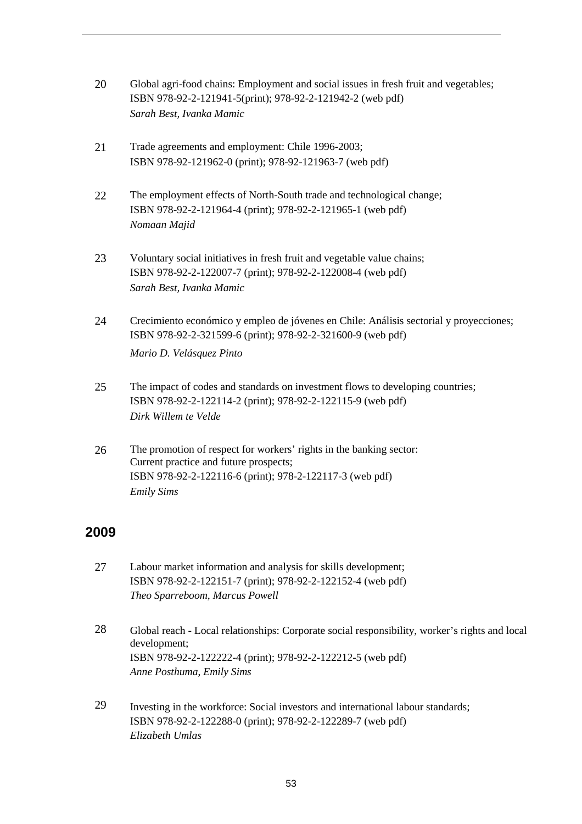- 20 Global agri-food chains: Employment and social issues in fresh fruit and vegetables; ISBN 978-92-2-121941-5(print); 978-92-2-121942-2 (web pdf) *Sarah Best, Ivanka Mamic*
- 21 Trade agreements and employment: Chile 1996-2003; ISBN 978-92-121962-0 (print); 978-92-121963-7 (web pdf)
- 22 The employment effects of North-South trade and technological change; ISBN 978-92-2-121964-4 (print); 978-92-2-121965-1 (web pdf) *Nomaan Majid*
- 23 Voluntary social initiatives in fresh fruit and vegetable value chains; ISBN 978-92-2-122007-7 (print); 978-92-2-122008-4 (web pdf) *Sarah Best, Ivanka Mamic*
- 24 Crecimiento económico y empleo de jóvenes en Chile: Análisis sectorial y proyecciones; ISBN 978-92-2-321599-6 (print); 978-92-2-321600-9 (web pdf)

*Mario D. Velásquez Pinto*

- 25 The impact of codes and standards on investment flows to developing countries; ISBN 978-92-2-122114-2 (print); 978-92-2-122115-9 (web pdf) *Dirk Willem te Velde*
- 26 The promotion of respect for workers' rights in the banking sector: Current practice and future prospects; ISBN 978-92-2-122116-6 (print); 978-2-122117-3 (web pdf) *Emily Sims*

### **2009**

- 27 Labour market information and analysis for skills development; ISBN 978-92-2-122151-7 (print); 978-92-2-122152-4 (web pdf) *Theo Sparreboom, Marcus Powell*
- 28 Global reach Local relationships: Corporate social responsibility, worker's rights and local development; ISBN 978-92-2-122222-4 (print); 978-92-2-122212-5 (web pdf) *Anne Posthuma*, *Emily Sims*
- 29 Investing in the workforce: Social investors and international labour standards; ISBN 978-92-2-122288-0 (print); 978-92-2-122289-7 (web pdf) *Elizabeth Umlas*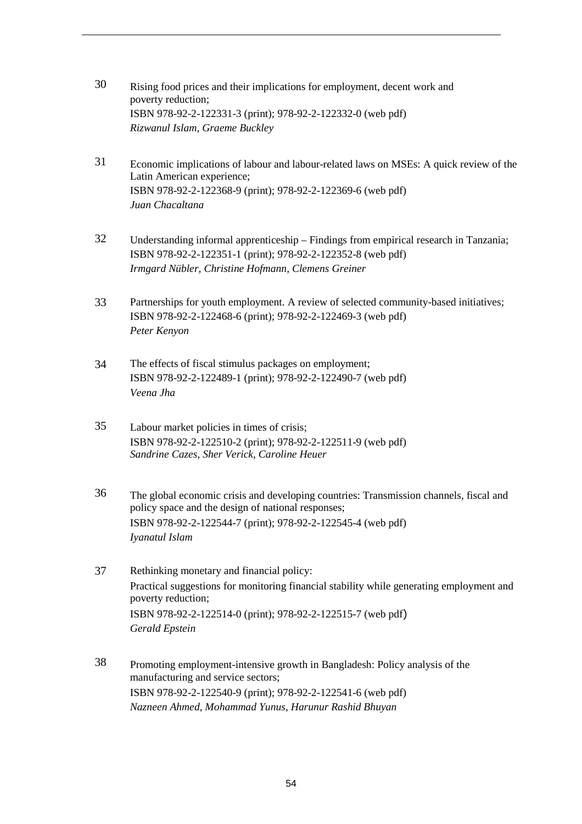- 30 Rising food prices and their implications for employment, decent work and poverty reduction; ISBN 978-92-2-122331-3 (print); 978-92-2-122332-0 (web pdf) *Rizwanul Islam, Graeme Buckley*
- 31 Economic implications of labour and labour-related laws on MSEs: A quick review of the Latin American experience; ISBN 978-92-2-122368-9 (print); 978-92-2-122369-6 (web pdf) *Juan Chacaltana*
- 32 Understanding informal apprenticeship Findings from empirical research in Tanzania; ISBN 978-92-2-122351-1 (print); 978-92-2-122352-8 (web pdf) *Irmgard Nübler, Christine Hofmann, Clemens Greiner*
- 33 Partnerships for youth employment. A review of selected community-based initiatives; ISBN 978-92-2-122468-6 (print); 978-92-2-122469-3 (web pdf) *Peter Kenyon*
- 34 The effects of fiscal stimulus packages on employment; ISBN 978-92-2-122489-1 (print); 978-92-2-122490-7 (web pdf) *Veena Jha*
- 35 Labour market policies in times of crisis; ISBN 978-92-2-122510-2 (print); 978-92-2-122511-9 (web pdf) *Sandrine Cazes, Sher Verick, Caroline Heuer*
- 36 The global economic crisis and developing countries: Transmission channels, fiscal and policy space and the design of national responses; ISBN 978-92-2-122544-7 (print); 978-92-2-122545-4 (web pdf) *Iyanatul Islam*
- 37 Rethinking monetary and financial policy: Practical suggestions for monitoring financial stability while generating employment and poverty reduction; ISBN 978-92-2-122514-0 (print); 978-92-2-122515-7 (web pdf) *Gerald Epstein*
- 38 Promoting employment-intensive growth in Bangladesh: Policy analysis of the manufacturing and service sectors; ISBN 978-92-2-122540-9 (print); 978-92-2-122541-6 (web pdf) *Nazneen Ahmed, Mohammad Yunus, Harunur Rashid Bhuyan*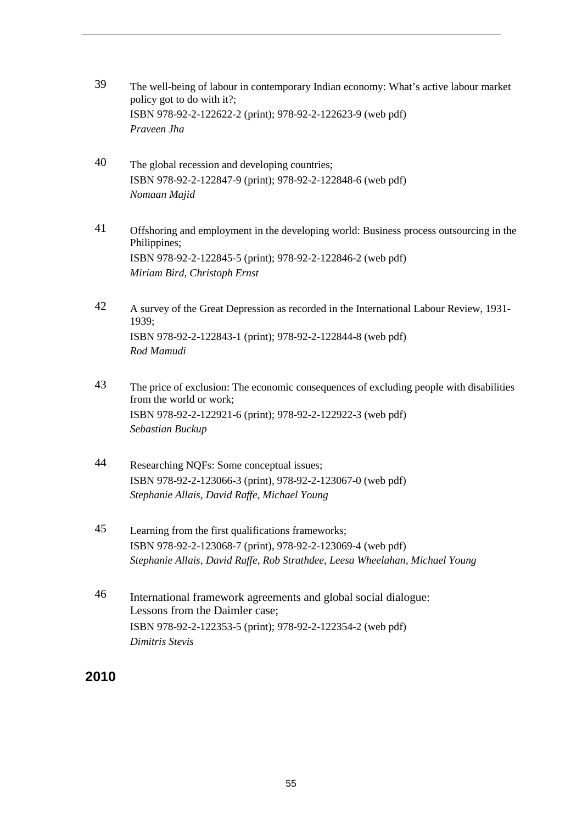- 39 The well-being of labour in contemporary Indian economy: What's active labour market policy got to do with it?; ISBN 978-92-2-122622-2 (print); 978-92-2-122623-9 (web pdf) *Praveen Jha*
- 40 The global recession and developing countries; ISBN 978-92-2-122847-9 (print); 978-92-2-122848-6 (web pdf) *Nomaan Majid*
- 41 Offshoring and employment in the developing world: Business process outsourcing in the Philippines; ISBN 978-92-2-122845-5 (print); 978-92-2-122846-2 (web pdf) *Miriam Bird, Christoph Ernst*
- 42 A survey of the Great Depression as recorded in the International Labour Review, 1931- 1939; ISBN 978-92-2-122843-1 (print); 978-92-2-122844-8 (web pdf) *Rod Mamudi*
- 43 The price of exclusion: The economic consequences of excluding people with disabilities from the world or work; ISBN 978-92-2-122921-6 (print); 978-92-2-122922-3 (web pdf) *Sebastian Buckup*
- 44 Researching NQFs: Some conceptual issues; ISBN 978-92-2-123066-3 (print), 978-92-2-123067-0 (web pdf) *Stephanie Allais, David Raffe, Michael Young*
- 45 Learning from the first qualifications frameworks; ISBN 978-92-2-123068-7 (print), 978-92-2-123069-4 (web pdf) *Stephanie Allais, David Raffe, Rob Strathdee, Leesa Wheelahan, Michael Young*
- 46 International framework agreements and global social dialogue: Lessons from the Daimler case; ISBN 978-92-2-122353-5 (print); 978-92-2-122354-2 (web pdf) *Dimitris Stevis*

# **2010**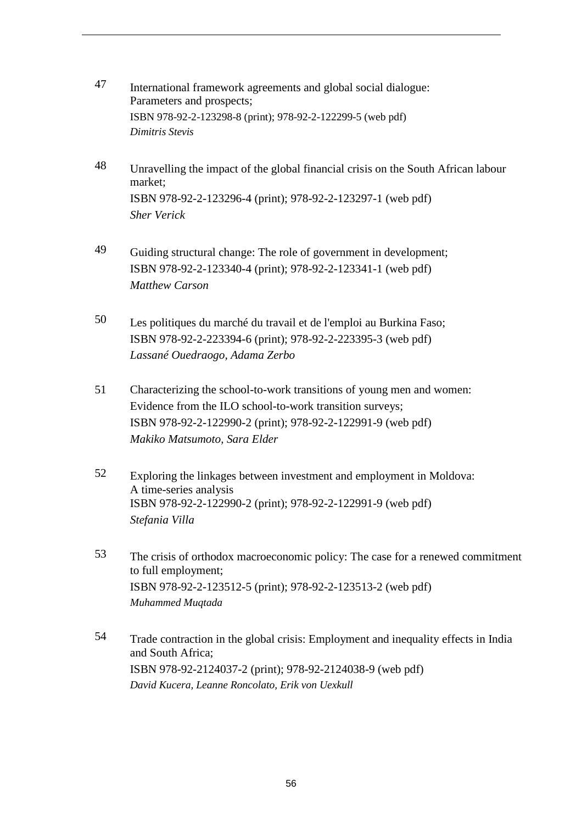- 47 International framework agreements and global social dialogue: Parameters and prospects; ISBN 978-92-2-123298-8 (print); 978-92-2-122299-5 (web pdf) *Dimitris Stevis*
- 48 Unravelling the impact of the global financial crisis on the South African labour market; ISBN 978-92-2-123296-4 (print); 978-92-2-123297-1 (web pdf) *Sher Verick*
- 49 Guiding structural change: The role of government in development; ISBN 978-92-2-123340-4 (print); 978-92-2-123341-1 (web pdf) *Matthew Carson*
- 50 Les politiques du marché du travail et de l'emploi au Burkina Faso; ISBN 978-92-2-223394-6 (print); 978-92-2-223395-3 (web pdf) *Lassané Ouedraogo, Adama Zerbo*
- 51 Characterizing the school-to-work transitions of young men and women: Evidence from the ILO school-to-work transition surveys; ISBN 978-92-2-122990-2 (print); 978-92-2-122991-9 (web pdf) *Makiko Matsumoto, Sara Elder*
- 52 Exploring the linkages between investment and employment in Moldova: A time-series analysis ISBN 978-92-2-122990-2 (print); 978-92-2-122991-9 (web pdf) *Stefania Villa*
- 53 The crisis of orthodox macroeconomic policy: The case for a renewed commitment to full employment; ISBN 978-92-2-123512-5 (print); 978-92-2-123513-2 (web pdf) *Muhammed Muqtada*
- 54 Trade contraction in the global crisis: Employment and inequality effects in India and South Africa; ISBN 978-92-2124037-2 (print); 978-92-2124038-9 (web pdf) *David Kucera, Leanne Roncolato, Erik von Uexkull*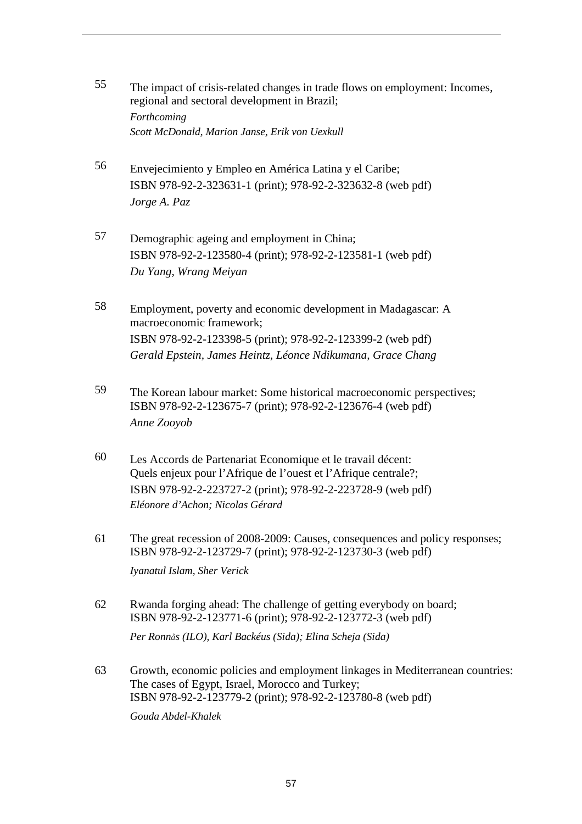- 55 The impact of crisis-related changes in trade flows on employment: Incomes, regional and sectoral development in Brazil; *Forthcoming Scott McDonald, Marion Janse, Erik von Uexkull*
- 56 Envejecimiento y Empleo en América Latina y el Caribe; ISBN 978-92-2-323631-1 (print); 978-92-2-323632-8 (web pdf) *Jorge A. Paz*
- 57 Demographic ageing and employment in China; ISBN 978-92-2-123580-4 (print); 978-92-2-123581-1 (web pdf) *Du Yang, Wrang Meiyan*
- 58 Employment, poverty and economic development in Madagascar: A macroeconomic framework; ISBN 978-92-2-123398-5 (print); 978-92-2-123399-2 (web pdf) *Gerald Epstein, James Heintz, Léonce Ndikumana, Grace Chang*
- 59 The Korean labour market: Some historical macroeconomic perspectives; ISBN 978-92-2-123675-7 (print); 978-92-2-123676-4 (web pdf) *Anne Zooyob*
- 60 Les Accords de Partenariat Economique et le travail décent: Quels enjeux pour l'Afrique de l'ouest et l'Afrique centrale?; ISBN 978-92-2-223727-2 (print); 978-92-2-223728-9 (web pdf) *Eléonore d'Achon; Nicolas Gérard*
- 61 The great recession of 2008-2009: Causes, consequences and policy responses; ISBN 978-92-2-123729-7 (print); 978-92-2-123730-3 (web pdf) *Iyanatul Islam, Sher Verick*
- 62 Rwanda forging ahead: The challenge of getting everybody on board; ISBN 978-92-2-123771-6 (print); 978-92-2-123772-3 (web pdf)

*Per Ronnås (ILO), Karl Backéus (Sida); Elina Scheja (Sida)* 

63 Growth, economic policies and employment linkages in Mediterranean countries: The cases of Egypt, Israel, Morocco and Turkey; ISBN 978-92-2-123779-2 (print); 978-92-2-123780-8 (web pdf)

*Gouda Abdel-Khalek*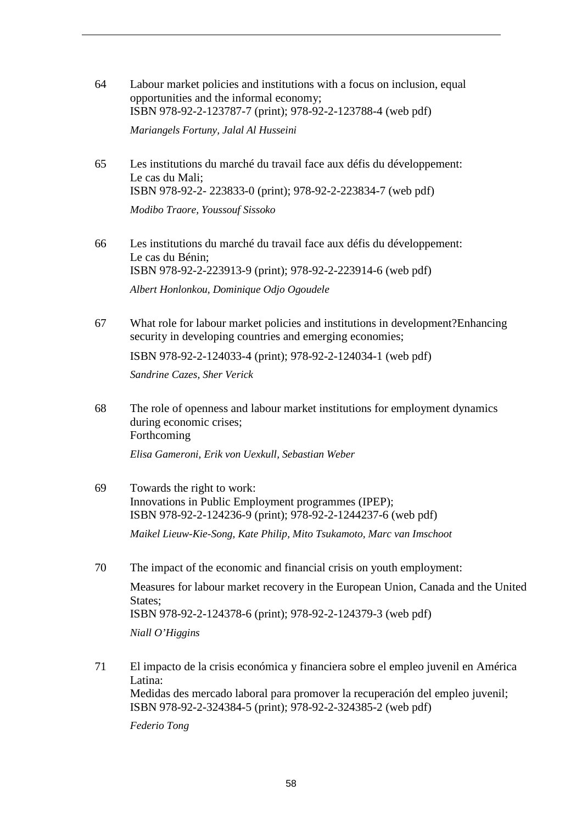- 64 Labour market policies and institutions with a focus on inclusion, equal opportunities and the informal economy; ISBN 978-92-2-123787-7 (print); 978-92-2-123788-4 (web pdf) *Mariangels Fortuny, Jalal Al Husseini*
- 65 Les institutions du marché du travail face aux défis du développement: Le cas du Mali; ISBN 978-92-2- 223833-0 (print); 978-92-2-223834-7 (web pdf) *Modibo Traore, Youssouf Sissoko*
- 66 Les institutions du marché du travail face aux défis du développement: Le cas du Bénin; ISBN 978-92-2-223913-9 (print); 978-92-2-223914-6 (web pdf) *Albert Honlonkou, Dominique Odjo Ogoudele*
- 67 What role for labour market policies and institutions in development?Enhancing security in developing countries and emerging economies;

ISBN 978-92-2-124033-4 (print); 978-92-2-124034-1 (web pdf)

*Sandrine Cazes, Sher Verick* 

68 The role of openness and labour market institutions for employment dynamics during economic crises; Forthcoming

*Elisa Gameroni, Erik von Uexkull, Sebastian Weber* 

69 Towards the right to work: Innovations in Public Employment programmes (IPEP); ISBN 978-92-2-124236-9 (print); 978-92-2-1244237-6 (web pdf)

*Maikel Lieuw-Kie-Song, Kate Philip, Mito Tsukamoto, Marc van Imschoot* 

- 70 The impact of the economic and financial crisis on youth employment: Measures for labour market recovery in the European Union, Canada and the United States; ISBN 978-92-2-124378-6 (print); 978-92-2-124379-3 (web pdf) *Niall O'Higgins*
- 71 El impacto de la crisis económica y financiera sobre el empleo juvenil en América Latina: Medidas des mercado laboral para promover la recuperación del empleo juvenil; ISBN 978-92-2-324384-5 (print); 978-92-2-324385-2 (web pdf)

*Federio Tong*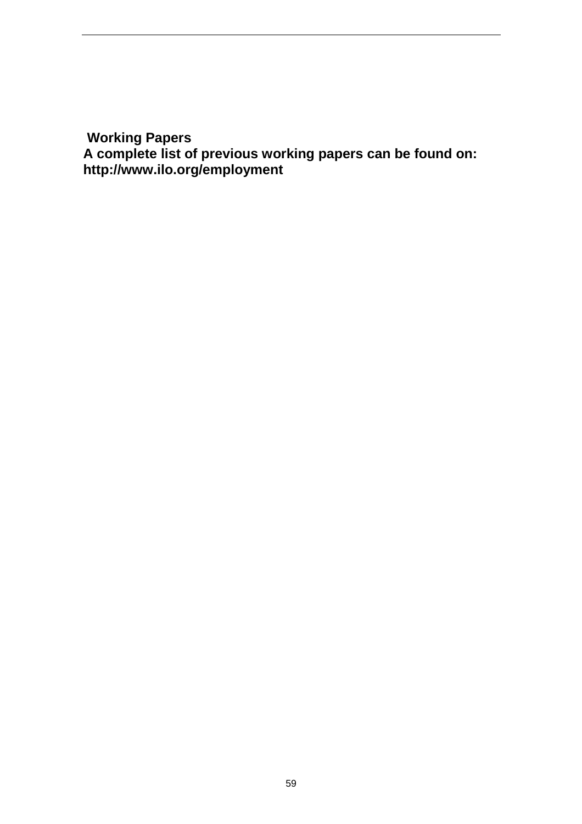**Working Papers** 

**A complete list of previous working papers can be found on: http://www.ilo.org/employment**